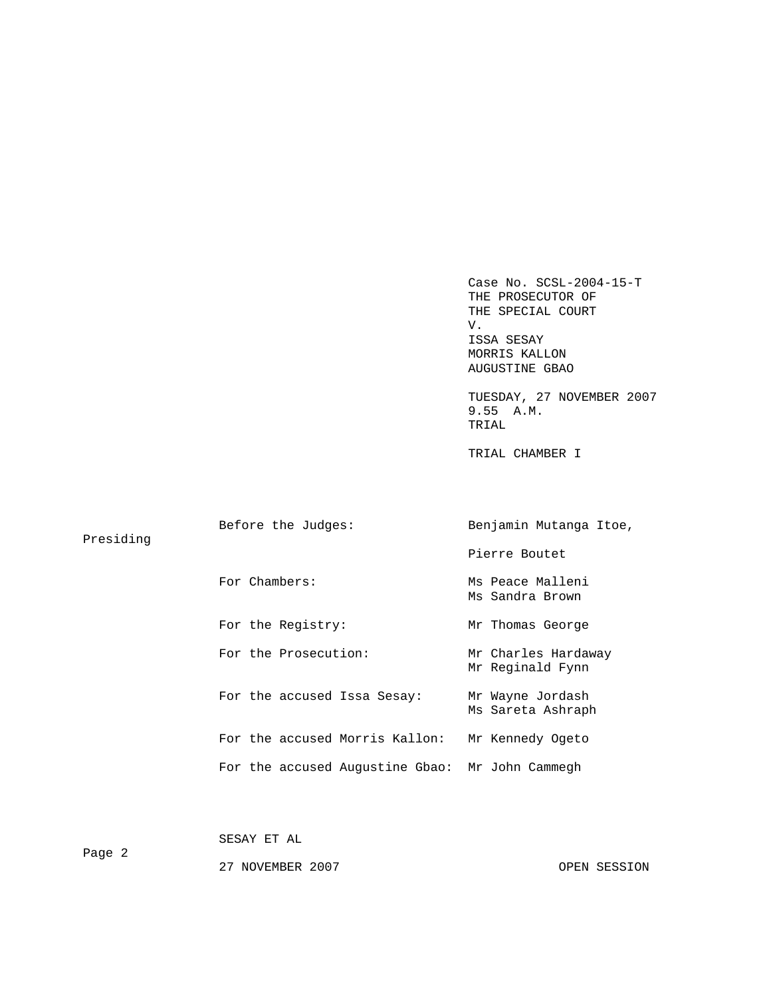Case No. SCSL-2004-15-T THE PROSECUTOR OF THE SPECIAL COURT V. V. ISSA SESAY MORRIS KALLON AUGUSTINE GBAO

 TUESDAY, 27 NOVEMBER 2007 9.55 A.M. TRIAL

TRIAL CHAMBER I

| Presiding | Before the Judges:                              | Benjamin Mutanga Itoe,                  |  |  |
|-----------|-------------------------------------------------|-----------------------------------------|--|--|
|           |                                                 | Pierre Boutet                           |  |  |
|           | For Chambers:                                   | Ms Peace Malleni<br>Ms Sandra Brown     |  |  |
|           | For the Registry:                               | Mr Thomas George                        |  |  |
|           | For the Prosecution:                            | Mr Charles Hardaway<br>Mr Reginald Fynn |  |  |
|           | For the accused Issa Sesay:                     | Mr Wayne Jordash<br>Ms Sareta Ashraph   |  |  |
|           | For the accused Morris Kallon:                  | Mr Kennedy Ogeto                        |  |  |
|           | For the accused Augustine Gbao: Mr John Cammegh |                                         |  |  |
|           |                                                 |                                         |  |  |

SESAY ET AL

Page 2

27 NOVEMBER 2007 OPEN SESSION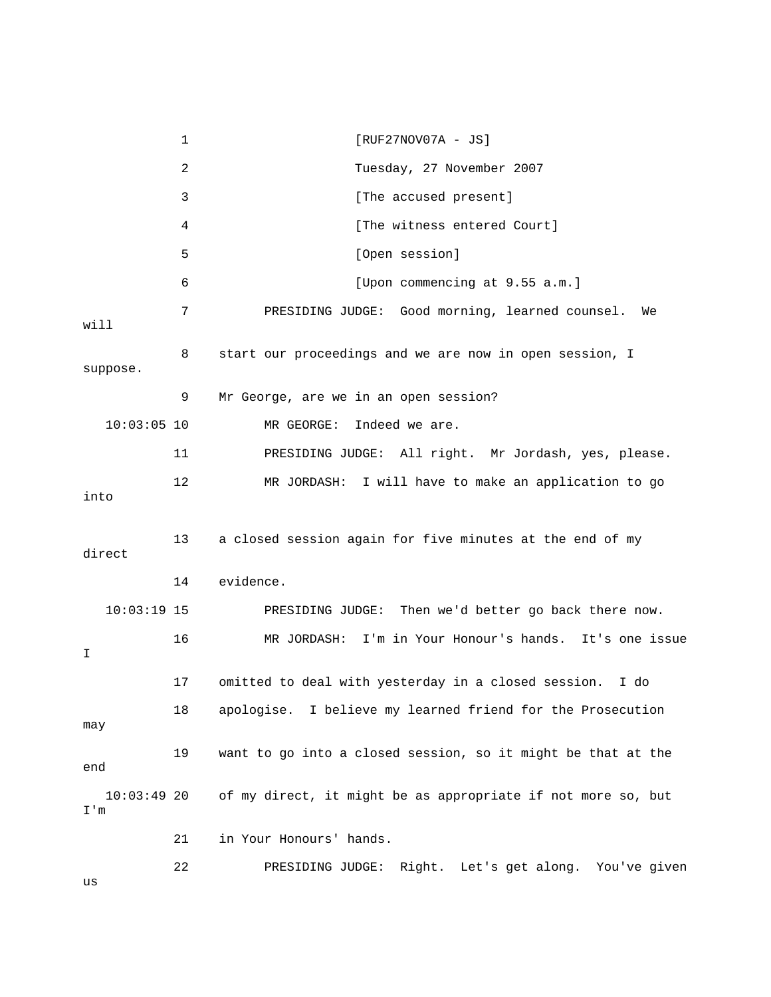1 [RUF27NOV07A - JS] 2 Tuesday, 27 November 2007 3 [The accused present] 4 [The witness entered Court] 5 [Open session] 6 [Upon commencing at 9.55 a.m.] 7 PRESIDING JUDGE: Good morning, learned counsel. We will 8 start our proceedings and we are now in open session, I suppose. 9 Mr George, are we in an open session? 10:03:05 10 MR GEORGE: Indeed we are. 11 PRESIDING JUDGE: All right. Mr Jordash, yes, please. 12 MR JORDASH: I will have to make an application to go into 13 a closed session again for five minutes at the end of my direct 14 evidence. 10:03:19 15 PRESIDING JUDGE: Then we'd better go back there now. 16 MR JORDASH: I'm in Your Honour's hands. It's one issue I 17 omitted to deal with yesterday in a closed session. I do 18 apologise. I believe my learned friend for the Prosecution may 19 want to go into a closed session, so it might be that at the end 10:03:49 20 of my direct, it might be as appropriate if not more so, but I'm 21 in Your Honours' hands. 22 PRESIDING JUDGE: Right. Let's get along. You've given

us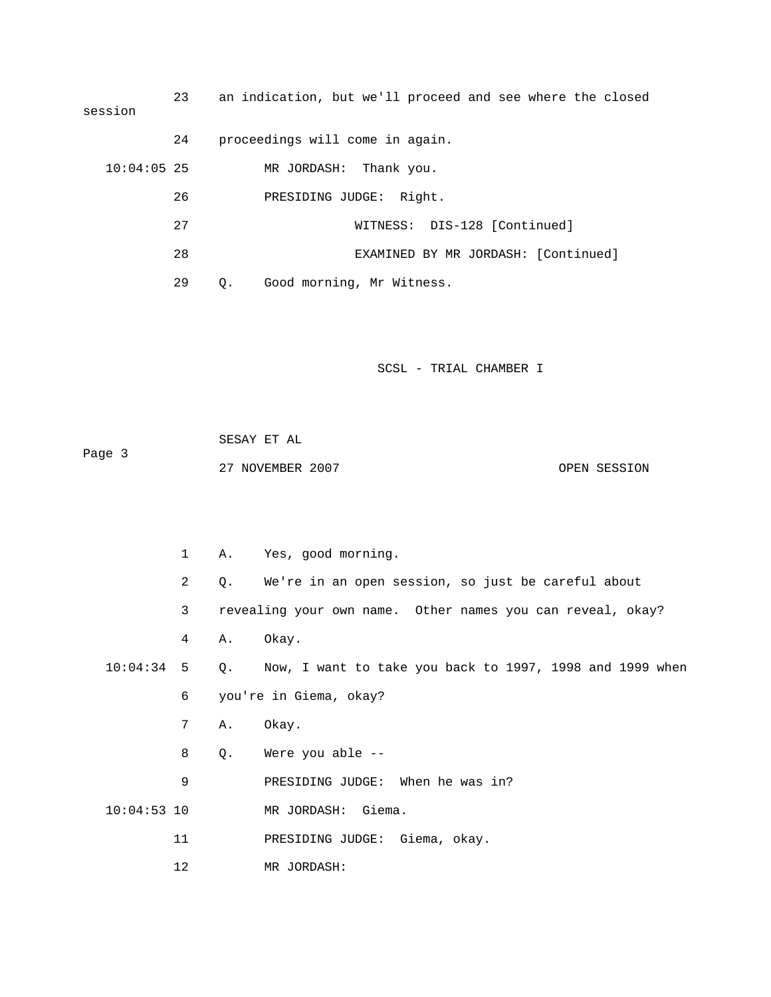23 an indication, but we'll proceed and see where the closed session 24 proceedings will come in again. 10:04:05 25 MR JORDASH: Thank you. 26 PRESIDING JUDGE: Right. 27 WITNESS: DIS-128 [Continued] 28 EXAMINED BY MR JORDASH: [Continued] 29 Q. Good morning, Mr Witness.

SCSL - TRIAL CHAMBER I

 SESAY ET AL Page 3 27 NOVEMBER 2007 CPEN SESSION

 1 A. Yes, good morning. 2 Q. We're in an open session, so just be careful about 3 revealing your own name. Other names you can reveal, okay? 4 A. Okay. 10:04:34 5 Q. Now, I want to take you back to 1997, 1998 and 1999 when 6 you're in Giema, okay? 7 A. Okay. 8 Q. Were you able -- 9 PRESIDING JUDGE: When he was in? 10:04:53 10 MR JORDASH: Giema. 11 PRESIDING JUDGE: Giema, okay. 12 MR JORDASH: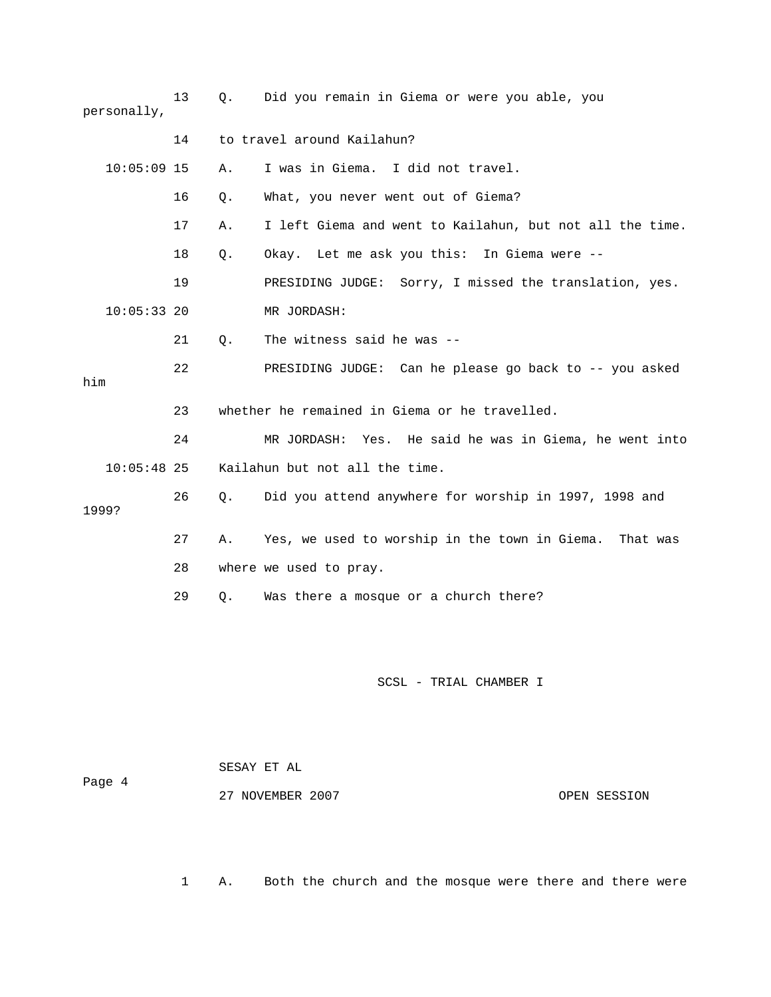| personally,   | 13 | Q. | Did you remain in Giema or were you able, you             |  |
|---------------|----|----|-----------------------------------------------------------|--|
|               | 14 |    | to travel around Kailahun?                                |  |
| $10:05:09$ 15 |    | Α. | I was in Giema. I did not travel.                         |  |
|               | 16 | Q. | What, you never went out of Giema?                        |  |
|               | 17 | Α. | I left Giema and went to Kailahun, but not all the time.  |  |
|               | 18 | Q. | Okay. Let me ask you this: In Giema were --               |  |
|               | 19 |    | PRESIDING JUDGE: Sorry, I missed the translation, yes.    |  |
| $10:05:33$ 20 |    |    | MR JORDASH:                                               |  |
|               | 21 | Q. | The witness said he was --                                |  |
| him           | 22 |    | PRESIDING JUDGE: Can he please go back to -- you asked    |  |
|               | 23 |    | whether he remained in Giema or he travelled.             |  |
|               | 24 |    | Yes. He said he was in Giema, he went into<br>MR JORDASH: |  |
| $10:05:48$ 25 |    |    | Kailahun but not all the time.                            |  |
| 1999?         | 26 | О. | Did you attend anywhere for worship in 1997, 1998 and     |  |
|               | 27 | Α. | Yes, we used to worship in the town in Giema.<br>That was |  |
|               | 28 |    | where we used to pray.                                    |  |
|               | 29 | Q. | Was there a mosque or a church there?                     |  |
|               |    |    |                                                           |  |
|               |    |    | SCSL - TRIAL CHAMBER I                                    |  |

 SESAY ET AL Page 4

27 NOVEMBER 2007 CPEN SESSION

1 A. Both the church and the mosque were there and there were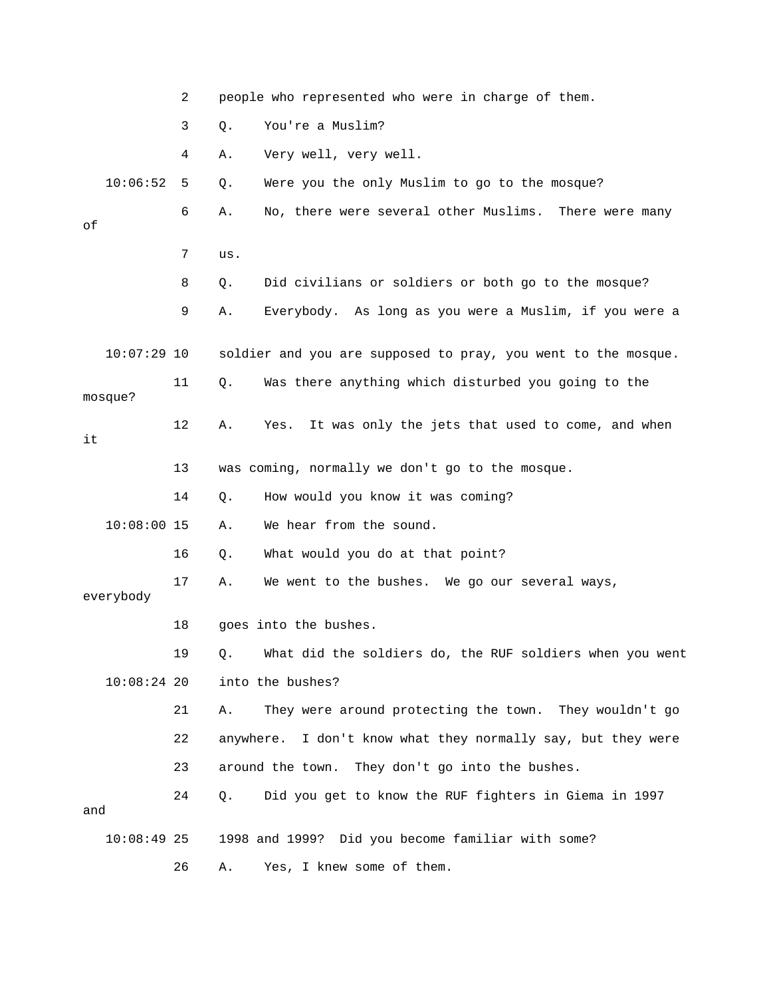|     |               | 2  |           | people who represented who were in charge of them.            |
|-----|---------------|----|-----------|---------------------------------------------------------------|
|     |               | 3  | Q.        | You're a Muslim?                                              |
|     |               | 4  | Α.        | Very well, very well.                                         |
|     | 10:06:52      | 5  | Q.        | Were you the only Muslim to go to the mosque?                 |
| οf  |               | 6  | Α.        | No, there were several other Muslims. There were many         |
|     |               | 7  | us.       |                                                               |
|     |               | 8  | Q.        | Did civilians or soldiers or both go to the mosque?           |
|     |               | 9  | Α.        | Everybody. As long as you were a Muslim, if you were a        |
|     | $10:07:29$ 10 |    |           | soldier and you are supposed to pray, you went to the mosque. |
|     | mosque?       | 11 | Q.        | Was there anything which disturbed you going to the           |
| it  |               | 12 | Α.        | It was only the jets that used to come, and when<br>Yes.      |
|     |               | 13 |           | was coming, normally we don't go to the mosque.               |
|     |               | 14 | Q.        | How would you know it was coming?                             |
|     | $10:08:00$ 15 |    | Α.        | We hear from the sound.                                       |
|     |               | 16 | Q.        | What would you do at that point?                              |
|     | everybody     | 17 | Α.        | We went to the bushes. We go our several ways,                |
|     |               | 18 |           | goes into the bushes.                                         |
|     |               | 19 |           | Q. What did the soldiers do, the RUF soldiers when you went   |
|     | $10:08:24$ 20 |    |           | into the bushes?                                              |
|     |               | 21 | Α.        | They were around protecting the town. They wouldn't go        |
|     |               | 22 | anywhere. | I don't know what they normally say, but they were            |
|     |               | 23 |           | around the town. They don't go into the bushes.               |
| and |               | 24 | Q.        | Did you get to know the RUF fighters in Giema in 1997         |
|     | $10:08:49$ 25 |    |           | 1998 and 1999? Did you become familiar with some?             |
|     |               | 26 | Α.        | Yes, I knew some of them.                                     |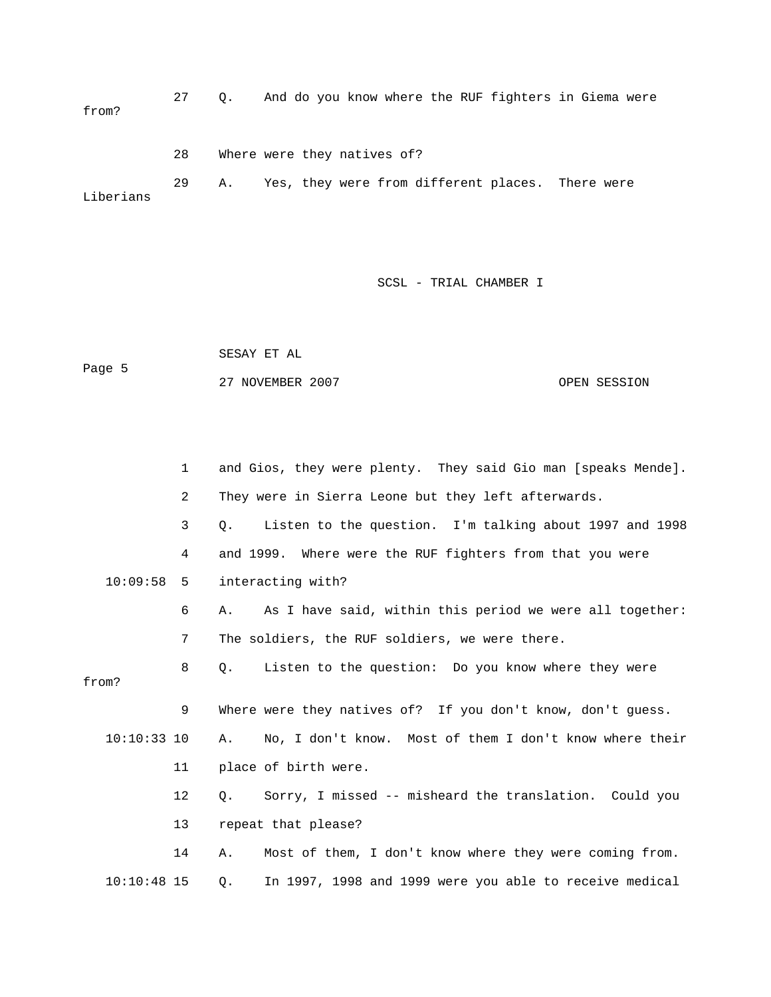27 Q. And do you know where the RUF fighters in Giema were from? 28 Where were they natives of? 29 A. Yes, they were from different places. There were Liberians

SCSL - TRIAL CHAMBER I

 SESAY ET AL Page 5 27 NOVEMBER 2007 OPEN SESSION

|               | $\mathbf 1$ | and Gios, they were plenty. They said Gio man [speaks Mende].    |
|---------------|-------------|------------------------------------------------------------------|
|               | 2           | They were in Sierra Leone but they left afterwards.              |
|               | 3           | Listen to the question. I'm talking about 1997 and 1998<br>О.    |
|               | 4           | and 1999. Where were the RUF fighters from that you were         |
| 10:09:58      | 5           | interacting with?                                                |
|               | 6           | As I have said, within this period we were all together:<br>Α.   |
|               | 7           | The soldiers, the RUF soldiers, we were there.                   |
| from?         | 8           | Listen to the question: Do you know where they were<br>$\circ$ . |
|               |             |                                                                  |
|               | 9           | Where were they natives of? If you don't know, don't guess.      |
| $10:10:33$ 10 |             | No, I don't know. Most of them I don't know where their<br>Α.    |
|               | 11          | place of birth were.                                             |
|               | 12          | Sorry, I missed -- misheard the translation. Could you<br>$Q$ .  |
|               | 13          | repeat that please?                                              |
|               | 14          | Most of them, I don't know where they were coming from.<br>Α.    |
| $10:10:48$ 15 |             | In 1997, 1998 and 1999 were you able to receive medical<br>Q.    |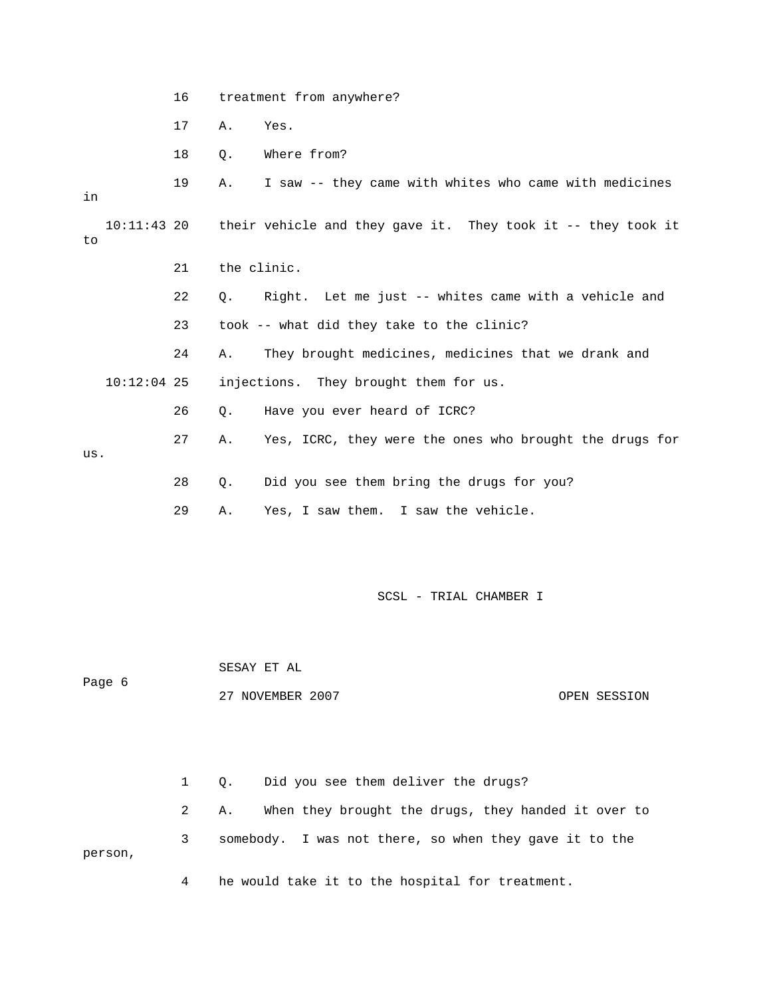| treatment from anywhere? |  |
|--------------------------|--|
|--------------------------|--|

17 A. Yes.

18 Q. Where from?

| in  |               | 19 |             | A. I saw -- they came with whites who came with medicines                |
|-----|---------------|----|-------------|--------------------------------------------------------------------------|
| to  |               |    |             | 10:11:43 20 their vehicle and they gave it. They took it -- they took it |
|     |               | 21 | the clinic. |                                                                          |
|     |               | 22 |             | 0. Right. Let me just -- whites came with a vehicle and                  |
|     |               | 23 |             | took -- what did they take to the clinic?                                |
|     |               | 24 | A.          | They brought medicines, medicines that we drank and                      |
|     | $10:12:04$ 25 |    |             | injections. They brought them for us.                                    |
|     |               | 26 | Q.          | Have you ever heard of ICRC?                                             |
|     |               | 27 | Α.          | Yes, ICRC, they were the ones who brought the drugs for                  |
| us. |               |    |             |                                                                          |
|     |               | 28 | О.          | Did you see them bring the drugs for you?                                |

29 A. Yes, I saw them. I saw the vehicle.

SCSL - TRIAL CHAMBER I

 SESAY ET AL Page 6 27 NOVEMBER 2007 CPEN SESSION

 1 Q. Did you see them deliver the drugs? 2 A. When they brought the drugs, they handed it over to 3 somebody. I was not there, so when they gave it to the person,

4 he would take it to the hospital for treatment.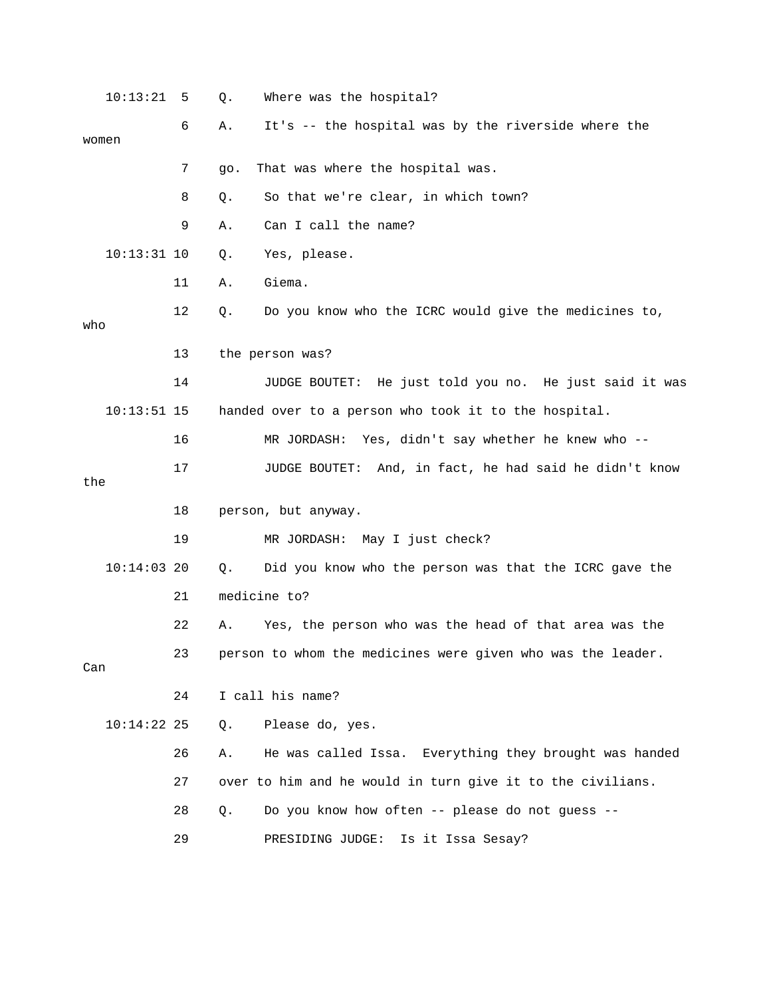| 10:13:21      | 5  | Q.    | Where was the hospital?                                     |
|---------------|----|-------|-------------------------------------------------------------|
| women         | 6  | Α.    | It's -- the hospital was by the riverside where the         |
|               | 7  | 90.   | That was where the hospital was.                            |
|               | 8  | Q.    | So that we're clear, in which town?                         |
|               | 9  | Α.    | Can I call the name?                                        |
| $10:13:31$ 10 |    | Q.    | Yes, please.                                                |
|               | 11 | Α.    | Giema.                                                      |
| who           | 12 | Q.    | Do you know who the ICRC would give the medicines to,       |
|               | 13 |       | the person was?                                             |
|               | 14 |       | JUDGE BOUTET: He just told you no. He just said it was      |
| $10:13:51$ 15 |    |       | handed over to a person who took it to the hospital.        |
|               | 16 |       | MR JORDASH: Yes, didn't say whether he knew who --          |
| the           | 17 |       | JUDGE BOUTET: And, in fact, he had said he didn't know      |
|               | 18 |       | person, but anyway.                                         |
|               | 19 |       | MR JORDASH: May I just check?                               |
| $10:14:03$ 20 |    | Q.    | Did you know who the person was that the ICRC gave the      |
|               | 21 |       | medicine to?                                                |
|               | 22 | Α.    | Yes, the person who was the head of that area was the       |
| Can           | 23 |       | person to whom the medicines were given who was the leader. |
|               | 24 |       | I call his name?                                            |
| $10:14:22$ 25 |    | Q.    | Please do, yes.                                             |
|               | 26 | Α.    | He was called Issa. Everything they brought was handed      |
|               | 27 |       | over to him and he would in turn give it to the civilians.  |
|               | 28 | $Q$ . | Do you know how often -- please do not guess --             |
|               | 29 |       | Is it Issa Sesay?<br>PRESIDING JUDGE:                       |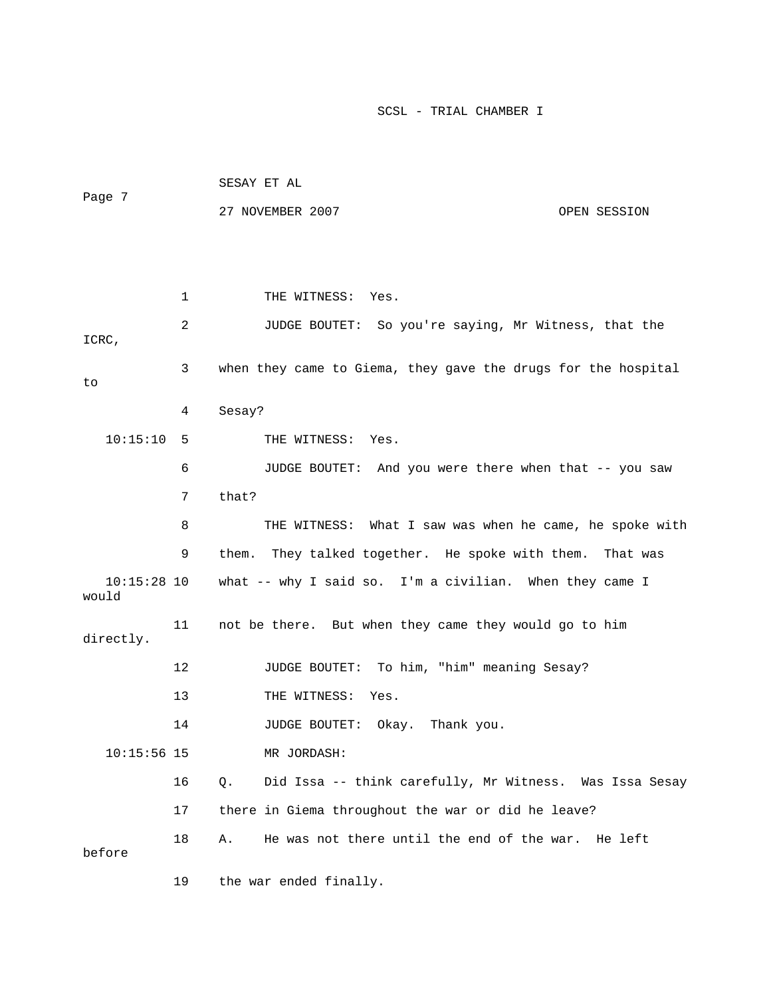| Page 7                 |    | SESAY ET AL                                                   |              |  |
|------------------------|----|---------------------------------------------------------------|--------------|--|
|                        |    | 27 NOVEMBER 2007                                              | OPEN SESSION |  |
|                        |    |                                                               |              |  |
|                        |    |                                                               |              |  |
|                        | 1  | THE WITNESS: Yes.                                             |              |  |
| ICRC,                  | 2  | JUDGE BOUTET: So you're saying, Mr Witness, that the          |              |  |
| to                     | 3  | when they came to Giema, they gave the drugs for the hospital |              |  |
|                        | 4  | Sesay?                                                        |              |  |
| 10:15:10               | 5  | THE WITNESS: Yes.                                             |              |  |
|                        | 6  | JUDGE BOUTET: And you were there when that -- you saw         |              |  |
|                        | 7  | that?                                                         |              |  |
|                        | 8  | THE WITNESS: What I saw was when he came, he spoke with       |              |  |
|                        | 9  | They talked together. He spoke with them.<br>them.            | That was     |  |
| $10:15:28$ 10<br>would |    | what -- why I said so. I'm a civilian. When they came I       |              |  |
| directly.              | 11 | not be there. But when they came they would go to him         |              |  |
|                        | 12 | JUDGE BOUTET: To him, "him" meaning Sesay?                    |              |  |
|                        | 13 | THE WITNESS:<br>Yes.                                          |              |  |
|                        | 14 | Okay. Thank you.<br><b>JUDGE BOUTET:</b>                      |              |  |
| $10:15:56$ 15          |    | MR JORDASH:                                                   |              |  |
|                        | 16 | Did Issa -- think carefully, Mr Witness. Was Issa Sesay<br>Q. |              |  |
|                        | 17 | there in Giema throughout the war or did he leave?            |              |  |
| before                 | 18 | He was not there until the end of the war. He left<br>Α.      |              |  |
|                        | 19 | the war ended finally.                                        |              |  |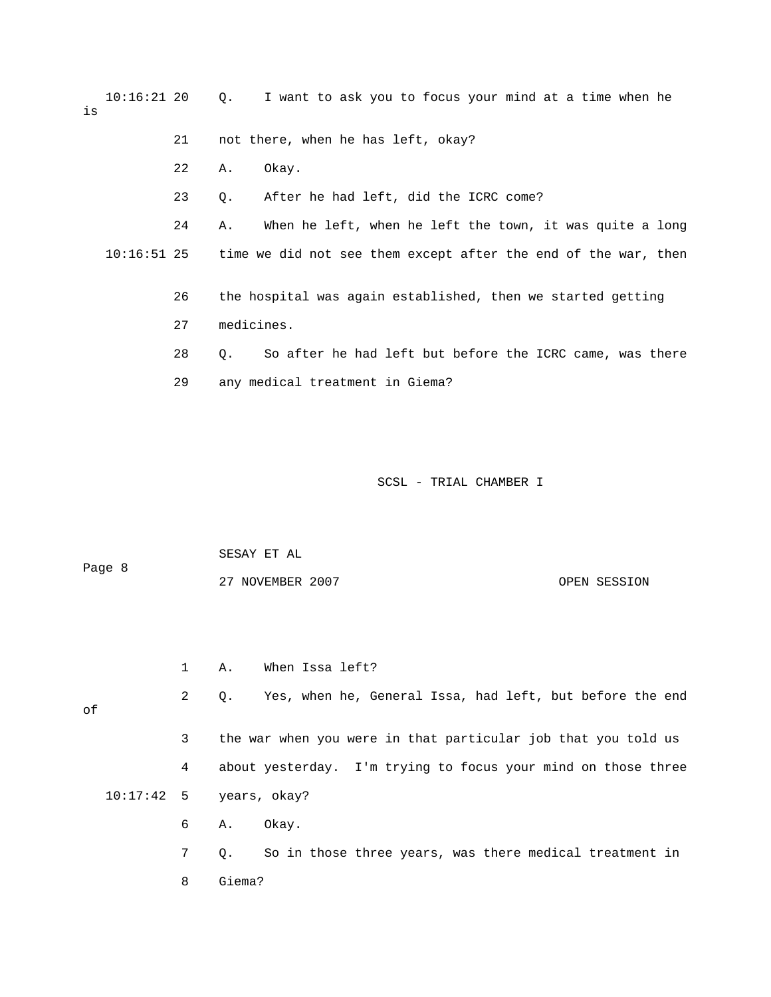10:16:21 20 Q. I want to ask you to focus your mind at a time when he is 21 not there, when he has left, okay? 22 A. Okay. 23 Q. After he had left, did the ICRC come? 24 A. When he left, when he left the town, it was quite a long 10:16:51 25 time we did not see them except after the end of the war, then 26 the hospital was again established, then we started getting 27 medicines. 28 Q. So after he had left but before the ICRC came, was there 29 any medical treatment in Giema?

SCSL - TRIAL CHAMBER I

Page 8 27 NOVEMBER 2007 OPEN SESSION 1 A. When Issa left? 2 Q. Yes, when he, General Issa, had left, but before the end of 3 the war when you were in that particular job that you told us 4 about yesterday. I'm trying to focus your mind on those three 10:17:42 5 years, okay? 6 A. Okay. 7 Q. So in those three years, was there medical treatment in 8 Giema?

SESAY ET AL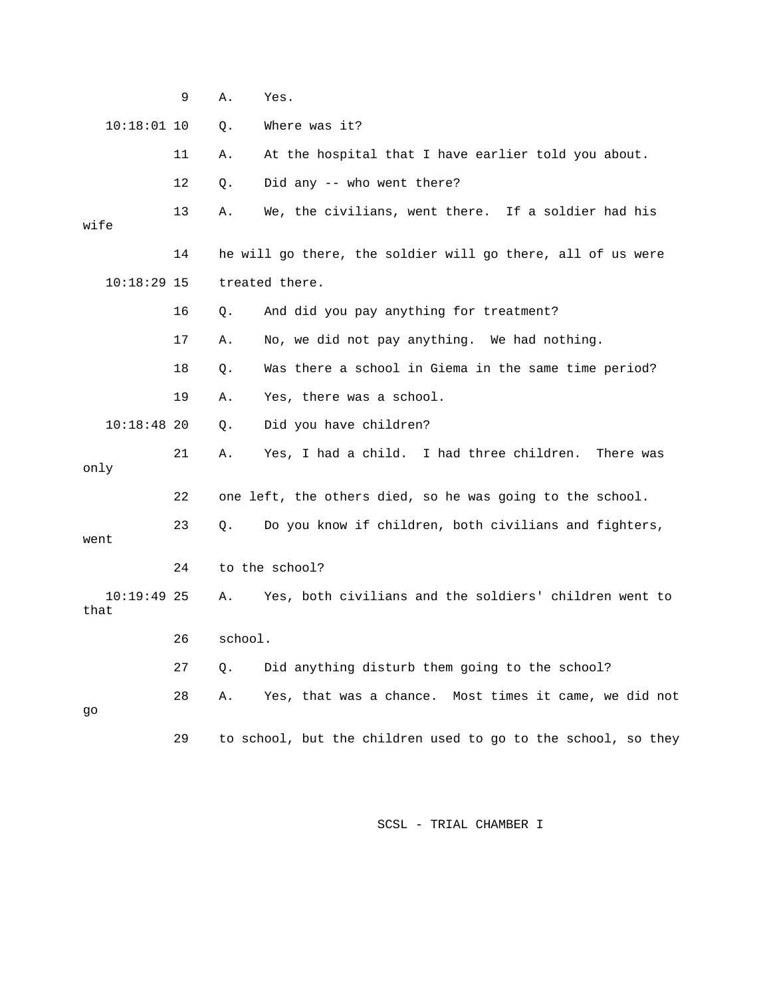|                       | 9  | Α.      | Yes.                                                          |
|-----------------------|----|---------|---------------------------------------------------------------|
| $10:18:01$ 10         |    | Q.      | Where was it?                                                 |
|                       | 11 | Α.      | At the hospital that I have earlier told you about.           |
|                       | 12 | Q.      | Did any -- who went there?                                    |
| wife                  | 13 | Α.      | We, the civilians, went there. If a soldier had his           |
|                       | 14 |         | he will go there, the soldier will go there, all of us were   |
| $10:18:29$ 15         |    |         | treated there.                                                |
|                       | 16 | Q.      | And did you pay anything for treatment?                       |
|                       | 17 | Α.      | No, we did not pay anything. We had nothing.                  |
|                       | 18 | Q.      | Was there a school in Giema in the same time period?          |
|                       | 19 | Α.      | Yes, there was a school.                                      |
| $10:18:48$ 20         |    | Q.      | Did you have children?                                        |
| only                  | 21 | Α.      | Yes, I had a child. I had three children.<br>There was        |
|                       | 22 |         | one left, the others died, so he was going to the school.     |
| went                  | 23 | Q.      | Do you know if children, both civilians and fighters,         |
|                       | 24 |         | to the school?                                                |
| $10:19:49$ 25<br>that |    | Α.      | Yes, both civilians and the soldiers' children went to        |
|                       | 26 | school. |                                                               |
|                       | 27 | Q.      | Did anything disturb them going to the school?                |
| go                    | 28 | Α.      | Yes, that was a chance.<br>Most times it came, we did not     |
|                       | 29 |         | to school, but the children used to go to the school, so they |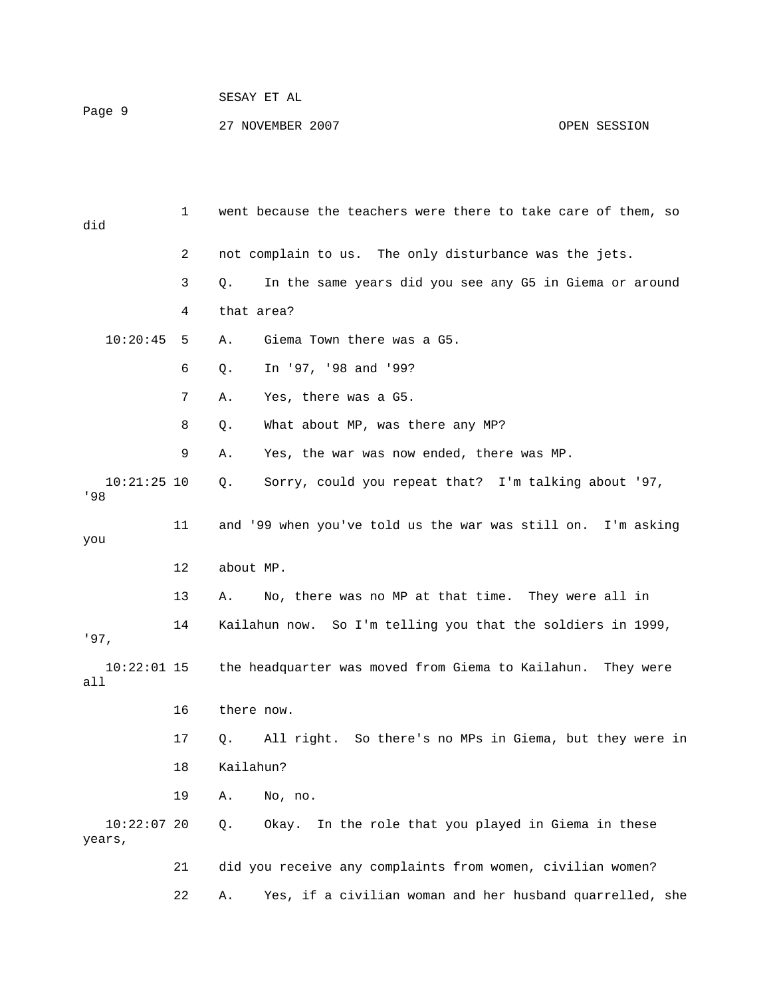## SESAY ET AL Page 9 27 NOVEMBER 2007 CPEN SESSION

| did                     | $\mathbf 1$ | went because the teachers were there to take care of them, so        |
|-------------------------|-------------|----------------------------------------------------------------------|
|                         | 2           | not complain to us. The only disturbance was the jets.               |
|                         | 3           | In the same years did you see any G5 in Giema or around<br>Q.        |
|                         | 4           | that area?                                                           |
| 10:20:45                | 5           | Giema Town there was a G5.<br>Α.                                     |
|                         | 6           | In '97, '98 and '99?<br>Q.                                           |
|                         | 7           | Yes, there was a G5.<br>Α.                                           |
|                         | 8           | What about MP, was there any MP?<br>Q.                               |
|                         | 9           | Yes, the war was now ended, there was MP.<br>Α.                      |
| $10:21:25$ 10<br>'98    |             | Sorry, could you repeat that? I'm talking about '97,<br>Q.           |
| you                     | 11          | and '99 when you've told us the war was still on. I'm asking         |
|                         | 12          | about MP.                                                            |
|                         | 13          | No, there was no MP at that time. They were all in<br>Α.             |
| '97,                    | 14          | Kailahun now. So I'm telling you that the soldiers in 1999,          |
| $10:22:01$ 15<br>all    |             | the headquarter was moved from Giema to Kailahun.<br>They were       |
|                         | 16          | there now.                                                           |
|                         | 17          | All right. So there's no MPs in Giema, but they were in<br>$\circ$ . |
|                         | 18          | Kailahun?                                                            |
|                         | 19          | Α.<br>No, no.                                                        |
| $10:22:07$ 20<br>years, |             | In the role that you played in Giema in these<br>Okay.<br>Q.         |
|                         | 21          | did you receive any complaints from women, civilian women?           |
|                         | 22          | Yes, if a civilian woman and her husband quarrelled, she<br>Α.       |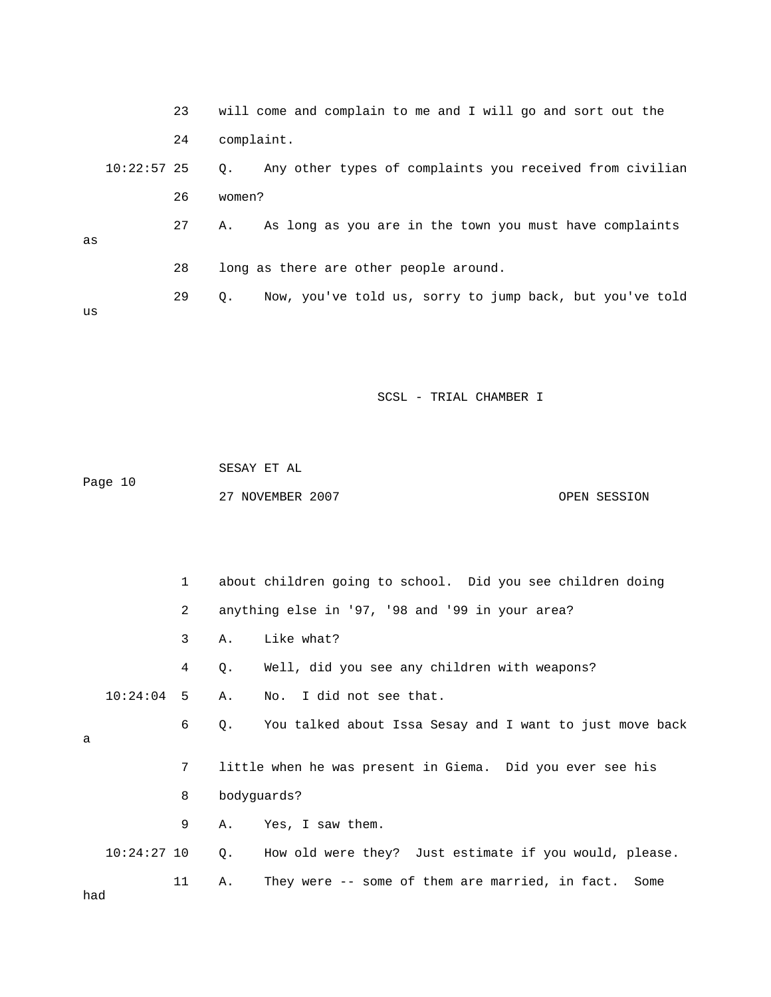|    |               | 23 |            | will come and complain to me and I will go and sort out the |
|----|---------------|----|------------|-------------------------------------------------------------|
|    |               | 24 | complaint. |                                                             |
|    | $10:22:57$ 25 |    | О.         | Any other types of complaints you received from civilian    |
|    |               | 26 | women?     |                                                             |
| as |               | 27 | Α.         | As long as you are in the town you must have complaints     |
|    |               |    |            |                                                             |
|    |               | 28 |            | long as there are other people around.                      |
| us |               | 29 | Q.         | Now, you've told us, sorry to jump back, but you've told    |
|    |               |    |            |                                                             |

|         | SESAY ET AL      |              |
|---------|------------------|--------------|
| Page 10 |                  |              |
|         | 27 NOVEMBER 2007 | OPEN SESSION |

 1 about children going to school. Did you see children doing 2 anything else in '97, '98 and '99 in your area? 3 A. Like what? 4 Q. Well, did you see any children with weapons? 10:24:04 5 A. No. I did not see that. 6 Q. You talked about Issa Sesay and I want to just move back a 7 little when he was present in Giema. Did you ever see his 8 bodyguards? 9 A. Yes, I saw them. 10:24:27 10 Q. How old were they? Just estimate if you would, please. 11 A. They were -- some of them are married, in fact. Some had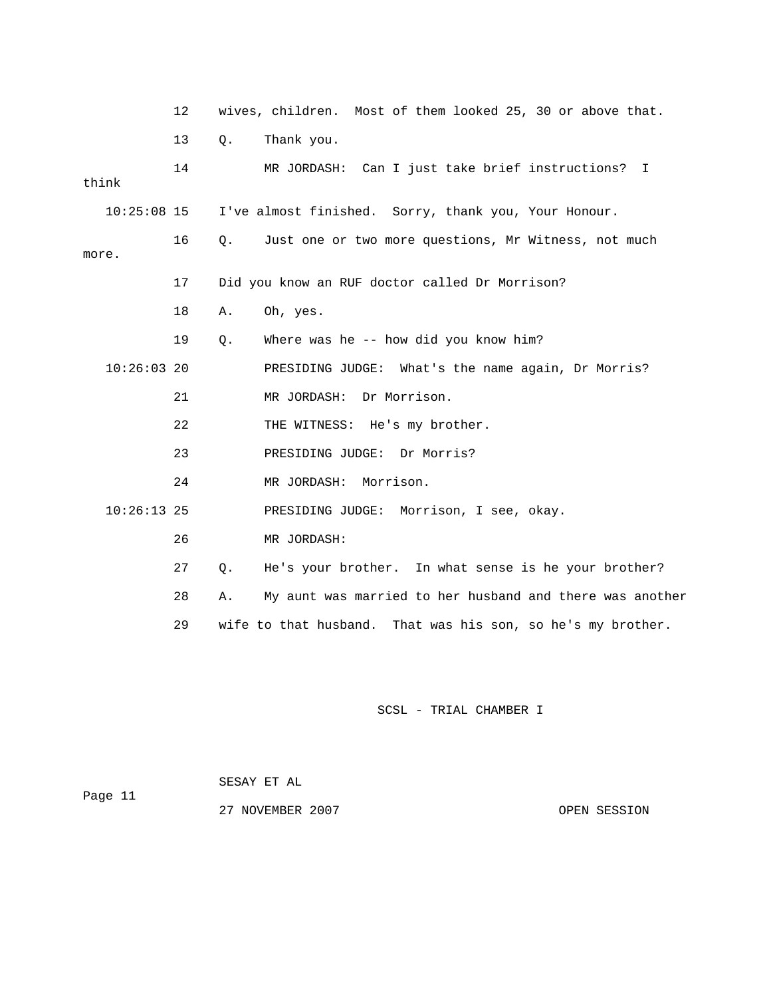|               | 12 |       | wives, children. Most of them looked 25, 30 or above that.     |
|---------------|----|-------|----------------------------------------------------------------|
|               | 13 | $Q$ . | Thank you.                                                     |
| think         | 14 |       | MR JORDASH: Can I just take brief instructions? I              |
| $10:25:08$ 15 |    |       | I've almost finished. Sorry, thank you, Your Honour.           |
| more.         | 16 | 0.    | Just one or two more questions, Mr Witness, not much           |
|               | 17 |       | Did you know an RUF doctor called Dr Morrison?                 |
|               | 18 | Α.    | Oh, yes.                                                       |
|               | 19 | Q.    | Where was he $-$ how did you know him?                         |
| $10:26:03$ 20 |    |       | PRESIDING JUDGE: What's the name again, Dr Morris?             |
|               | 21 |       | Dr Morrison.<br>MR JORDASH:                                    |
|               | 22 |       | THE WITNESS: He's my brother.                                  |
|               | 23 |       | PRESIDING JUDGE: Dr Morris?                                    |
|               | 24 |       | MR JORDASH:<br>Morrison.                                       |
| $10:26:13$ 25 |    |       | PRESIDING JUDGE: Morrison, I see, okay.                        |
|               | 26 |       | MR JORDASH:                                                    |
|               | 27 | Q.    | He's your brother. In what sense is he your brother?           |
|               | 28 | Α.    | My aunt was married to her husband and there was another       |
|               | 29 |       | wife to that husband.<br>That was his son, so he's my brother. |

|         | SESAY ET AL      |
|---------|------------------|
| Page 11 |                  |
|         | 27 NOVEMBER 2007 |

OPEN SESSION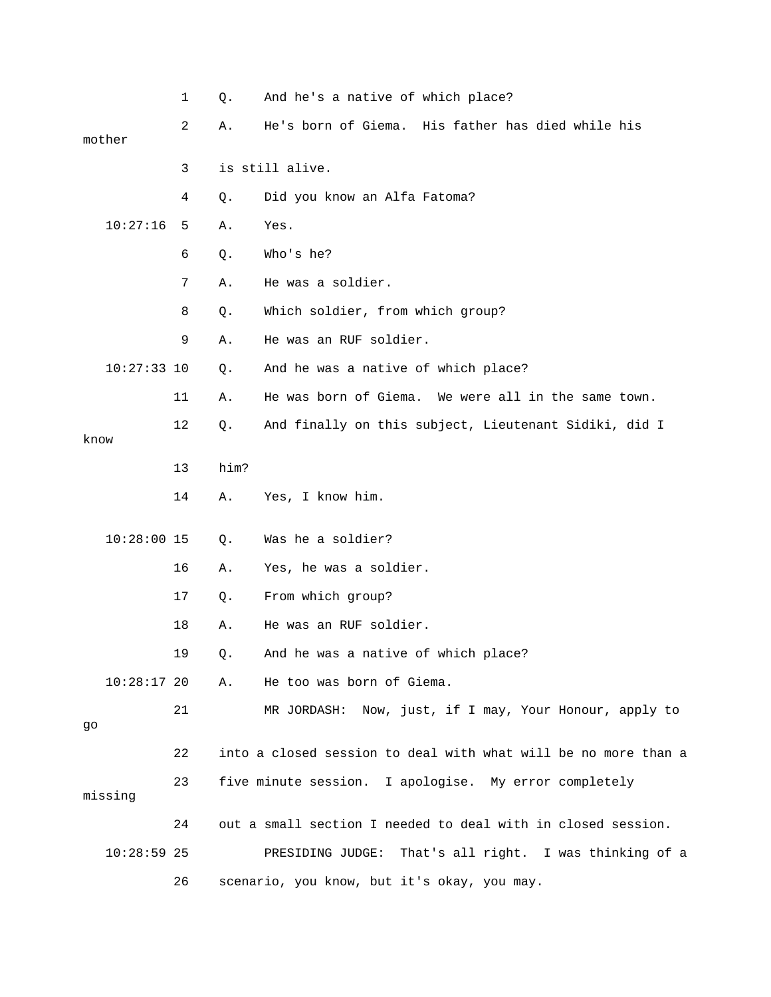|      |               | $\mathbf 1$ | Q.   | And he's a native of which place?                              |
|------|---------------|-------------|------|----------------------------------------------------------------|
|      | mother        | 2           | Α.   | His father has died while his<br>He's born of Giema.           |
|      |               | 3           |      | is still alive.                                                |
|      |               | 4           | Q.   | Did you know an Alfa Fatoma?                                   |
|      | 10:27:16      | 5           | Α.   | Yes.                                                           |
|      |               | 6           | Q.   | Who's he?                                                      |
|      |               | 7           | Α.   | He was a soldier.                                              |
|      |               | 8           | Q.   | Which soldier, from which group?                               |
|      |               | 9           | Α.   | He was an RUF soldier.                                         |
|      | $10:27:33$ 10 |             | Q.   | And he was a native of which place?                            |
|      |               | 11          | Α.   | He was born of Giema.<br>We were all in the same town.         |
| know |               | 12          | Q.   | And finally on this subject, Lieutenant Sidiki, did I          |
|      |               | 13          | him? |                                                                |
|      |               | 14          | Α.   | Yes, I know him.                                               |
|      | $10:28:00$ 15 |             | Q.   | Was he a soldier?                                              |
|      |               | 16          | Α.   | Yes, he was a soldier.                                         |
|      |               | 17          | Q.   | From which group?                                              |
|      |               | 18          | Α.   | He was an RUF soldier.                                         |
|      |               | 19          | Q.   | And he was a native of which place?                            |
|      | $10:28:17$ 20 |             | Α.   | He too was born of Giema.                                      |
| go   |               | 21          |      | MR JORDASH: Now, just, if I may, Your Honour, apply to         |
|      |               | 22          |      | into a closed session to deal with what will be no more than a |
|      | missing       | 23          |      | five minute session. I apologise. My error completely          |
|      |               | 24          |      | out a small section I needed to deal with in closed session.   |
|      | $10:28:59$ 25 |             |      | PRESIDING JUDGE: That's all right. I was thinking of a         |
|      |               | 26          |      | scenario, you know, but it's okay, you may.                    |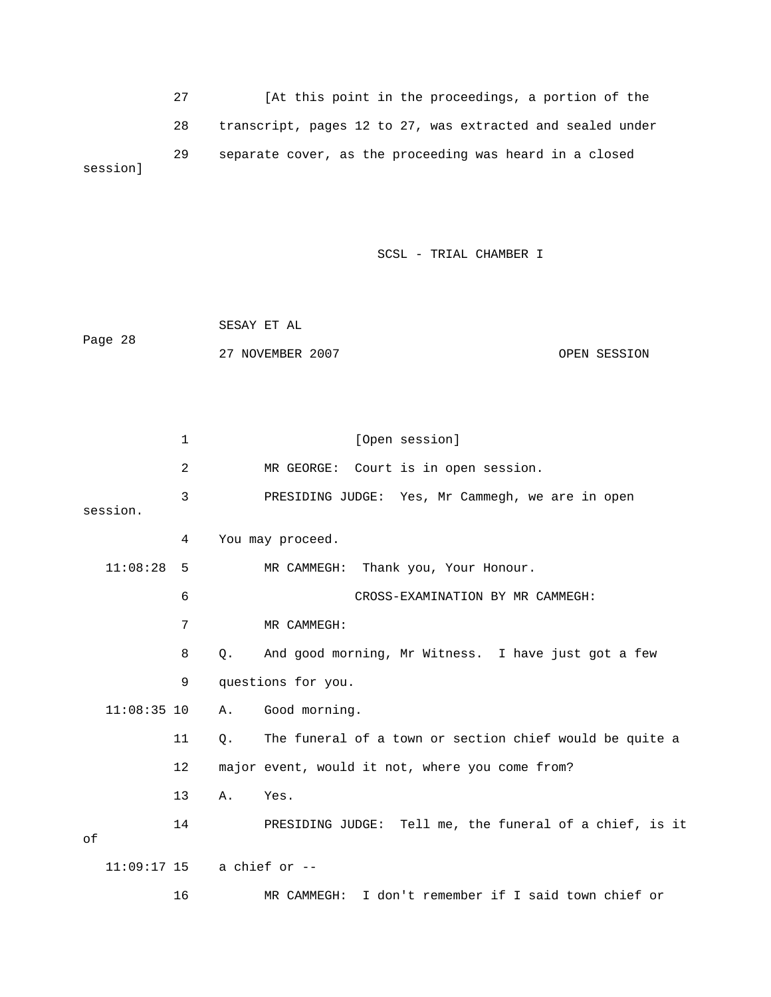27 [At this point in the proceedings, a portion of the 28 transcript, pages 12 to 27, was extracted and sealed under 29 separate cover, as the proceeding was heard in a closed session]

SCSL - TRIAL CHAMBER I

|         | SESAY ET AL      |              |
|---------|------------------|--------------|
| Page 28 |                  |              |
|         | 27 NOVEMBER 2007 | OPEN SESSION |

|    |                              | $\mathbf 1$ |    | [Open session]                                          |
|----|------------------------------|-------------|----|---------------------------------------------------------|
|    |                              | 2           |    | MR GEORGE: Court is in open session.                    |
|    | session.                     | 3           |    | PRESIDING JUDGE: Yes, Mr Cammegh, we are in open        |
|    |                              | 4           |    | You may proceed.                                        |
|    | 11:08:28                     | 5           |    | MR CAMMEGH: Thank you, Your Honour.                     |
|    |                              | 6           |    | CROSS-EXAMINATION BY MR CAMMEGH:                        |
|    |                              | 7           |    | MR CAMMEGH:                                             |
|    |                              | 8           | О. | And good morning, Mr Witness. I have just got a few     |
|    |                              | 9           |    | questions for you.                                      |
|    | $11:08:35$ 10                |             | Α. | Good morning.                                           |
|    |                              | 11          | Q. | The funeral of a town or section chief would be quite a |
|    |                              | 12          |    | major event, would it not, where you come from?         |
|    |                              | 13          | Α. | Yes.                                                    |
| оf |                              | 14          |    | PRESIDING JUDGE: Tell me, the funeral of a chief, is it |
|    | $11:09:17$ 15 a chief or $-$ |             |    |                                                         |
|    |                              | 16          |    | I don't remember if I said town chief or<br>MR CAMMEGH: |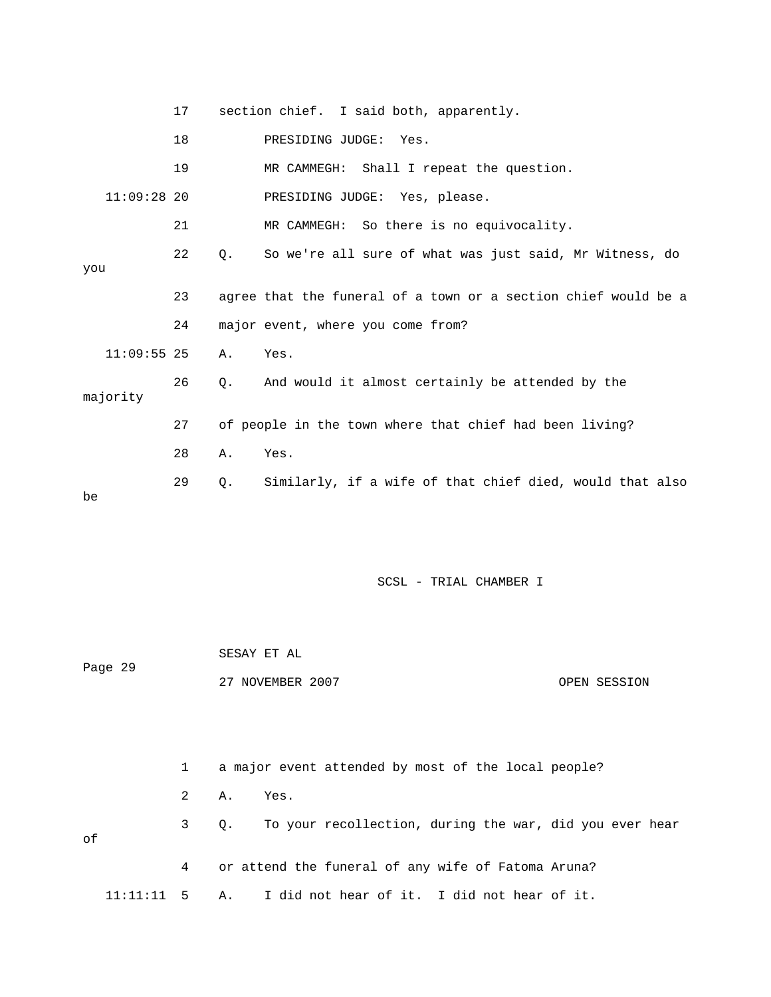|          |               | 17 |    | section chief. I said both, apparently.                        |
|----------|---------------|----|----|----------------------------------------------------------------|
|          |               | 18 |    | PRESIDING JUDGE: Yes.                                          |
|          |               | 19 |    | MR CAMMEGH: Shall I repeat the question.                       |
|          | $11:09:28$ 20 |    |    | PRESIDING JUDGE: Yes, please.                                  |
|          |               | 21 |    | MR CAMMEGH: So there is no equivocality.                       |
| you      |               | 22 | Q. | So we're all sure of what was just said, Mr Witness, do        |
|          |               | 23 |    | agree that the funeral of a town or a section chief would be a |
|          |               | 24 |    | major event, where you come from?                              |
|          | $11:09:55$ 25 |    | Α. | Yes.                                                           |
| majority |               | 26 | Q. | And would it almost certainly be attended by the               |
|          |               | 27 |    | of people in the town where that chief had been living?        |
|          |               | 28 | Α. | Yes.                                                           |
| be       |               | 29 | Q. | Similarly, if a wife of that chief died, would that also       |

|         |  |              | SESAY ET AL |                  |      |                                                     |  |  |  |  |  |              |
|---------|--|--------------|-------------|------------------|------|-----------------------------------------------------|--|--|--|--|--|--------------|
| Page 29 |  |              |             | 27 NOVEMBER 2007 |      |                                                     |  |  |  |  |  | OPEN SESSION |
|         |  |              |             |                  |      |                                                     |  |  |  |  |  |              |
|         |  |              |             |                  |      |                                                     |  |  |  |  |  |              |
|         |  | $\mathbf{1}$ |             |                  |      | a major event attended by most of the local people? |  |  |  |  |  |              |
|         |  | 2            | Α.          |                  | Yes. |                                                     |  |  |  |  |  |              |

 3 Q. To your recollection, during the war, did you ever hear of 4 or attend the funeral of any wife of Fatoma Aruna? 11:11:11 5 A. I did not hear of it. I did not hear of it.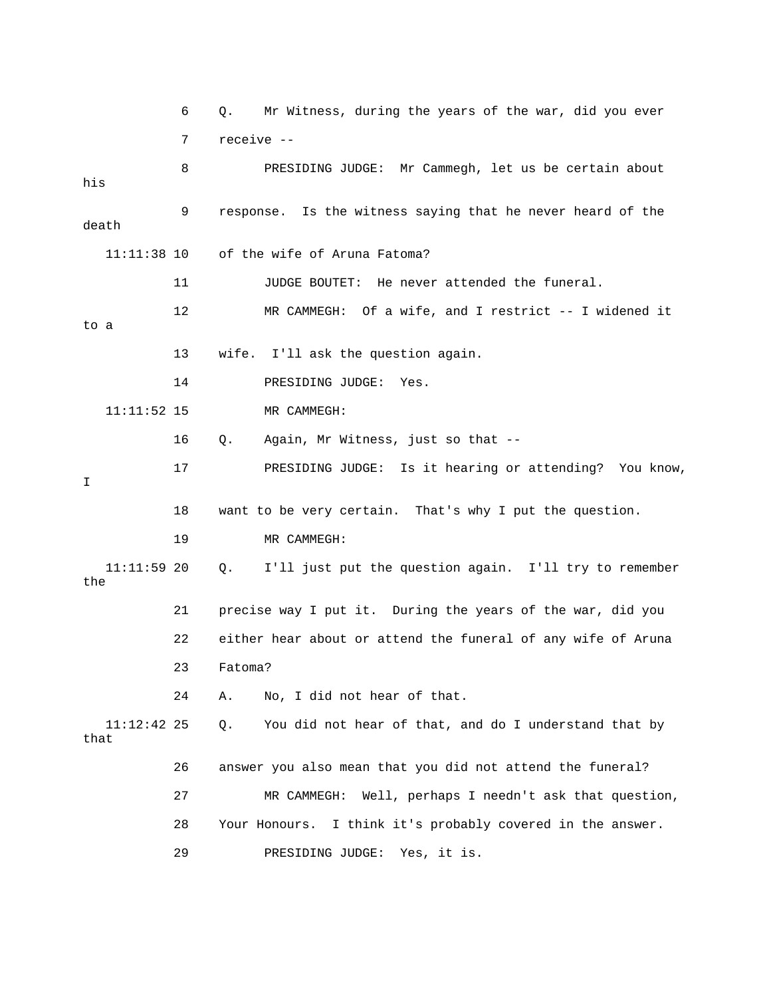6 Q. Mr Witness, during the years of the war, did you ever 7 receive -- 8 PRESIDING JUDGE: Mr Cammegh, let us be certain about his 9 response. Is the witness saying that he never heard of the death 11:11:38 10 of the wife of Aruna Fatoma? 11 JUDGE BOUTET: He never attended the funeral. 12 MR CAMMEGH: Of a wife, and I restrict -- I widened it to a 13 wife. I'll ask the question again. 14 PRESIDING JUDGE: Yes. 11:11:52 15 MR CAMMEGH: 16 Q. Again, Mr Witness, just so that -- 17 PRESIDING JUDGE: Is it hearing or attending? You know, I 18 want to be very certain. That's why I put the question. 19 MR CAMMEGH: 11:11:59 20 Q. I'll just put the question again. I'll try to remember the 21 precise way I put it. During the years of the war, did you 22 either hear about or attend the funeral of any wife of Aruna 23 Fatoma? 24 A. No, I did not hear of that. 11:12:42 25 Q. You did not hear of that, and do I understand that by that 26 answer you also mean that you did not attend the funeral? 27 MR CAMMEGH: Well, perhaps I needn't ask that question, 28 Your Honours. I think it's probably covered in the answer. 29 PRESIDING JUDGE: Yes, it is.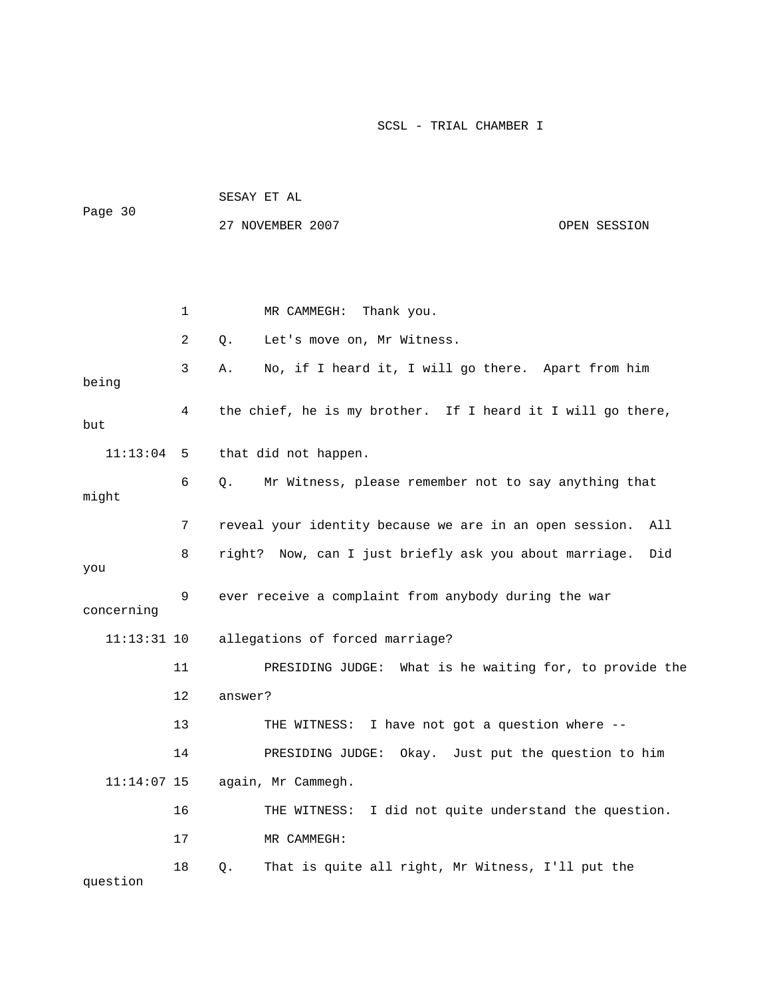|               |    | SESAY ET AL                                                    |  |  |  |  |  |  |
|---------------|----|----------------------------------------------------------------|--|--|--|--|--|--|
| Page 30       |    | 27 NOVEMBER 2007<br>OPEN SESSION                               |  |  |  |  |  |  |
|               |    |                                                                |  |  |  |  |  |  |
|               |    |                                                                |  |  |  |  |  |  |
|               | 1  | MR CAMMEGH: Thank you.                                         |  |  |  |  |  |  |
|               | 2  | Let's move on, Mr Witness.<br>Q.                               |  |  |  |  |  |  |
| being         | 3  | No, if I heard it, I will go there. Apart from him<br>Α.       |  |  |  |  |  |  |
| but           | 4  | the chief, he is my brother. If I heard it I will go there,    |  |  |  |  |  |  |
| 11:13:04      | 5  | that did not happen.                                           |  |  |  |  |  |  |
| might         | 6  | Mr Witness, please remember not to say anything that<br>Q.     |  |  |  |  |  |  |
|               | 7  | reveal your identity because we are in an open session.<br>All |  |  |  |  |  |  |
| you           | 8  | right? Now, can I just briefly ask you about marriage.<br>Did  |  |  |  |  |  |  |
| concerning    | 9  | ever receive a complaint from anybody during the war           |  |  |  |  |  |  |
| $11:13:31$ 10 |    | allegations of forced marriage?                                |  |  |  |  |  |  |
|               | 11 | PRESIDING JUDGE: What is he waiting for, to provide the        |  |  |  |  |  |  |
|               | 12 | answer?                                                        |  |  |  |  |  |  |
|               | 13 | I have not got a question where --<br>THE WITNESS:             |  |  |  |  |  |  |
|               | 14 | PRESIDING JUDGE: Okay. Just put the question to him            |  |  |  |  |  |  |
| $11:14:07$ 15 |    | again, Mr Cammegh.                                             |  |  |  |  |  |  |
|               | 16 | I did not quite understand the question.<br>THE WITNESS:       |  |  |  |  |  |  |
|               | 17 | MR CAMMEGH:                                                    |  |  |  |  |  |  |
| question      | 18 | That is quite all right, Mr Witness, I'll put the<br>Q.        |  |  |  |  |  |  |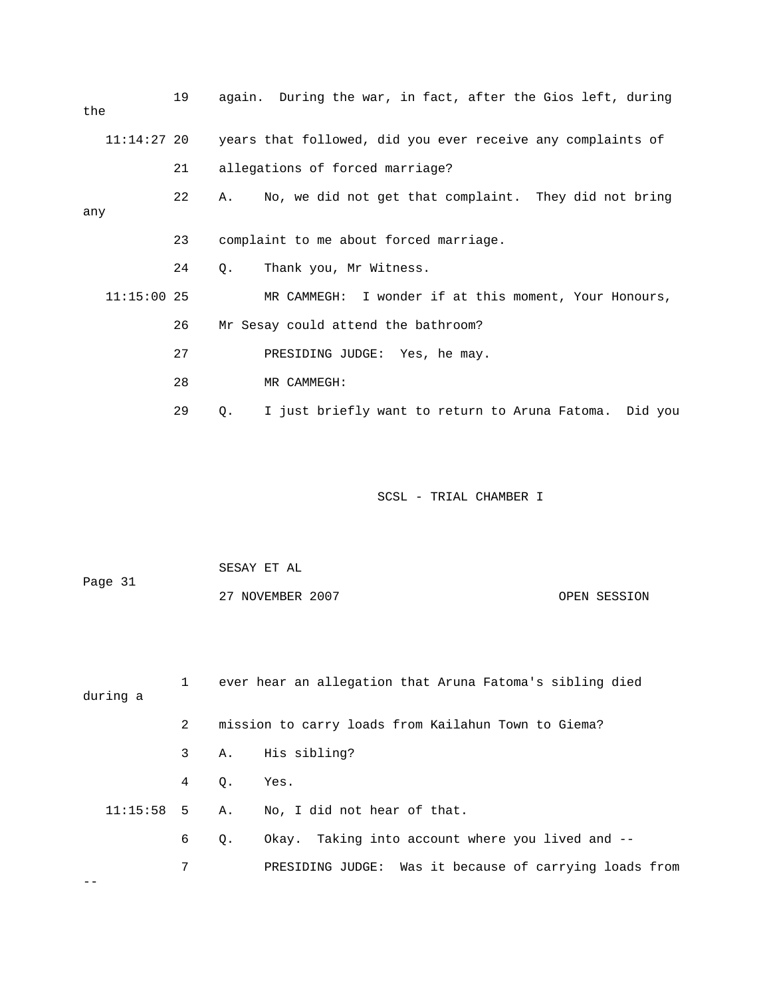| the           | 19 | again. During the war, in fact, after the Gios left, during  |
|---------------|----|--------------------------------------------------------------|
| $11:14:27$ 20 |    | years that followed, did you ever receive any complaints of  |
|               | 21 | allegations of forced marriage?                              |
| any           | 22 | No, we did not get that complaint. They did not bring<br>Α.  |
|               | 23 | complaint to me about forced marriage.                       |
|               | 24 | Thank you, Mr Witness.<br>О.                                 |
| $11:15:00$ 25 |    | MR CAMMEGH: I wonder if at this moment, Your Honours,        |
|               | 26 | Mr Sesay could attend the bathroom?                          |
|               | 27 | PRESIDING JUDGE: Yes, he may.                                |
|               | 28 | MR CAMMEGH:                                                  |
|               | 29 | I just briefly want to return to Aruna Fatoma. Did you<br>Q. |

| Page 31 | SESAY ET AL      |              |
|---------|------------------|--------------|
|         | 27 NOVEMBER 2007 | OPEN SESSION |

| during a |                |           | ever hear an allegation that Aruna Fatoma's sibling died |
|----------|----------------|-----------|----------------------------------------------------------|
|          | $\overline{2}$ |           | mission to carry loads from Kailahun Town to Giema?      |
|          |                |           | 3 A. His sibling?                                        |
|          | 4 Q.           |           | Yes.                                                     |
|          |                |           | $11:15:58$ 5 A. No. I did not hear of that.              |
|          | 6              | $\circ$ . | Okay. Taking into account where you lived and --         |
|          | 7              |           | PRESIDING JUDGE: Was it because of carrying loads from   |
|          |                |           |                                                          |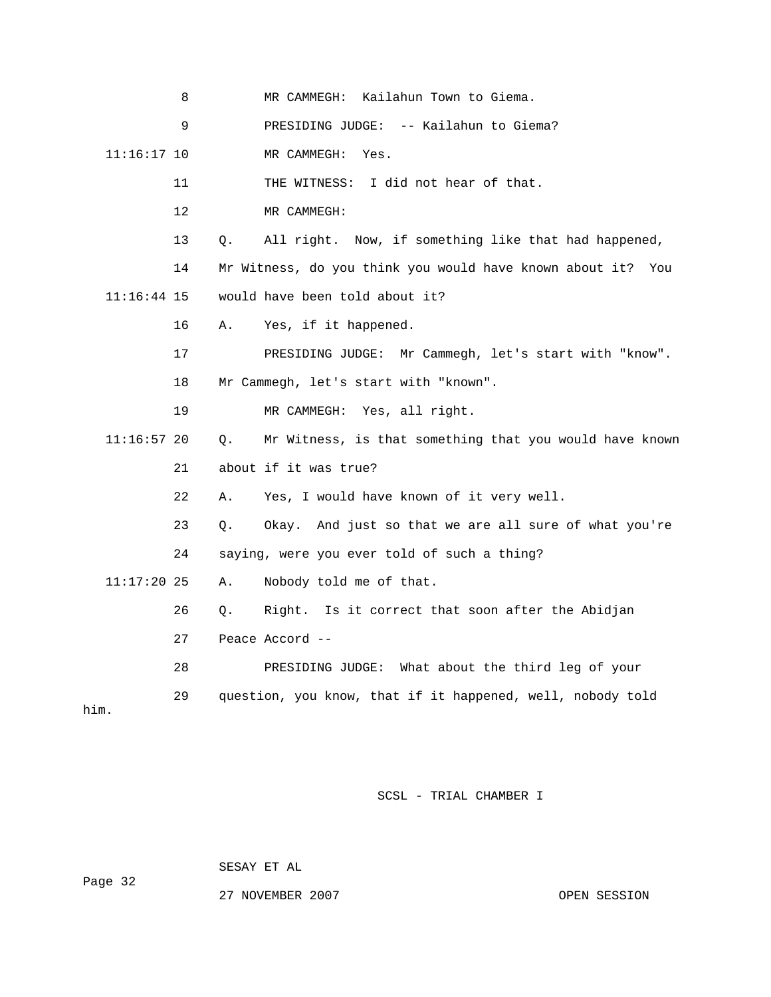|               | 8       |    | Kailahun Town to Giema.<br>MR CAMMEGH:                         |
|---------------|---------|----|----------------------------------------------------------------|
|               | 9       |    | PRESIDING JUDGE: -- Kailahun to Giema?                         |
| $11:16:17$ 10 |         |    | MR CAMMEGH:<br>Yes.                                            |
|               | 11      |    | I did not hear of that.<br>THE WITNESS:                        |
|               | $12 \,$ |    | MR CAMMEGH:                                                    |
|               | 13      | Q. | All right. Now, if something like that had happened,           |
|               | 14      |    | Mr Witness, do you think you would have known about it?<br>You |
| 11:16:44 15   |         |    | would have been told about it?                                 |
|               | 16      | Α. | Yes, if it happened.                                           |
|               | 17      |    | PRESIDING JUDGE: Mr Cammegh, let's start with "know".          |
|               | 18      |    | Mr Cammegh, let's start with "known".                          |
|               | 19      |    | MR CAMMEGH: Yes, all right.                                    |
| 11:16:57 20   |         | Q. | Mr Witness, is that something that you would have known        |
|               | 21      |    | about if it was true?                                          |
|               | 22      | Α. | Yes, I would have known of it very well.                       |
|               | 23      | Q. | Okay. And just so that we are all sure of what you're          |
|               | 24      |    | saying, were you ever told of such a thing?                    |
| $11:17:20$ 25 |         | Α. | Nobody told me of that.                                        |
|               | 26      | Q. | Right. Is it correct that soon after the Abidjan               |
|               | 27      |    | Peace Accord --                                                |
|               | 28      |    | PRESIDING JUDGE: What about the third leg of your              |
| him.          | 29      |    | question, you know, that if it happened, well, nobody told     |

SESAY ET AL

Page 32

27 NOVEMBER 2007 CPEN SESSION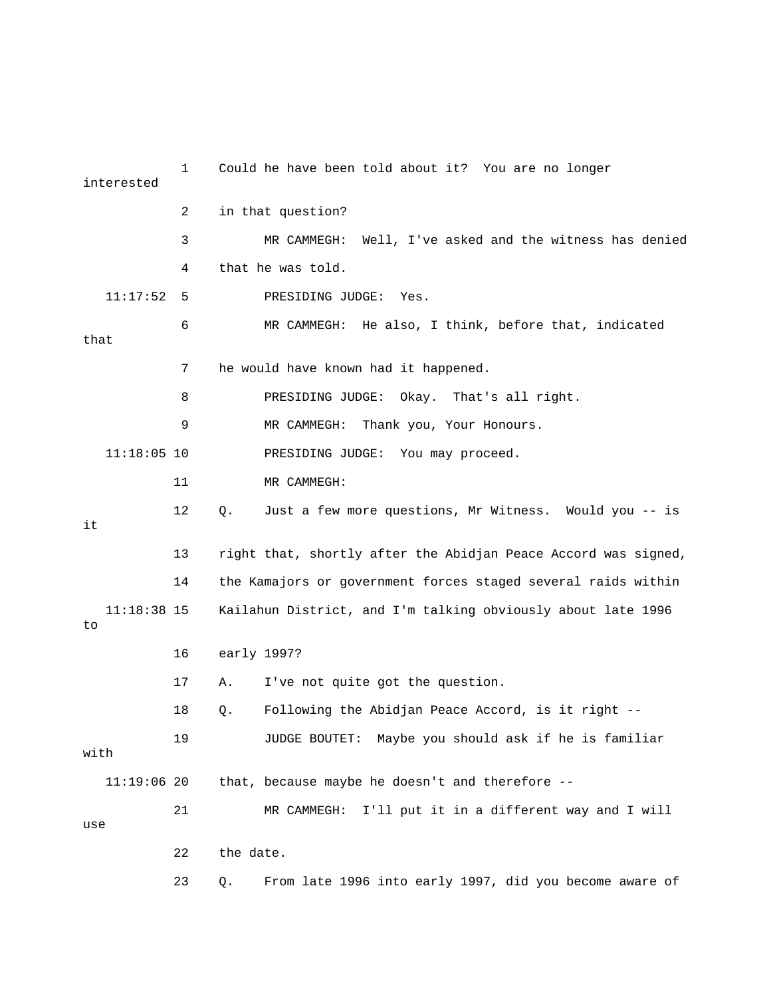| interested          | 1  | Could he have been told about it? You are no longer            |
|---------------------|----|----------------------------------------------------------------|
|                     | 2  | in that question?                                              |
|                     | 3  | Well, I've asked and the witness has denied<br>MR CAMMEGH:     |
|                     | 4  | that he was told.                                              |
| 11:17:52            | 5  | PRESIDING JUDGE:<br>Yes.                                       |
| that                | 6  | MR CAMMEGH: He also, I think, before that, indicated           |
|                     | 7  | he would have known had it happened.                           |
|                     | 8  | PRESIDING JUDGE: Okay.<br>That's all right.                    |
|                     | 9  | MR CAMMEGH:<br>Thank you, Your Honours.                        |
| $11:18:05$ 10       |    | PRESIDING JUDGE: You may proceed.                              |
|                     | 11 | MR CAMMEGH:                                                    |
| it                  | 12 | Just a few more questions, Mr Witness. Would you -- is<br>Q.   |
|                     | 13 | right that, shortly after the Abidjan Peace Accord was signed, |
|                     | 14 | the Kamajors or government forces staged several raids within  |
| $11:18:38$ 15<br>to |    | Kailahun District, and I'm talking obviously about late 1996   |
|                     | 16 | early 1997?                                                    |
|                     | 17 | I've not quite got the question.<br>Α.                         |
|                     | 18 | Following the Abidjan Peace Accord, is it right --<br>Q.       |
| with                | 19 | JUDGE BOUTET: Maybe you should ask if he is familiar           |
| $11:19:06$ 20       |    | that, because maybe he doesn't and therefore --                |
| use                 | 21 | I'll put it in a different way and I will<br>MR CAMMEGH:       |
|                     | 22 | the date.                                                      |
|                     | 23 | From late 1996 into early 1997, did you become aware of<br>Q.  |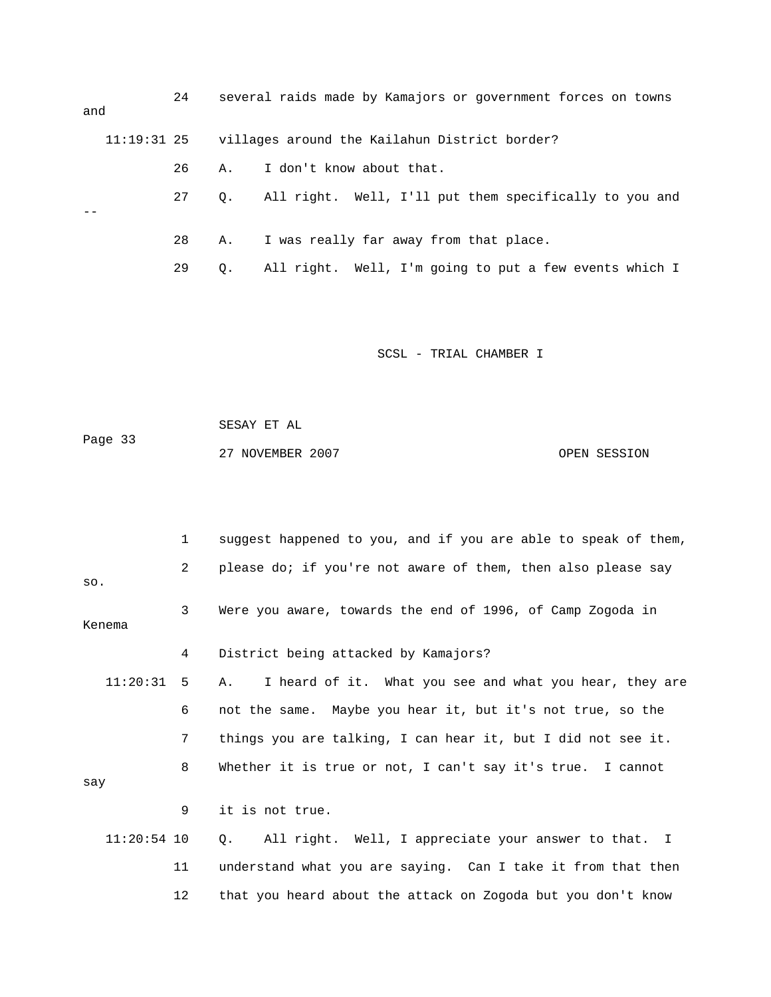| and |               | 24 |           | several raids made by Kamajors or government forces on towns |
|-----|---------------|----|-----------|--------------------------------------------------------------|
|     | $11:19:31$ 25 |    |           | villages around the Kailahun District border?                |
|     |               | 26 | Α.        | I don't know about that.                                     |
|     |               | 27 | О.        | All right. Well, I'll put them specifically to you and       |
|     |               |    |           |                                                              |
|     |               | 28 | А.        | I was really far away from that place.                       |
|     |               | 29 | $\circ$ . | All right. Well, I'm going to put a few events which I       |

 SESAY ET AL Page 33 27 NOVEMBER 2007 OPEN SESSION

 1 suggest happened to you, and if you are able to speak of them, 2 please do; if you're not aware of them, then also please say so. 3 Were you aware, towards the end of 1996, of Camp Zogoda in Kenema 4 District being attacked by Kamajors? 11:20:31 5 A. I heard of it. What you see and what you hear, they are 6 not the same. Maybe you hear it, but it's not true, so the 7 things you are talking, I can hear it, but I did not see it. 8 Whether it is true or not, I can't say it's true. I cannot say 9 it is not true. 11:20:54 10 Q. All right. Well, I appreciate your answer to that. I 11 understand what you are saying. Can I take it from that then

12 that you heard about the attack on Zogoda but you don't know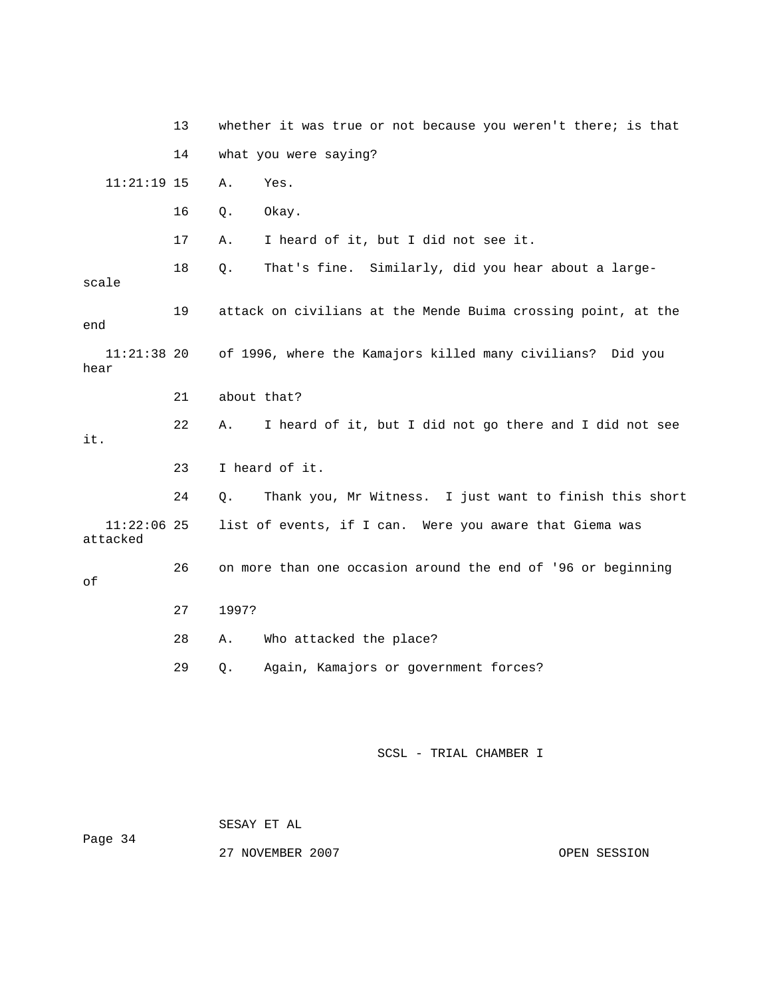13 whether it was true or not because you weren't there; is that 14 what you were saying? 11:21:19 15 A. Yes. 16 Q. Okay. 17 A. I heard of it, but I did not see it. 18 Q. That's fine. Similarly, did you hear about a largescale 19 attack on civilians at the Mende Buima crossing point, at the end 11:21:38 20 of 1996, where the Kamajors killed many civilians? Did you hear 21 about that? 22 A. I heard of it, but I did not go there and I did not see it. 23 I heard of it. 24 Q. Thank you, Mr Witness. I just want to finish this short 11:22:06 25 list of events, if I can. Were you aware that Giema was attacked 26 on more than one occasion around the end of '96 or beginning of 27 1997? 28 A. Who attacked the place? 29 Q. Again, Kamajors or government forces?

SCSL - TRIAL CHAMBER I

 SESAY ET AL Page 34

27 NOVEMBER 2007 **OPEN SESSION**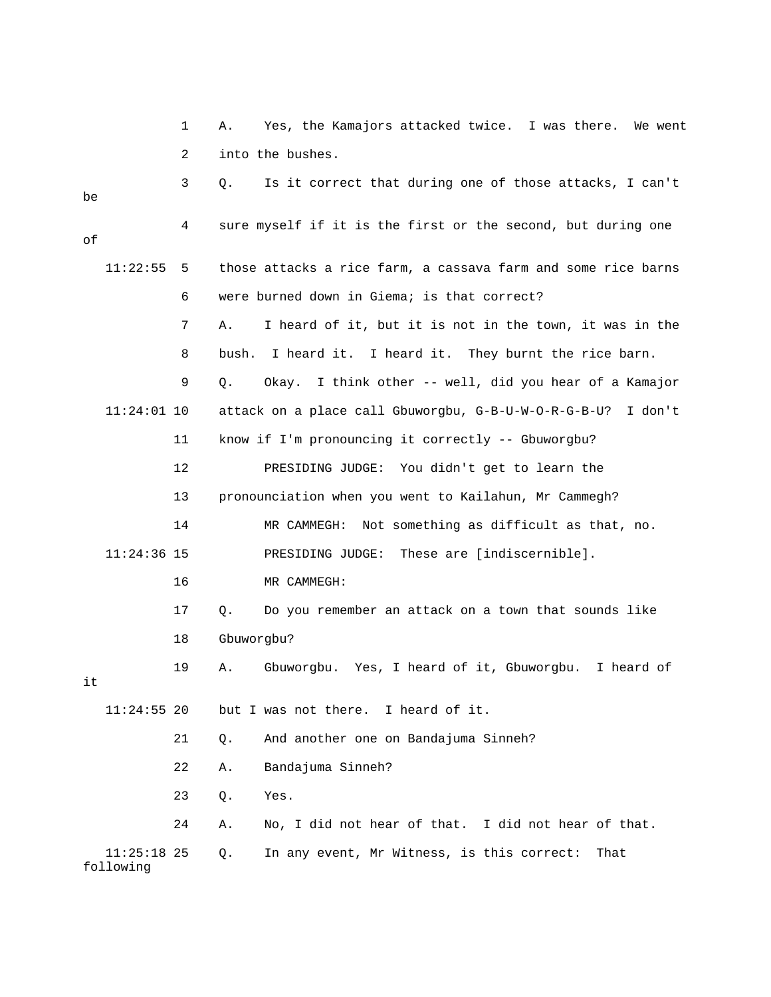|    |                            | 1  | Α.         | Yes, the Kamajors attacked twice. I was there.<br>We went     |
|----|----------------------------|----|------------|---------------------------------------------------------------|
|    |                            | 2  |            | into the bushes.                                              |
| be |                            | 3  | Q.         | Is it correct that during one of those attacks, I can't       |
| οf |                            | 4  |            | sure myself if it is the first or the second, but during one  |
|    | 11:22:55                   | 5  |            | those attacks a rice farm, a cassava farm and some rice barns |
|    |                            | 6  |            | were burned down in Giema; is that correct?                   |
|    |                            | 7  | Α.         | I heard of it, but it is not in the town, it was in the       |
|    |                            | 8  | bush.      | I heard it. I heard it. They burnt the rice barn.             |
|    |                            | 9  | Q.         | Okay. I think other -- well, did you hear of a Kamajor        |
|    | $11:24:01$ 10              |    |            | attack on a place call Gbuworgbu, G-B-U-W-O-R-G-B-U? I don't  |
|    |                            | 11 |            | know if I'm pronouncing it correctly -- Gbuworgbu?            |
|    |                            | 12 |            | PRESIDING JUDGE: You didn't get to learn the                  |
|    |                            | 13 |            | pronounciation when you went to Kailahun, Mr Cammegh?         |
|    |                            | 14 |            | MR CAMMEGH: Not something as difficult as that, no.           |
|    | $11:24:36$ 15              |    |            | PRESIDING JUDGE: These are [indiscernible].                   |
|    |                            | 16 |            | MR CAMMEGH:                                                   |
|    |                            | 17 | Q.         | Do you remember an attack on a town that sounds like          |
|    |                            | 18 | Gbuworgbu? |                                                               |
| it |                            | 19 | Α.         | Gbuworgbu. Yes, I heard of it, Gbuworgbu. I heard of          |
|    | 11:24:55 20                |    |            | but I was not there. I heard of it.                           |
|    |                            | 21 | $Q$ .      | And another one on Bandajuma Sinneh?                          |
|    |                            | 22 | Α.         | Bandajuma Sinneh?                                             |
|    |                            | 23 | Q.         | Yes.                                                          |
|    |                            | 24 | Α.         | No, I did not hear of that. I did not hear of that.           |
|    | $11:25:18$ 25<br>following |    | Q.         | In any event, Mr Witness, is this correct:<br>That            |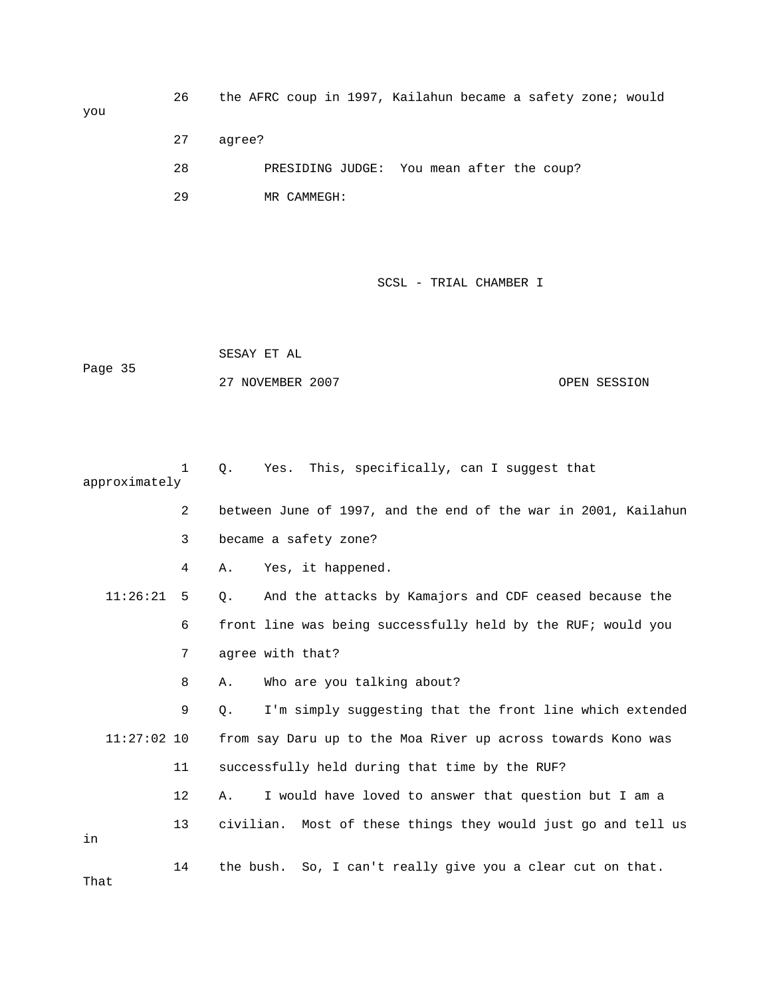you

 26 the AFRC coup in 1997, Kailahun became a safety zone; would 27 agree? 28 PRESIDING JUDGE: You mean after the coup? 29 MR CAMMEGH:

SCSL - TRIAL CHAMBER I

 SESAY ET AL Page 35 27 NOVEMBER 2007 CPEN SESSION

 1 Q. Yes. This, specifically, can I suggest that approximately 2 between June of 1997, and the end of the war in 2001, Kailahun 3 became a safety zone? 4 A. Yes, it happened. 11:26:21 5 Q. And the attacks by Kamajors and CDF ceased because the 6 front line was being successfully held by the RUF; would you 7 agree with that? 8 A. Who are you talking about? 9 Q. I'm simply suggesting that the front line which extended 11:27:02 10 from say Daru up to the Moa River up across towards Kono was 11 successfully held during that time by the RUF? 12 A. I would have loved to answer that question but I am a 13 civilian. Most of these things they would just go and tell us in 14 the bush. So, I can't really give you a clear cut on that. That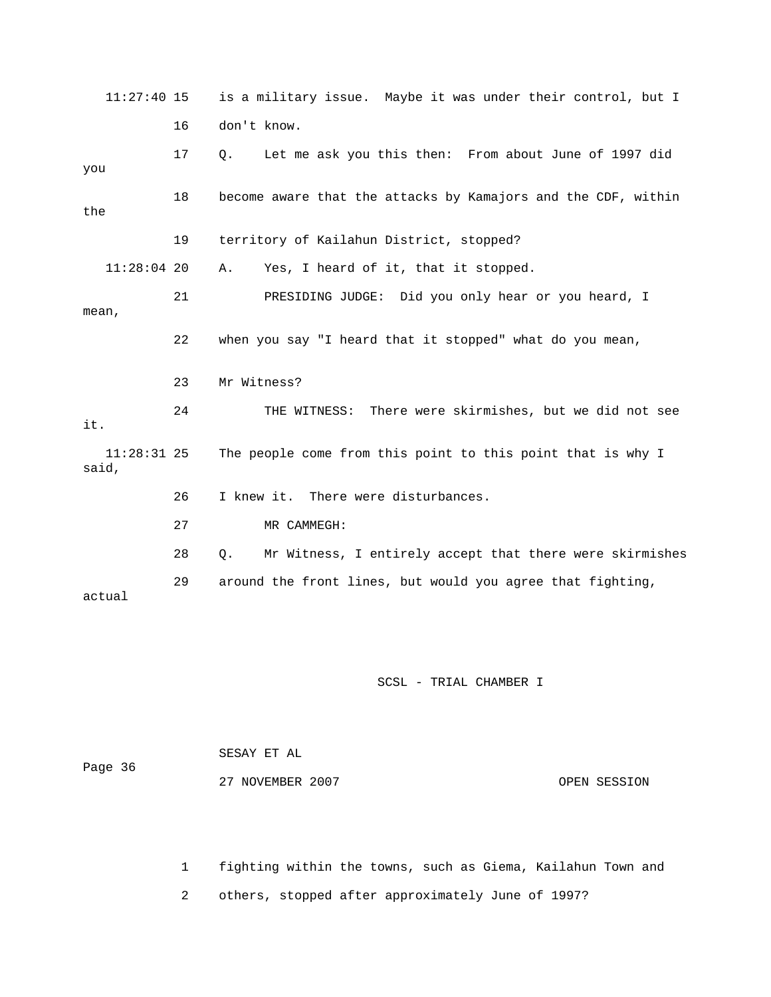11:27:40 15 is a military issue. Maybe it was under their control, but I 16 don't know. 17 Q. Let me ask you this then: From about June of 1997 did you 18 become aware that the attacks by Kamajors and the CDF, within the 19 territory of Kailahun District, stopped? 11:28:04 20 A. Yes, I heard of it, that it stopped. 21 PRESIDING JUDGE: Did you only hear or you heard, I mean, 22 when you say "I heard that it stopped" what do you mean, 23 Mr Witness? 24 THE WITNESS: There were skirmishes, but we did not see it. 11:28:31 25 The people come from this point to this point that is why I said, 26 I knew it. There were disturbances. 27 MR CAMMEGH: 28 Q. Mr Witness, I entirely accept that there were skirmishes 29 around the front lines, but would you agree that fighting, actual

SCSL - TRIAL CHAMBER I

|         | SESAY ET AL      |              |
|---------|------------------|--------------|
| Page 36 |                  |              |
|         | 27 NOVEMBER 2007 | OPEN SESSION |

1 fighting within the towns, such as Giema, Kailahun Town and

2 others, stopped after approximately June of 1997?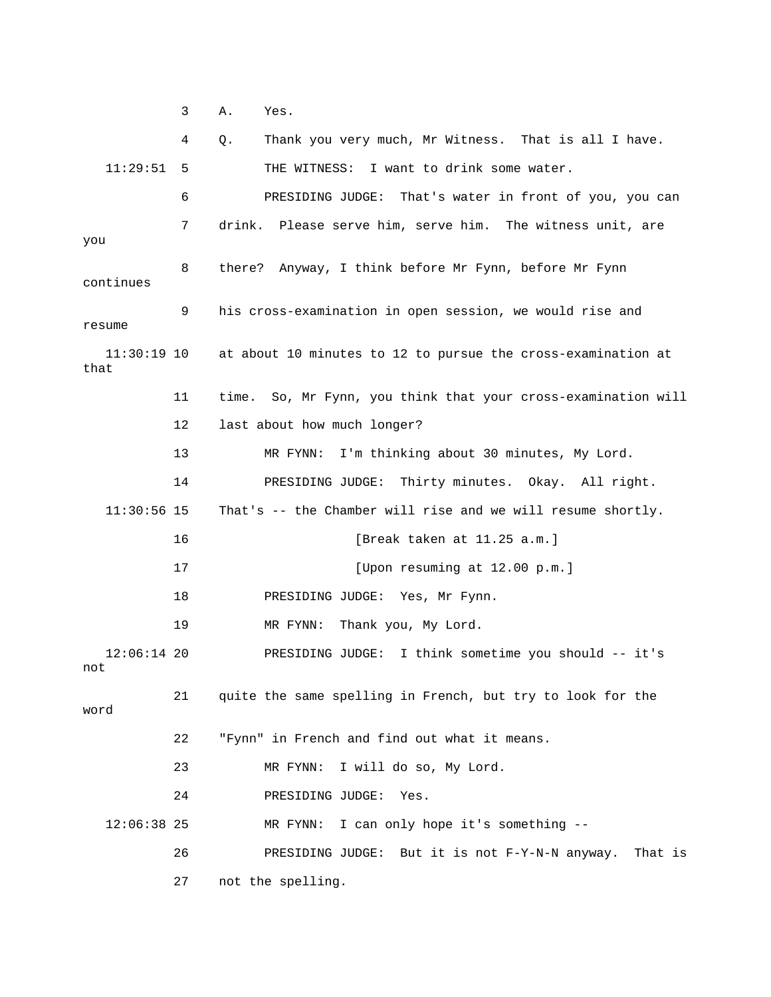3 A. Yes.

|                       | 4  | Thank you very much, Mr Witness. That is all I have.<br>Q.    |
|-----------------------|----|---------------------------------------------------------------|
| 11:29:51              | 5  | THE WITNESS: I want to drink some water.                      |
|                       | 6  | PRESIDING JUDGE: That's water in front of you, you can        |
|                       | 7  | drink. Please serve him, serve him. The witness unit, are     |
| you<br>continues      | 8  | there? Anyway, I think before Mr Fynn, before Mr Fynn         |
| resume                | 9  | his cross-examination in open session, we would rise and      |
| $11:30:19$ 10<br>that |    | at about 10 minutes to 12 to pursue the cross-examination at  |
|                       | 11 | time. So, Mr Fynn, you think that your cross-examination will |
|                       | 12 | last about how much longer?                                   |
|                       | 13 | I'm thinking about 30 minutes, My Lord.<br>MR FYNN:           |
|                       | 14 | PRESIDING JUDGE: Thirty minutes. Okay. All right.             |
| $11:30:56$ 15         |    | That's -- the Chamber will rise and we will resume shortly.   |
|                       | 16 | [Break taken at 11.25 a.m.]                                   |
|                       | 17 | [Upon resuming at 12.00 p.m.]                                 |
|                       | 18 | PRESIDING JUDGE: Yes, Mr Fynn.                                |
|                       | 19 | MR FYNN:<br>Thank you, My Lord.                               |
| $12:06:14$ 20<br>not  |    | PRESIDING JUDGE: I think sometime you should -- it's          |
| word                  | 21 | quite the same spelling in French, but try to look for the    |
|                       | 22 | "Fynn" in French and find out what it means.                  |
|                       | 23 | I will do so, My Lord.<br>MR FYNN:                            |
|                       | 24 | PRESIDING JUDGE:<br>Yes.                                      |
| 12:06:38 25           |    | I can only hope it's something --<br>MR FYNN:                 |
|                       | 26 | PRESIDING JUDGE: But it is not F-Y-N-N anyway.<br>That is     |
|                       | 27 | not the spelling.                                             |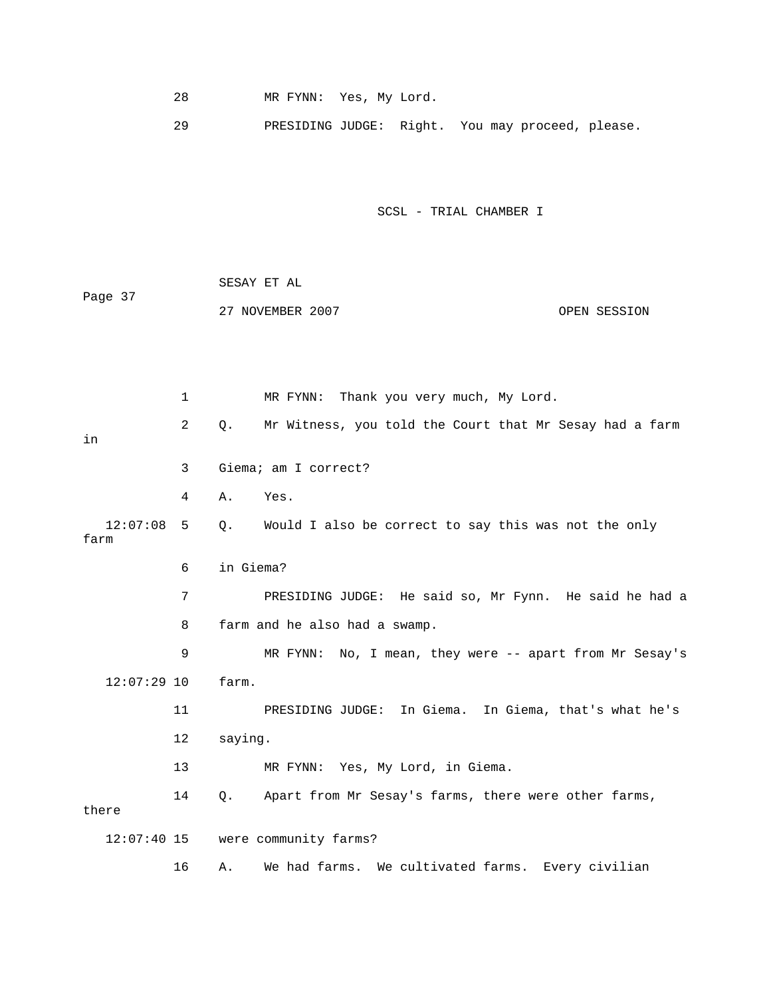28 MR FYNN: Yes, My Lord.

29 PRESIDING JUDGE: Right. You may proceed, please.

SCSL - TRIAL CHAMBER I

|         | SESAY ET AL      |              |
|---------|------------------|--------------|
| Page 37 |                  |              |
|         | 27 NOVEMBER 2007 | OPEN SESSION |

 1 MR FYNN: Thank you very much, My Lord. 2 Q. Mr Witness, you told the Court that Mr Sesay had a farm in 3 Giema; am I correct? 4 A. Yes. 12:07:08 5 Q. Would I also be correct to say this was not the only farm 6 in Giema? 7 PRESIDING JUDGE: He said so, Mr Fynn. He said he had a 8 farm and he also had a swamp. 9 MR FYNN: No, I mean, they were -- apart from Mr Sesay's 12:07:29 10 farm. 11 PRESIDING JUDGE: In Giema. In Giema, that's what he's 12 saying. 13 MR FYNN: Yes, My Lord, in Giema. 14 Q. Apart from Mr Sesay's farms, there were other farms, there 12:07:40 15 were community farms? 16 A. We had farms. We cultivated farms. Every civilian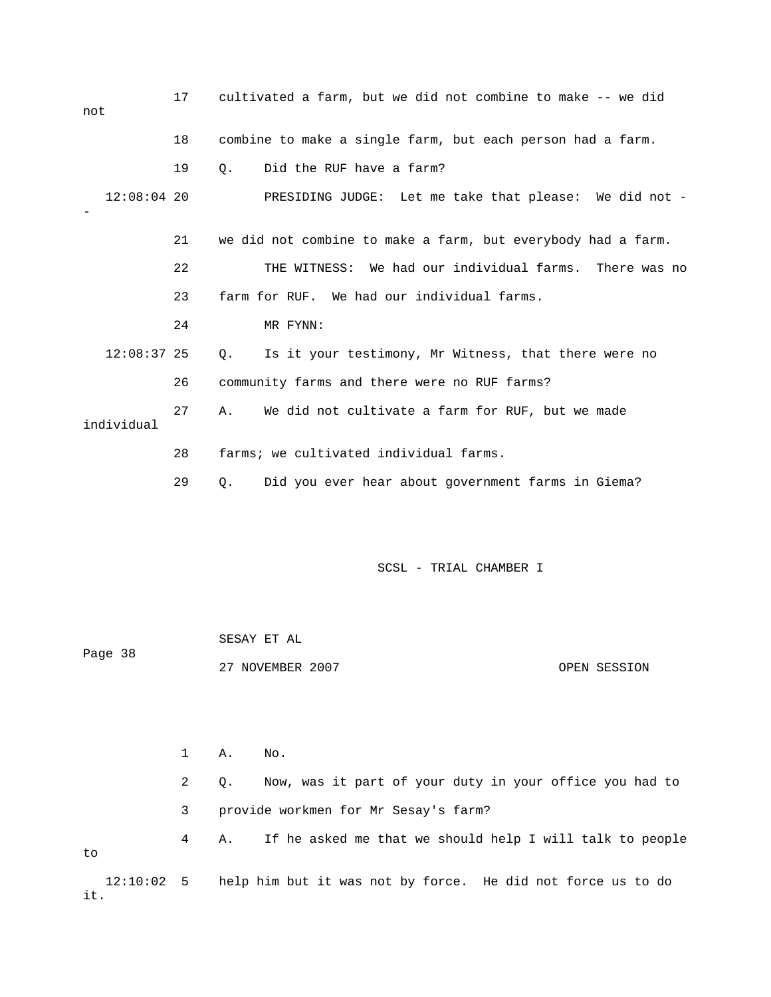| not           | 17 | cultivated a farm, but we did not combine to make -- we did       |
|---------------|----|-------------------------------------------------------------------|
|               | 18 | combine to make a single farm, but each person had a farm.        |
|               | 19 | Did the RUF have a farm?<br>0.                                    |
| $12:08:04$ 20 |    | PRESIDING JUDGE: Let me take that please: We did not -            |
|               | 21 | we did not combine to make a farm, but everybody had a farm.      |
|               | 22 | THE WITNESS: We had our individual farms. There was no            |
|               | 23 | farm for RUF. We had our individual farms.                        |
|               | 24 | MR FYNN:                                                          |
| $12:08:37$ 25 |    | Is it your testimony, Mr Witness, that there were no<br>$\circ$ . |
|               | 26 | community farms and there were no RUF farms?                      |
| individual    | 27 | We did not cultivate a farm for RUF, but we made<br>Α.            |
|               | 28 | farms; we cultivated individual farms.                            |
|               | 29 | Did you ever hear about government farms in Giema?<br>О.          |

| Page 38 | SESAY ET AL      |              |
|---------|------------------|--------------|
|         | 27 NOVEMBER 2007 | OPEN SESSION |

 1 A. No. 2 Q. Now, was it part of your duty in your office you had to 3 provide workmen for Mr Sesay's farm? 4 A. If he asked me that we should help I will talk to people to 12:10:02 5 help him but it was not by force. He did not force us to do it.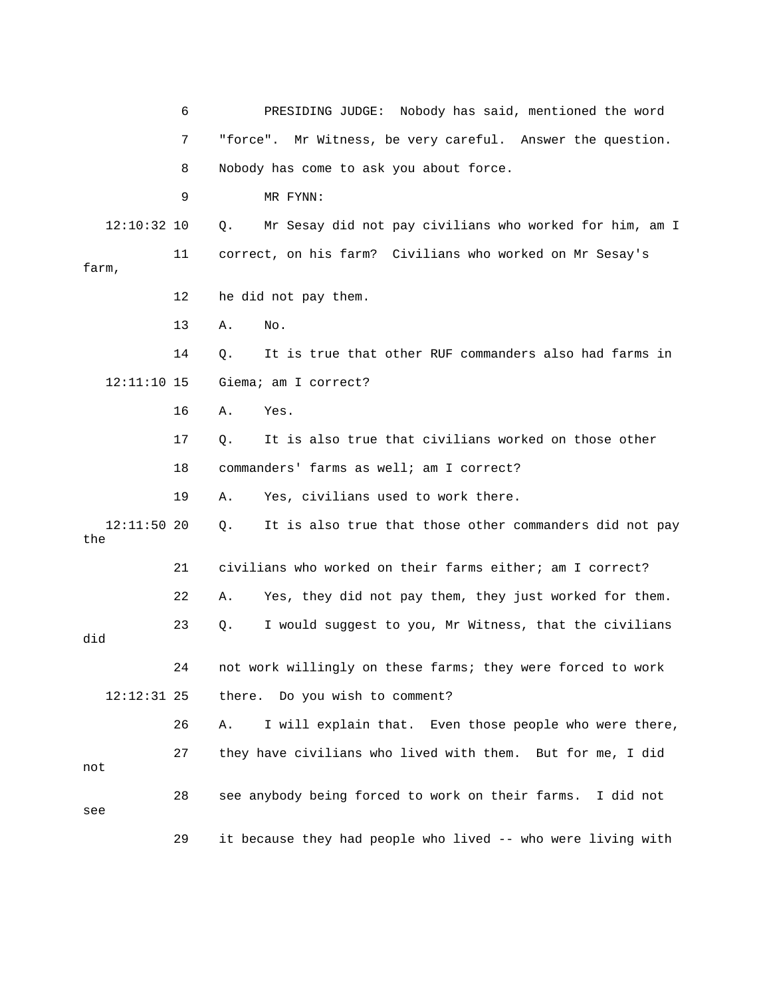6 PRESIDING JUDGE: Nobody has said, mentioned the word 7 "force". Mr Witness, be very careful. Answer the question. 8 Nobody has come to ask you about force. 9 MR FYNN: 12:10:32 10 Q. Mr Sesay did not pay civilians who worked for him, am I 11 correct, on his farm? Civilians who worked on Mr Sesay's farm, 12 he did not pay them. 13 A. No. 14 Q. It is true that other RUF commanders also had farms in 12:11:10 15 Giema; am I correct? 16 A. Yes. 17 Q. It is also true that civilians worked on those other 18 commanders' farms as well; am I correct? 19 A. Yes, civilians used to work there. 12:11:50 20 Q. It is also true that those other commanders did not pay the 21 civilians who worked on their farms either; am I correct? 22 A. Yes, they did not pay them, they just worked for them. 23 Q. I would suggest to you, Mr Witness, that the civilians did 24 not work willingly on these farms; they were forced to work 12:12:31 25 there. Do you wish to comment? 26 A. I will explain that. Even those people who were there, 27 they have civilians who lived with them. But for me, I did not 28 see anybody being forced to work on their farms. I did not see 29 it because they had people who lived -- who were living with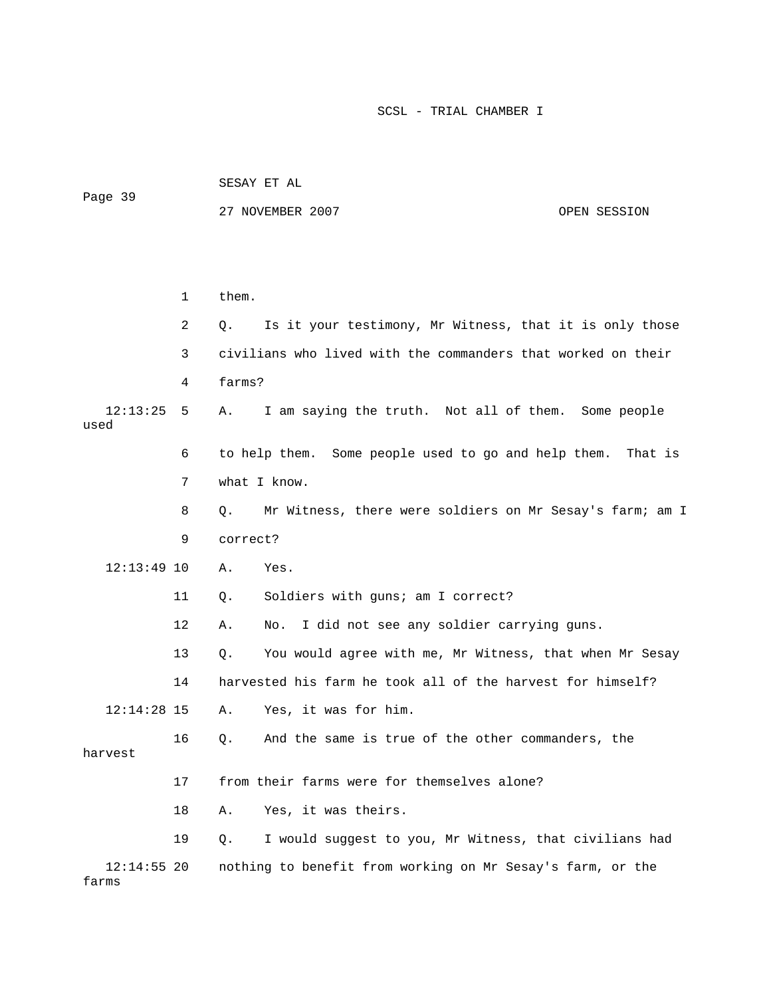|         | SESAY ET AL      |              |  |  |  |  |
|---------|------------------|--------------|--|--|--|--|
| Page 39 | 27 NOVEMBER 2007 | OPEN SESSION |  |  |  |  |
|         |                  |              |  |  |  |  |
|         |                  |              |  |  |  |  |

|                        | 1              | them.                                                          |
|------------------------|----------------|----------------------------------------------------------------|
|                        | $\overline{2}$ | Is it your testimony, Mr Witness, that it is only those<br>О.  |
|                        | 3              | civilians who lived with the commanders that worked on their   |
|                        | 4              | farms?                                                         |
| 12:13:25<br>used       | 5              | I am saying the truth. Not all of them. Some people<br>Α.      |
|                        | 6              | to help them. Some people used to go and help them. That is    |
|                        | 7              | what I know.                                                   |
|                        | 8              | Mr Witness, there were soldiers on Mr Sesay's farm; am I<br>О. |
|                        | 9              | correct?                                                       |
| $12:13:49$ 10          |                | Α.<br>Yes.                                                     |
|                        | 11             | Soldiers with guns; am I correct?<br>Q.                        |
|                        | 12             | I did not see any soldier carrying guns.<br>Α.<br>No.          |
|                        | 13             | You would agree with me, Mr Witness, that when Mr Sesay<br>Q.  |
|                        | 14             | harvested his farm he took all of the harvest for himself?     |
| $12:14:28$ 15          |                | Yes, it was for him.<br>Α.                                     |
| harvest                | 16             | And the same is true of the other commanders, the<br>Q.        |
|                        | 17             | from their farms were for themselves alone?                    |
|                        | 18             | Yes, it was theirs.<br>Α.                                      |
|                        | 19             | I would suggest to you, Mr Witness, that civilians had<br>О.   |
| $12:14:55$ 20<br>farms |                | nothing to benefit from working on Mr Sesay's farm, or the     |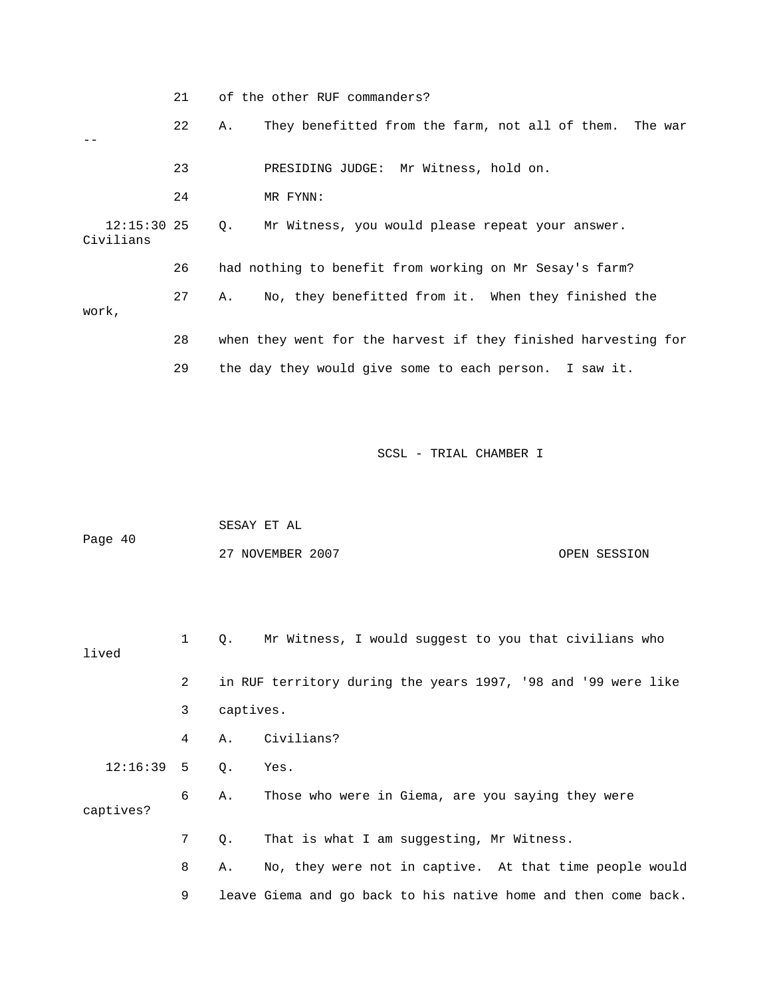|       |                            | 21 | of the other RUF commanders? |                                                                |  |
|-------|----------------------------|----|------------------------------|----------------------------------------------------------------|--|
|       |                            | 22 | Α.                           | They benefitted from the farm, not all of them. The war        |  |
|       |                            | 23 |                              | PRESIDING JUDGE: Mr Witness, hold on.                          |  |
|       |                            | 24 |                              | MR FYNN:                                                       |  |
|       | $12:15:30$ 25<br>Civilians |    | $Q_{\star}$                  | Mr Witness, you would please repeat your answer.               |  |
|       |                            | 26 |                              | had nothing to benefit from working on Mr Sesay's farm?        |  |
| work, |                            | 27 | Α.                           | No, they benefitted from it. When they finished the            |  |
|       |                            | 28 |                              | when they went for the harvest if they finished harvesting for |  |
|       |                            | 29 |                              | the day they would give some to each person. I saw it.         |  |
|       |                            |    |                              |                                                                |  |

|         | SESAY ET AL      |              |
|---------|------------------|--------------|
| Page 40 |                  |              |
|         | 27 NOVEMBER 2007 | OPEN SESSION |

| lived        | $\mathbf{1}$ | $\circ$ . | Mr Witness, I would suggest to you that civilians who          |
|--------------|--------------|-----------|----------------------------------------------------------------|
|              | 2            |           | in RUF territory during the years 1997, '98 and '99 were like  |
|              | 3            | captives. |                                                                |
|              | 4            |           | A. Civilians?                                                  |
| $12:16:39$ 5 |              | Q.        | Yes.                                                           |
| captives?    | 6            | Α.        | Those who were in Giema, are you saying they were              |
|              | 7            | Q.        | That is what I am suggesting, Mr Witness.                      |
|              | 8            | Α.        | No, they were not in captive. At that time people would        |
|              | 9            |           | leave Giema and go back to his native home and then come back. |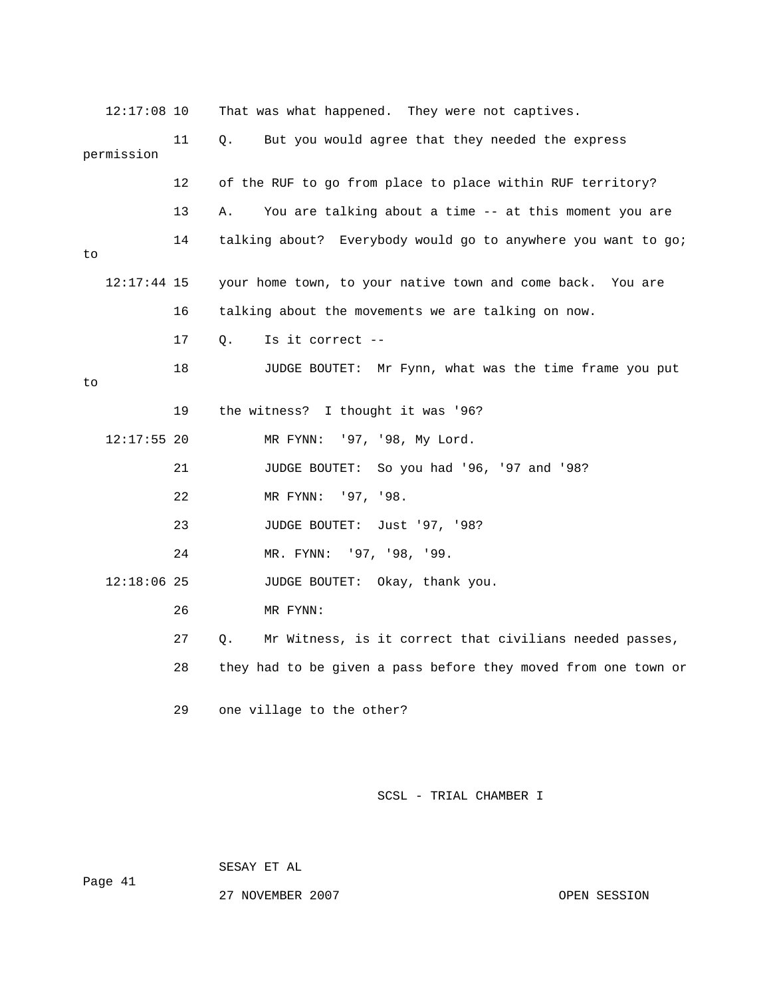| $12:17:08$ 10 |    | That was what happened. They were not captives.                |
|---------------|----|----------------------------------------------------------------|
| permission    | 11 | But you would agree that they needed the express<br>Q.         |
|               | 12 | of the RUF to go from place to place within RUF territory?     |
|               | 13 | You are talking about a time -- at this moment you are<br>Α.   |
| to            | 14 | talking about? Everybody would go to anywhere you want to go;  |
| $12:17:44$ 15 |    | your home town, to your native town and come back. You are     |
|               | 16 | talking about the movements we are talking on now.             |
|               | 17 | Is it correct --<br>О.                                         |
| to            | 18 | JUDGE BOUTET: Mr Fynn, what was the time frame you put         |
|               | 19 | the witness? I thought it was '96?                             |
| $12:17:55$ 20 |    | MR FYNN: '97, '98, My Lord.                                    |
|               | 21 | JUDGE BOUTET: So you had '96, '97 and '98?                     |
|               | 22 | MR FYNN: '97, '98.                                             |
|               | 23 | JUDGE BOUTET: Just '97, '98?                                   |
|               | 24 | MR. FYNN: '97, '98, '99.                                       |
| $12:18:06$ 25 |    | JUDGE BOUTET: Okay, thank you.                                 |
|               | 26 | MR FYNN:                                                       |
|               | 27 | Mr Witness, is it correct that civilians needed passes,<br>О.  |
|               | 28 | they had to be given a pass before they moved from one town or |
|               | 29 | one village to the other?                                      |

SESAY ET AL

Page 41

27 NOVEMBER 2007 CPEN SESSION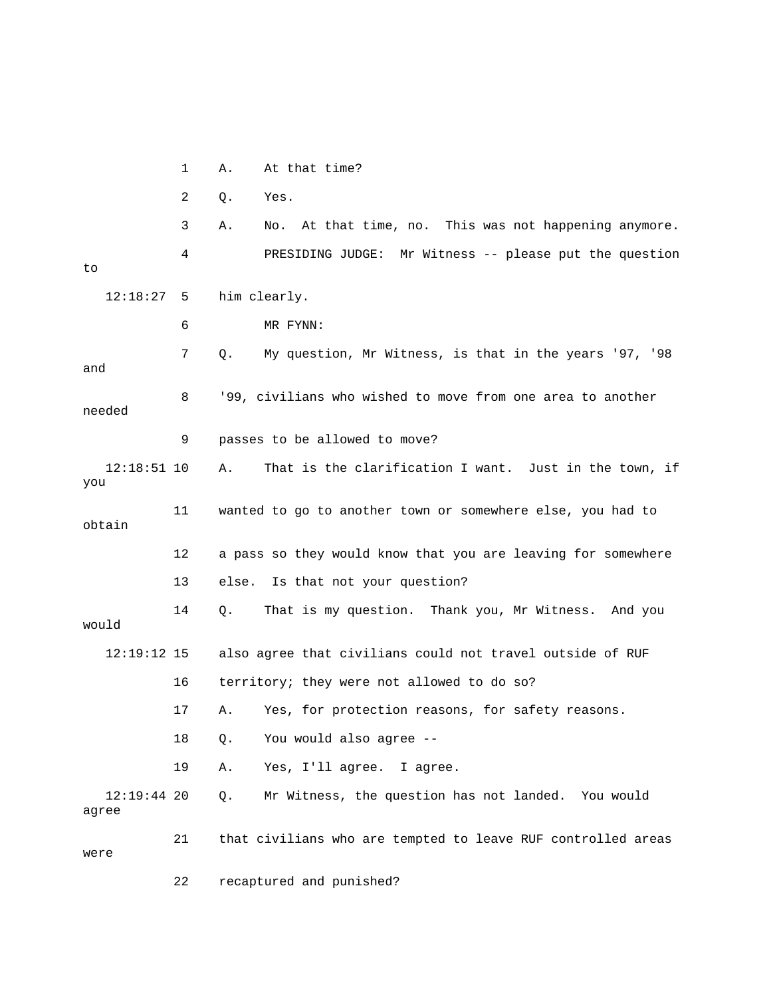1 A. At that time?

2 Q. Yes.

 3 A. No. At that time, no. This was not happening anymore. 4 PRESIDING JUDGE: Mr Witness -- please put the question to 12:18:27 5 him clearly. 6 MR FYNN:

 7 Q. My question, Mr Witness, is that in the years '97, '98 and 8 '99, civilians who wished to move from one area to another needed 9 passes to be allowed to move? 12:18:51 10 A. That is the clarification I want. Just in the town, if you 11 wanted to go to another town or somewhere else, you had to obtain 12 a pass so they would know that you are leaving for somewhere 13 else. Is that not your question? 14 Q. That is my question. Thank you, Mr Witness. And you would 12:19:12 15 also agree that civilians could not travel outside of RUF 16 territory; they were not allowed to do so? 17 A. Yes, for protection reasons, for safety reasons. 18 Q. You would also agree -- 19 A. Yes, I'll agree. I agree. 12:19:44 20 Q. Mr Witness, the question has not landed. You would agree 21 that civilians who are tempted to leave RUF controlled areas

were

22 recaptured and punished?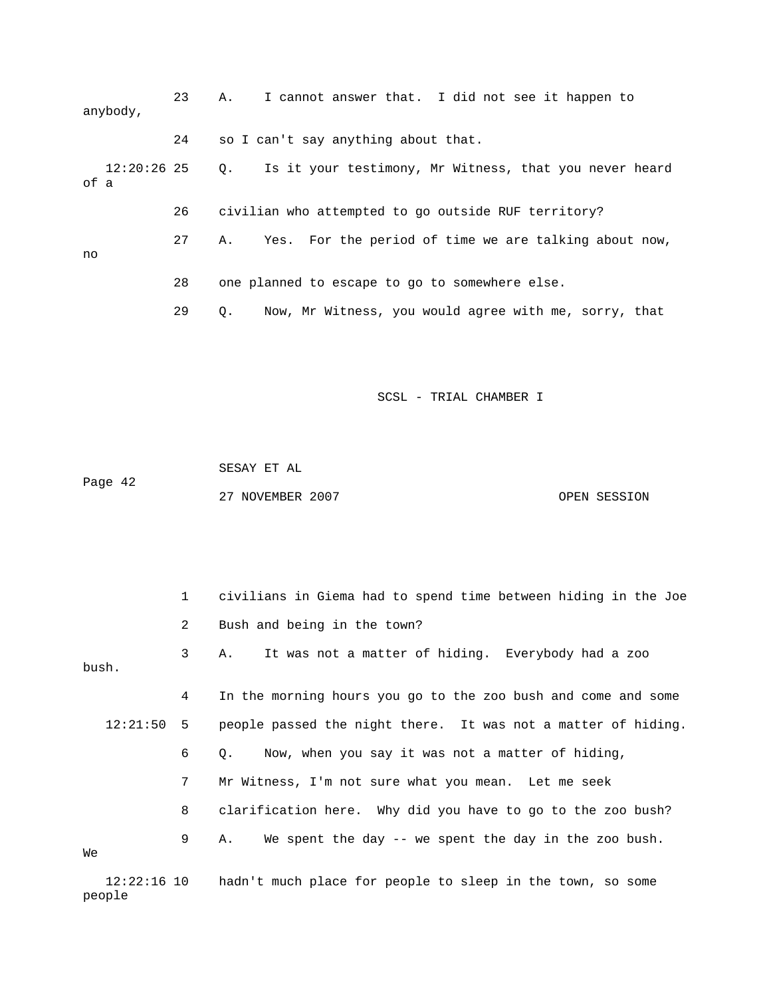|      | anybody,    | 23 | I cannot answer that. I did not see it happen to<br>Α.              |
|------|-------------|----|---------------------------------------------------------------------|
|      |             | 24 | so I can't say anything about that.                                 |
| of a | 12:20:26 25 |    | Is it your testimony, Mr Witness, that you never heard<br>$\circ$ . |
|      |             | 26 | civilian who attempted to go outside RUF territory?                 |
| no   |             | 27 | Yes. For the period of time we are talking about now,<br>Α.         |
|      |             | 28 | one planned to escape to go to somewhere else.                      |
|      |             | 29 | Now, Mr Witness, you would agree with me, sorry, that<br>О.         |

 SESAY ET AL Page 42 27 NOVEMBER 2007 OPEN SESSION

 1 civilians in Giema had to spend time between hiding in the Joe 2 Bush and being in the town? 3 A. It was not a matter of hiding. Everybody had a zoo bush. 4 In the morning hours you go to the zoo bush and come and some 12:21:50 5 people passed the night there. It was not a matter of hiding. 6 Q. Now, when you say it was not a matter of hiding, 7 Mr Witness, I'm not sure what you mean. Let me seek 8 clarification here. Why did you have to go to the zoo bush? 9 A. We spent the day -- we spent the day in the zoo bush. We 12:22:16 10 hadn't much place for people to sleep in the town, so some people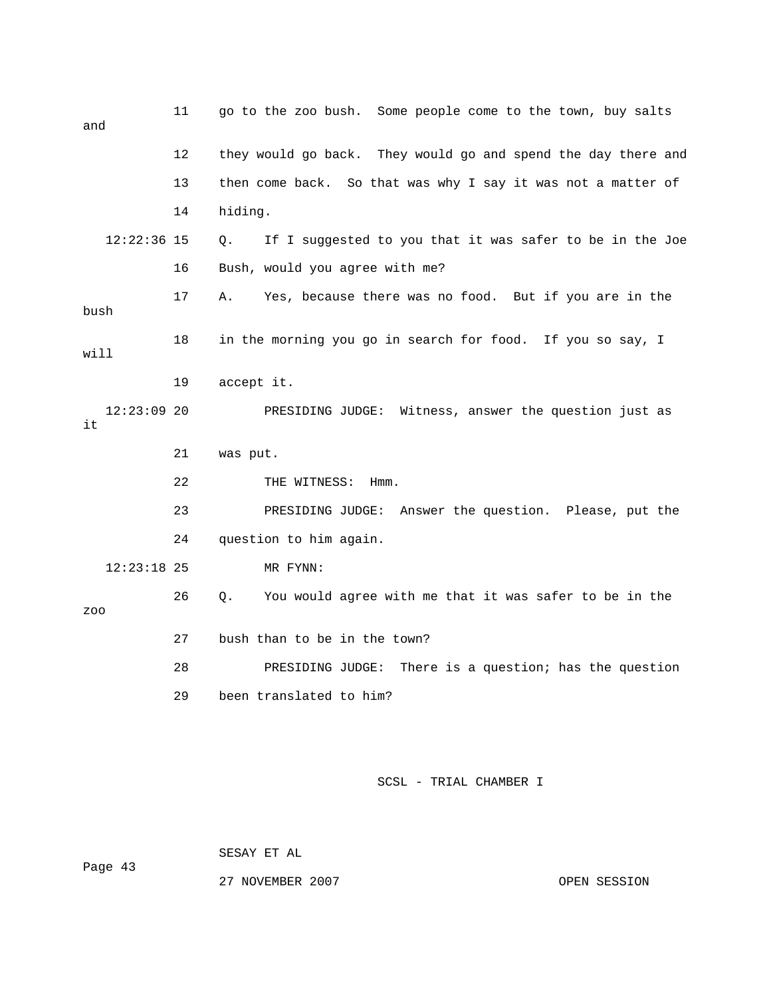| and                 | 11 | go to the zoo bush. Some people come to the town, buy salts              |
|---------------------|----|--------------------------------------------------------------------------|
|                     | 12 | they would go back. They would go and spend the day there and            |
|                     | 13 | then come back. So that was why I say it was not a matter of             |
|                     | 14 | hiding.                                                                  |
| $12:22:36$ 15       |    | If I suggested to you that it was safer to be in the Joe<br>Q.           |
|                     | 16 | Bush, would you agree with me?                                           |
| bush                | 17 | Yes, because there was no food. But if you are in the<br>Α.              |
| will                | 18 | in the morning you go in search for food. If you so say, I               |
|                     | 19 | accept it.                                                               |
| $12:23:09$ 20<br>it |    | PRESIDING JUDGE: Witness, answer the question just as                    |
|                     | 21 | was put.                                                                 |
|                     | 22 | THE WITNESS:<br>$Hmm$ .                                                  |
|                     | 23 | PRESIDING JUDGE: Answer the question. Please, put the                    |
|                     | 24 | question to him again.                                                   |
| $12:23:18$ 25       |    | MR FYNN:                                                                 |
| ZOO                 | 26 | You would agree with me that it was safer to be in the<br>Q <sub>z</sub> |
|                     | 27 | bush than to be in the town?                                             |
|                     | 28 | PRESIDING JUDGE: There is a question; has the question                   |
|                     | 29 | been translated to him?                                                  |

Page 43

SESAY ET AL

27 NOVEMBER 2007 CPEN SESSION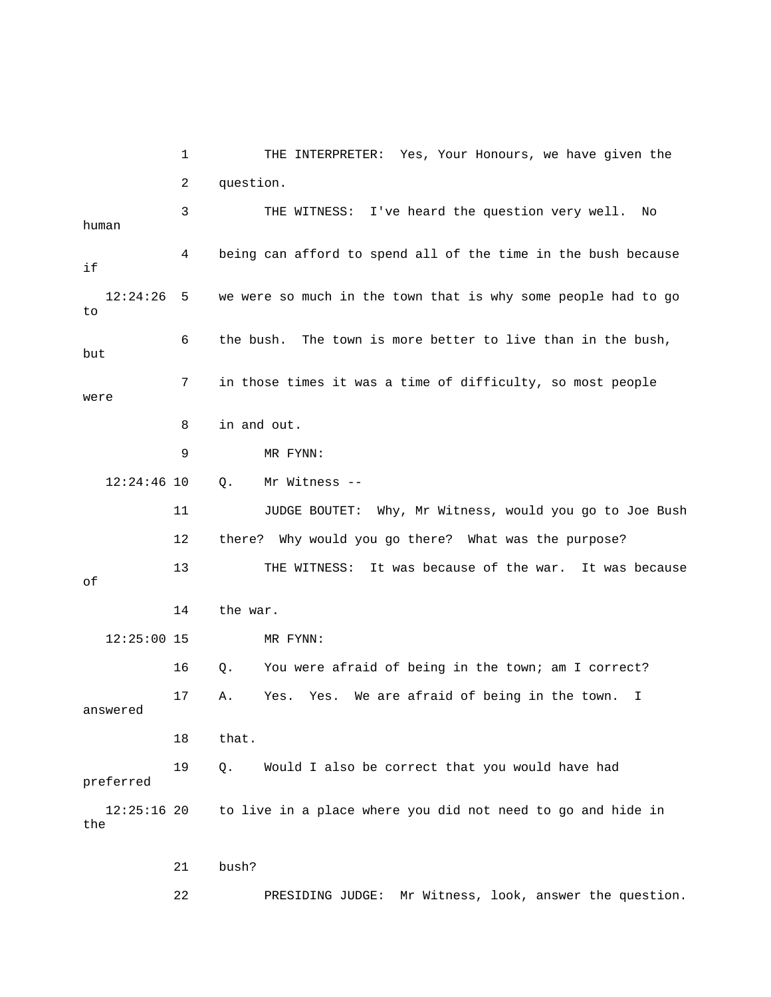1 THE INTERPRETER: Yes, Your Honours, we have given the 2 question. 3 THE WITNESS: I've heard the question very well. No human 4 being can afford to spend all of the time in the bush because if 12:24:26 5 we were so much in the town that is why some people had to go to 6 the bush. The town is more better to live than in the bush, but 7 in those times it was a time of difficulty, so most people were 8 in and out. 9 MR FYNN: 12:24:46 10 Q. Mr Witness -- 11 JUDGE BOUTET: Why, Mr Witness, would you go to Joe Bush 12 there? Why would you go there? What was the purpose? 13 THE WITNESS: It was because of the war. It was because of 14 the war. 12:25:00 15 MR FYNN: 16 Q. You were afraid of being in the town; am I correct? 17 A. Yes. Yes. We are afraid of being in the town. I answered 18 that. 19 Q. Would I also be correct that you would have had preferred 12:25:16 20 to live in a place where you did not need to go and hide in the 21 bush?

22 PRESIDING JUDGE: Mr Witness, look, answer the question.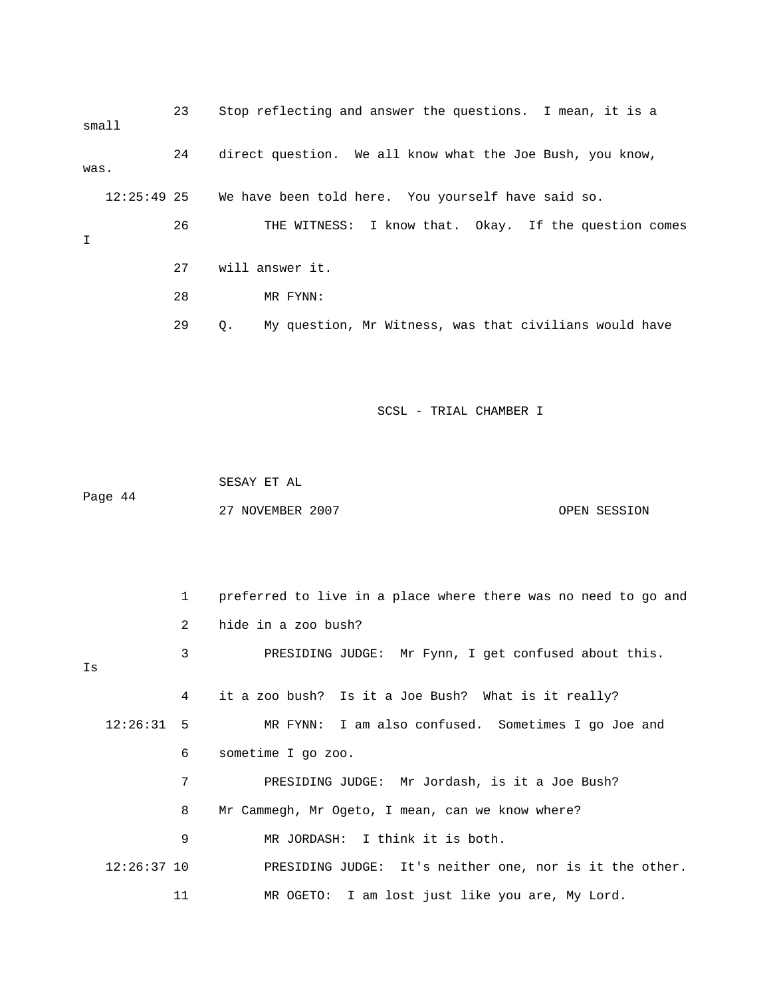23 Stop reflecting and answer the questions. I mean, it is a small 24 direct question. We all know what the Joe Bush, you know, was. 12:25:49 25 We have been told here. You yourself have said so. 26 THE WITNESS: I know that. Okay. If the question comes I 27 will answer it. 28 MR FYNN: 29 Q. My question, Mr Witness, was that civilians would have

SCSL - TRIAL CHAMBER I

 SESAY ET AL Page 44 27 NOVEMBER 2007 CPEN SESSION

 1 preferred to live in a place where there was no need to go and 2 hide in a zoo bush? 3 PRESIDING JUDGE: Mr Fynn, I get confused about this. Is 4 it a zoo bush? Is it a Joe Bush? What is it really? 12:26:31 5 MR FYNN: I am also confused. Sometimes I go Joe and 6 sometime I go zoo. 7 PRESIDING JUDGE: Mr Jordash, is it a Joe Bush? 8 Mr Cammegh, Mr Ogeto, I mean, can we know where? 9 MR JORDASH: I think it is both. 12:26:37 10 PRESIDING JUDGE: It's neither one, nor is it the other. 11 MR OGETO: I am lost just like you are, My Lord.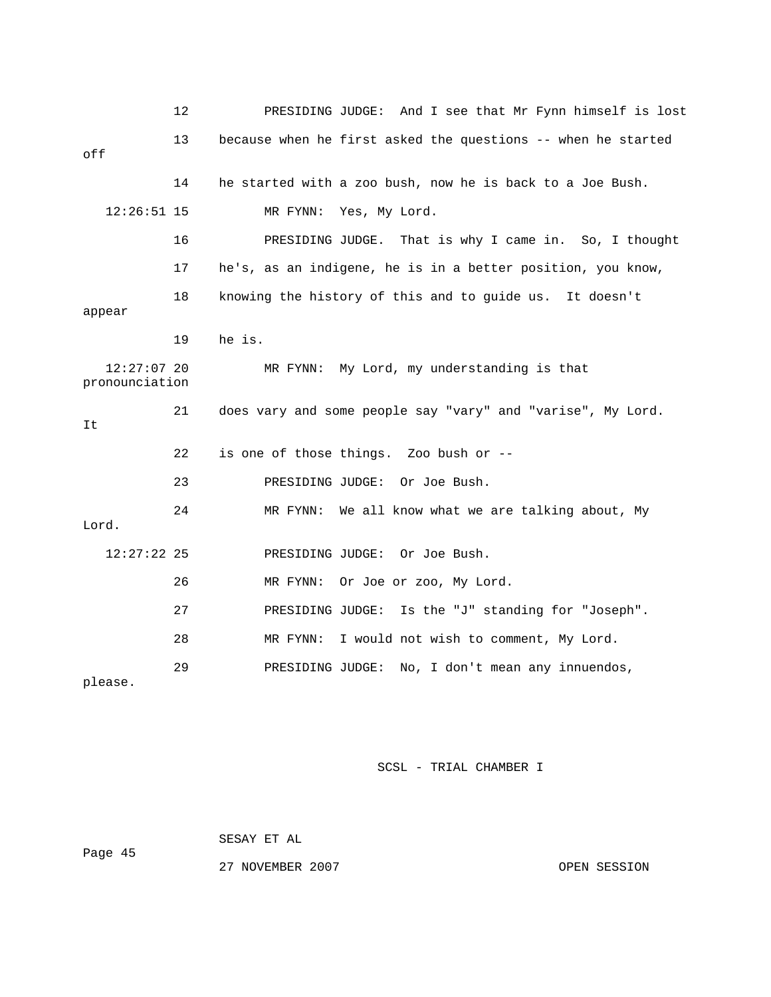|                                 | 12 | PRESIDING JUDGE: And I see that Mr Fynn himself is lost      |
|---------------------------------|----|--------------------------------------------------------------|
| off                             | 13 | because when he first asked the questions -- when he started |
|                                 | 14 | he started with a zoo bush, now he is back to a Joe Bush.    |
| $12:26:51$ 15                   |    | MR FYNN:<br>Yes, My Lord.                                    |
|                                 | 16 | PRESIDING JUDGE.<br>That is why I came in. So, I thought     |
|                                 | 17 | he's, as an indigene, he is in a better position, you know,  |
| appear                          | 18 | knowing the history of this and to guide us. It doesn't      |
|                                 | 19 | he is.                                                       |
| $12:27:07$ 20<br>pronounciation |    | My Lord, my understanding is that<br>MR FYNN:                |
|                                 |    |                                                              |
| It                              | 21 | does vary and some people say "vary" and "varise", My Lord.  |
|                                 | 22 | is one of those things. Zoo bush or --                       |
|                                 | 23 | PRESIDING JUDGE: Or Joe Bush.                                |
| Lord.                           | 24 | We all know what we are talking about, My<br>MR FYNN:        |
| $12:27:22$ 25                   |    | PRESIDING JUDGE: Or Joe Bush.                                |
|                                 | 26 | MR FYNN:<br>Or Joe or zoo, My Lord.                          |
|                                 | 27 | Is the "J" standing for "Joseph".<br>PRESIDING JUDGE:        |
|                                 | 28 | I would not wish to comment, My Lord.<br>MR FYNN:            |

 SESAY ET AL Page 45

27 NOVEMBER 2007 OPEN SESSION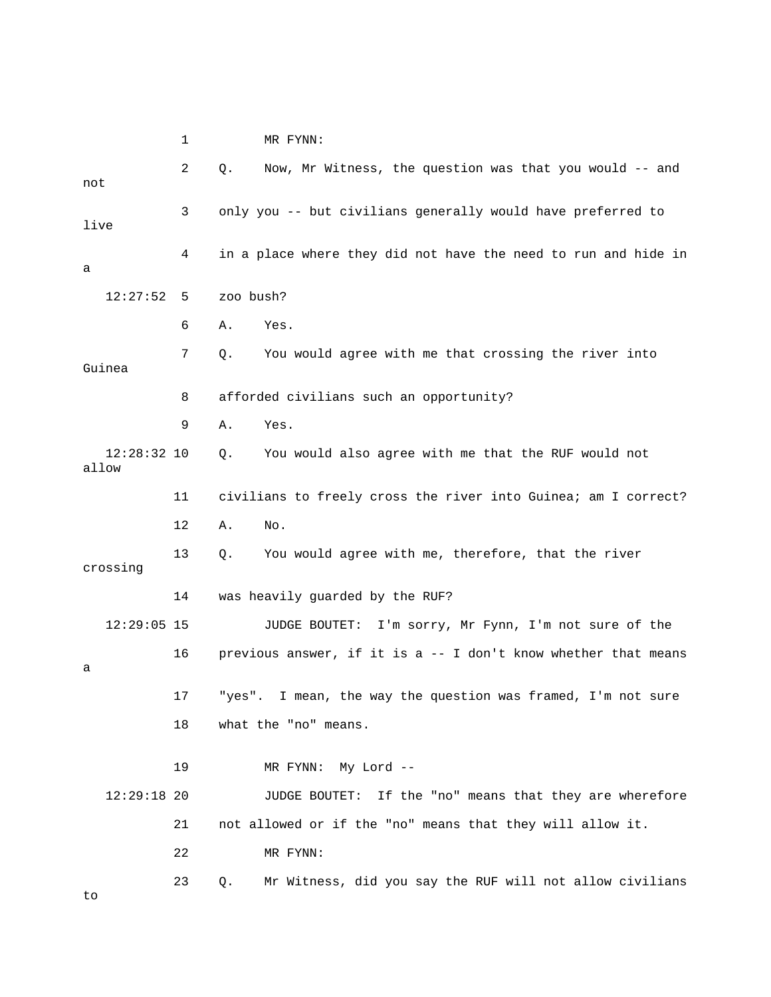1 MR FYNN: 2 Q. Now, Mr Witness, the question was that you would -- and not 3 only you -- but civilians generally would have preferred to live 4 in a place where they did not have the need to run and hide in a 12:27:52 5 zoo bush? 6 A. Yes. 7 Q. You would agree with me that crossing the river into Guinea 8 afforded civilians such an opportunity? 9 A. Yes. 12:28:32 10 Q. You would also agree with me that the RUF would not allow 11 civilians to freely cross the river into Guinea; am I correct? 12 A. No. 13 Q. You would agree with me, therefore, that the river crossing 14 was heavily guarded by the RUF? 12:29:05 15 JUDGE BOUTET: I'm sorry, Mr Fynn, I'm not sure of the 16 previous answer, if it is a -- I don't know whether that means a 17 "yes". I mean, the way the question was framed, I'm not sure 18 what the "no" means. 19 MR FYNN: My Lord -- 12:29:18 20 JUDGE BOUTET: If the "no" means that they are wherefore 21 not allowed or if the "no" means that they will allow it. 22 MR FYNN: 23 Q. Mr Witness, did you say the RUF will not allow civilians to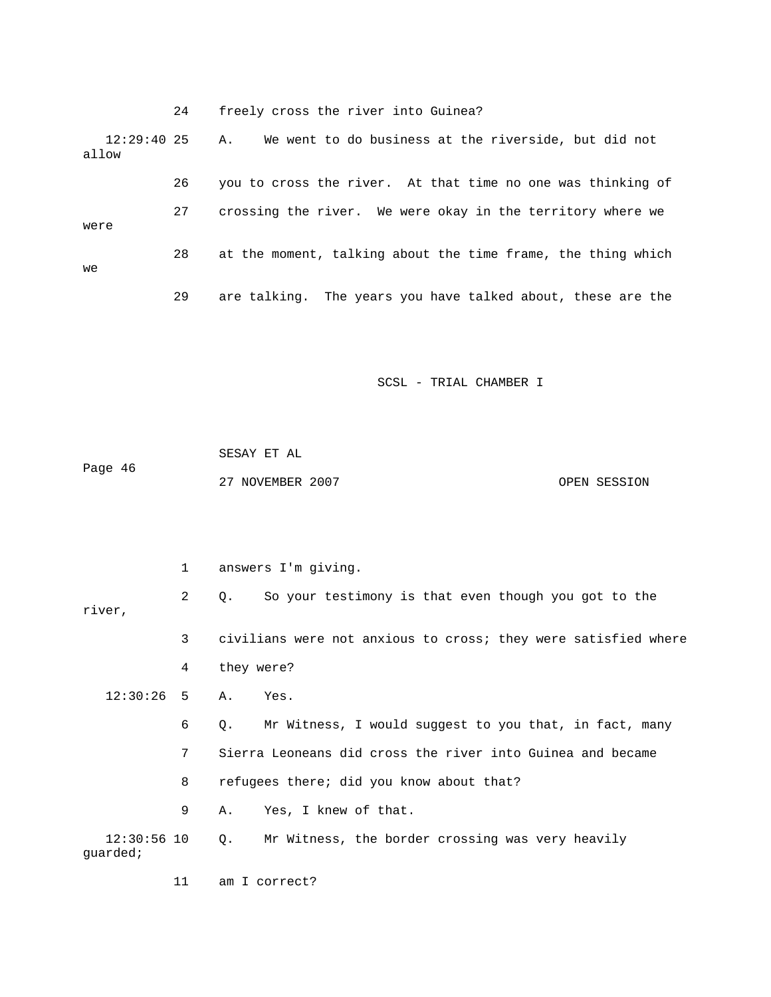24 freely cross the river into Guinea? 12:29:40 25 A. We went to do business at the riverside, but did not allow 26 you to cross the river. At that time no one was thinking of 27 crossing the river. We were okay in the territory where we were 28 at the moment, talking about the time frame, the thing which we 29 are talking. The years you have talked about, these are the

SCSL - TRIAL CHAMBER I

 SESAY ET AL Page 46 27 NOVEMBER 2007 CPEN SESSION

 2 Q. So your testimony is that even though you got to the river, 3 civilians were not anxious to cross; they were satisfied where 4 they were? 12:30:26 5 A. Yes. 6 Q. Mr Witness, I would suggest to you that, in fact, many 7 Sierra Leoneans did cross the river into Guinea and became 8 refugees there; did you know about that? 9 A. Yes, I knew of that. 12:30:56 10 Q. Mr Witness, the border crossing was very heavily guarded;

11 am I correct?

1 answers I'm giving.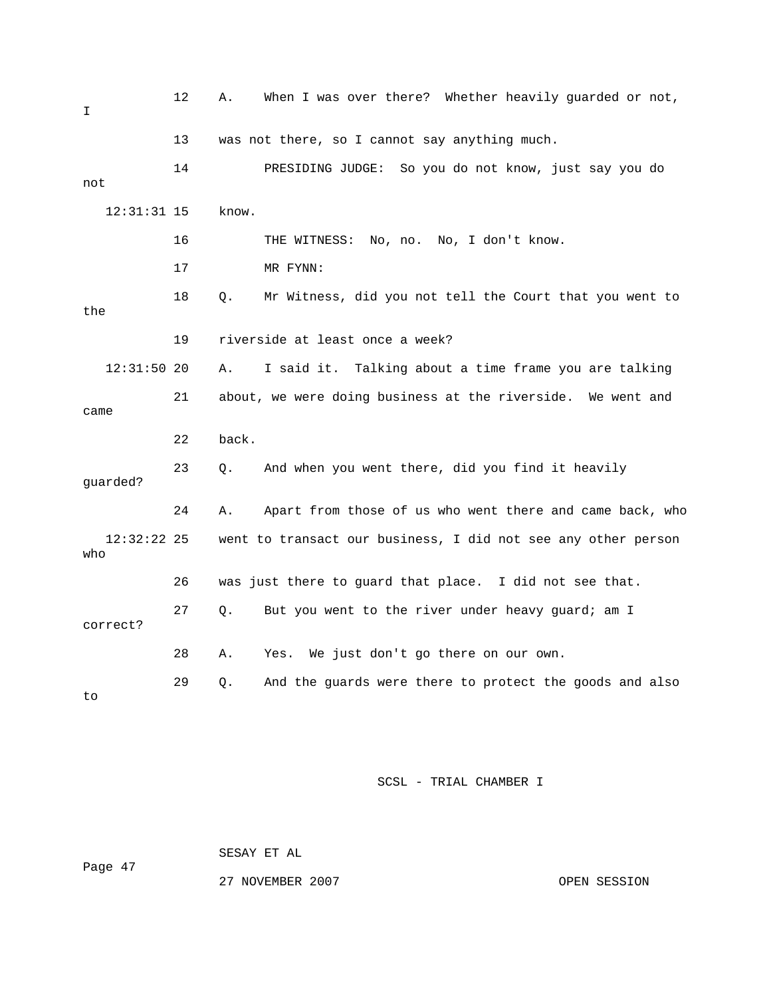| I                    | 12 | Α.    | When I was over there? Whether heavily guarded or not,         |
|----------------------|----|-------|----------------------------------------------------------------|
|                      | 13 |       | was not there, so I cannot say anything much.                  |
| not                  | 14 |       | PRESIDING JUDGE: So you do not know, just say you do           |
| $12:31:31$ 15        |    | know. |                                                                |
|                      | 16 |       | THE WITNESS: No, no. No, I don't know.                         |
|                      | 17 |       | MR FYNN:                                                       |
| the                  | 18 | Q.    | Mr Witness, did you not tell the Court that you went to        |
|                      | 19 |       | riverside at least once a week?                                |
| $12:31:50$ 20        |    | Α.    | I said it. Talking about a time frame you are talking          |
| came                 | 21 |       | about, we were doing business at the riverside.<br>We went and |
|                      | 22 | back. |                                                                |
| guarded?             | 23 | Q.    | And when you went there, did you find it heavily               |
|                      | 24 | Α.    | Apart from those of us who went there and came back, who       |
| $12:32:22$ 25<br>who |    |       | went to transact our business, I did not see any other person  |
|                      | 26 |       | was just there to guard that place. I did not see that.        |
| correct?             | 27 | Q.    | But you went to the river under heavy guard; am I              |
|                      | 28 | Α.    | We just don't go there on our own.<br>Yes.                     |
| to                   | 29 | Q.    | And the guards were there to protect the goods and also        |

 SESAY ET AL Page 47

27 NOVEMBER 2007 CPEN SESSION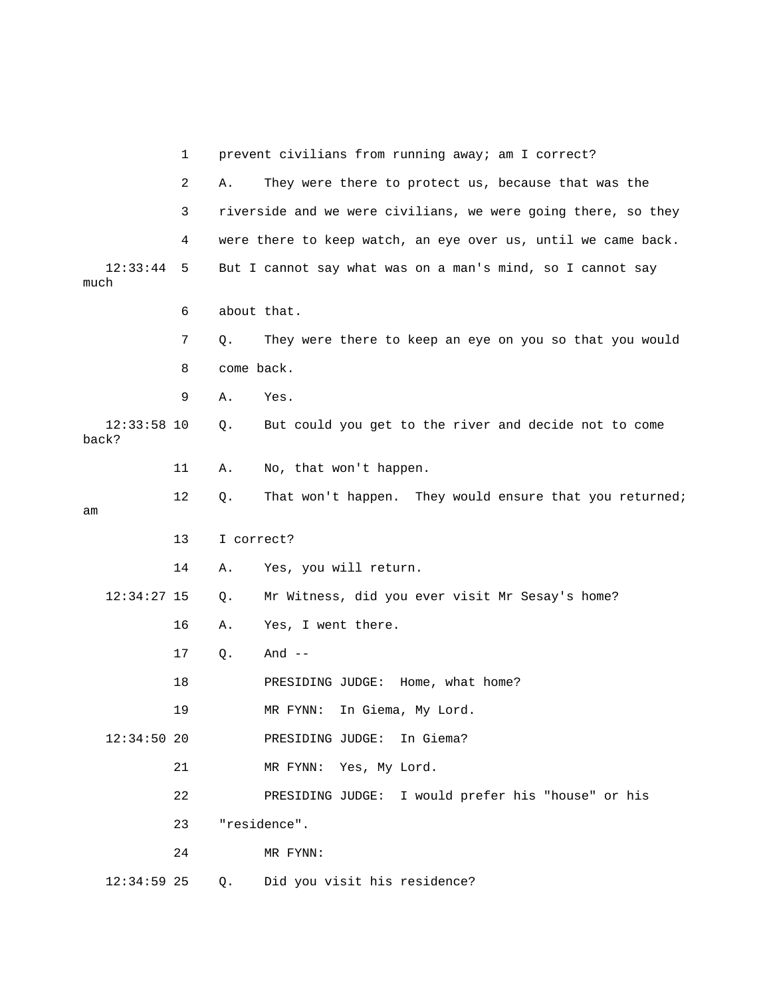|                        | 1   |            | prevent civilians from running away; am I correct?            |
|------------------------|-----|------------|---------------------------------------------------------------|
|                        | 2   | Α.         | They were there to protect us, because that was the           |
|                        | 3   |            | riverside and we were civilians, we were going there, so they |
|                        | 4   |            | were there to keep watch, an eye over us, until we came back. |
| 12:33:44<br>much       | - 5 |            | But I cannot say what was on a man's mind, so I cannot say    |
|                        | 6   |            | about that.                                                   |
|                        | 7   | Q.         | They were there to keep an eye on you so that you would       |
|                        | 8   | come back. |                                                               |
|                        | 9   | Α.         | Yes.                                                          |
| $12:33:58$ 10<br>back? |     | Q.         | But could you get to the river and decide not to come         |
|                        | 11  | Α.         | No, that won't happen.                                        |
| am                     | 12  | Q.         | That won't happen. They would ensure that you returned;       |
|                        | 13  | I correct? |                                                               |
|                        | 14  | Α.         | Yes, you will return.                                         |
| $12:34:27$ 15          |     | Q.         | Mr Witness, did you ever visit Mr Sesay's home?               |
|                        | 16  | Α.         | Yes, I went there.                                            |
|                        | 17  | Q.         | And $--$                                                      |
|                        | 18  |            | PRESIDING JUDGE: Home, what home?                             |
|                        | 19  |            | MR FYNN: In Giema, My Lord.                                   |
| $12:34:50$ 20          |     |            | PRESIDING JUDGE:<br>In Giema?                                 |
|                        | 21  |            | MR FYNN: Yes, My Lord.                                        |
|                        | 22  |            | PRESIDING JUDGE: I would prefer his "house" or his            |
|                        | 23  |            | "residence".                                                  |
|                        | 24  |            | MR FYNN:                                                      |
| $12:34:59$ 25          |     | Q.         | Did you visit his residence?                                  |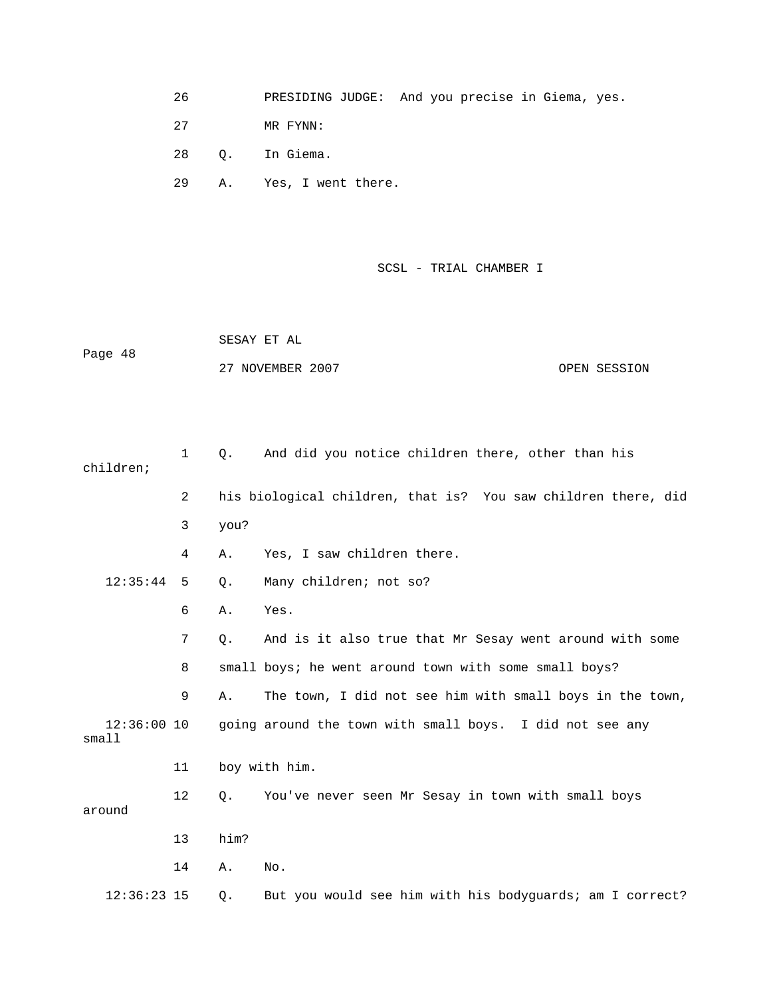- 26 PRESIDING JUDGE: And you precise in Giema, yes.
- 27 MR FYNN:
- 28 Q. In Giema.
- 29 A. Yes, I went there.

 SESAY ET AL Page 48 27 NOVEMBER 2007 CPEN SESSION

| children;              | $\mathbf{1}$   | Q.   | And did you notice children there, other than his             |
|------------------------|----------------|------|---------------------------------------------------------------|
|                        | $\overline{2}$ |      | his biological children, that is? You saw children there, did |
|                        | 3              | you? |                                                               |
|                        | 4              | Α.   | Yes, I saw children there.                                    |
| 12:35:44               | 5              | Q.   | Many children; not so?                                        |
|                        | 6              | Α.   | Yes.                                                          |
|                        | 7              | Q.   | And is it also true that Mr Sesay went around with some       |
|                        | 8              |      | small boys; he went around town with some small boys?         |
|                        | 9              | Α.   | The town, I did not see him with small boys in the town,      |
| $12:36:00$ 10<br>small |                |      | going around the town with small boys. I did not see any      |
|                        | 11             |      | boy with him.                                                 |
| around                 | 12             | Q.   | You've never seen Mr Sesay in town with small boys            |
|                        | 13             | him? |                                                               |
|                        | 14             | Α.   | No.                                                           |
| $12:36:23$ 15          |                | Q.   | But you would see him with his bodyguards; am I correct?      |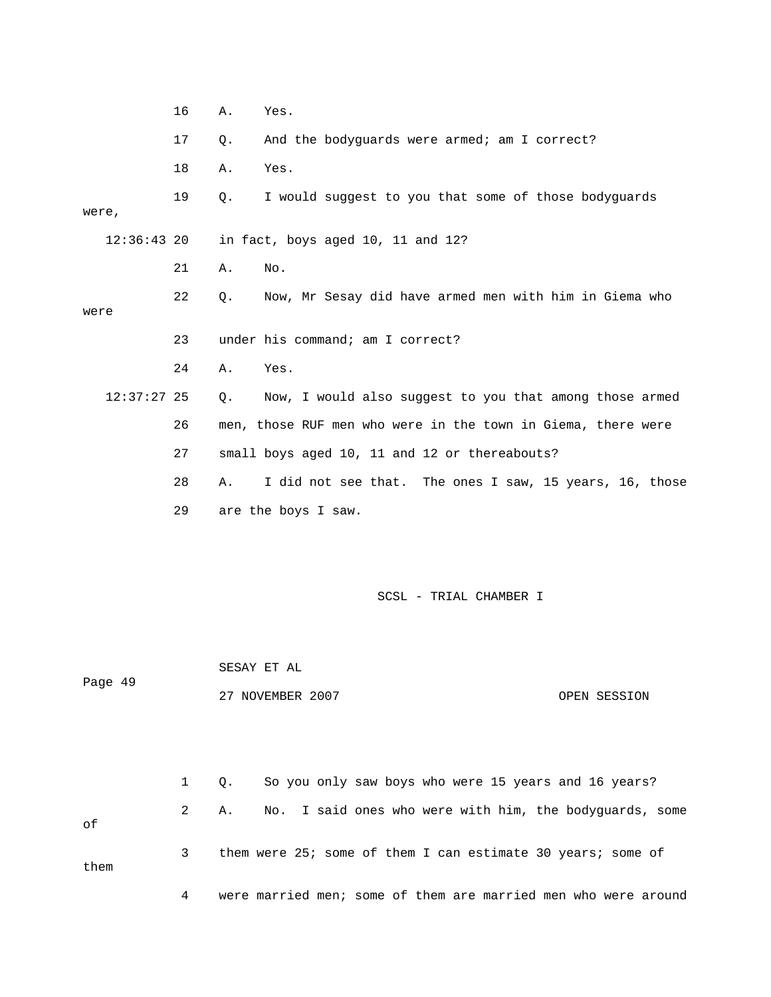|               | 16 | Α.          | Yes.                                                         |
|---------------|----|-------------|--------------------------------------------------------------|
|               | 17 | Q.          | And the bodyguards were armed; am I correct?                 |
|               | 18 | Α.          | Yes.                                                         |
| were,         | 19 | Q.          | I would suggest to you that some of those bodyguards         |
| $12:36:43$ 20 |    |             | in fact, boys aged 10, 11 and 12?                            |
|               | 21 | Α.          | No.                                                          |
| were          | 22 | Q.          | Now, Mr Sesay did have armed men with him in Giema who       |
|               | 23 |             | under his command; am I correct?                             |
|               | 24 | Α.          | Yes.                                                         |
| $12:37:27$ 25 |    | Q.          | Now, I would also suggest to you that among those armed      |
|               | 26 |             | men, those RUF men who were in the town in Giema, there were |
|               | 27 |             | small boys aged 10, 11 and 12 or thereabouts?                |
|               | 28 | Α.          | I did not see that. The ones I saw, 15 years, 16, those      |
|               | 29 |             | are the boys I saw.                                          |
|               |    |             | SCSL - TRIAL CHAMBER I                                       |
| Page 49       |    | SESAY ET AL | 27 NOVEMBER 2007<br>OPEN SESSION                             |
|               | 1  | Q.          | So you only saw boys who were 15 years and 16 years?         |
|               | 2  | Α.          | I said ones who were with him, the bodyguards, some<br>No.   |
| оf            |    |             |                                                              |
| them          | 3  |             | them were 25; some of them I can estimate 30 years; some of  |

4 were married men; some of them are married men who were around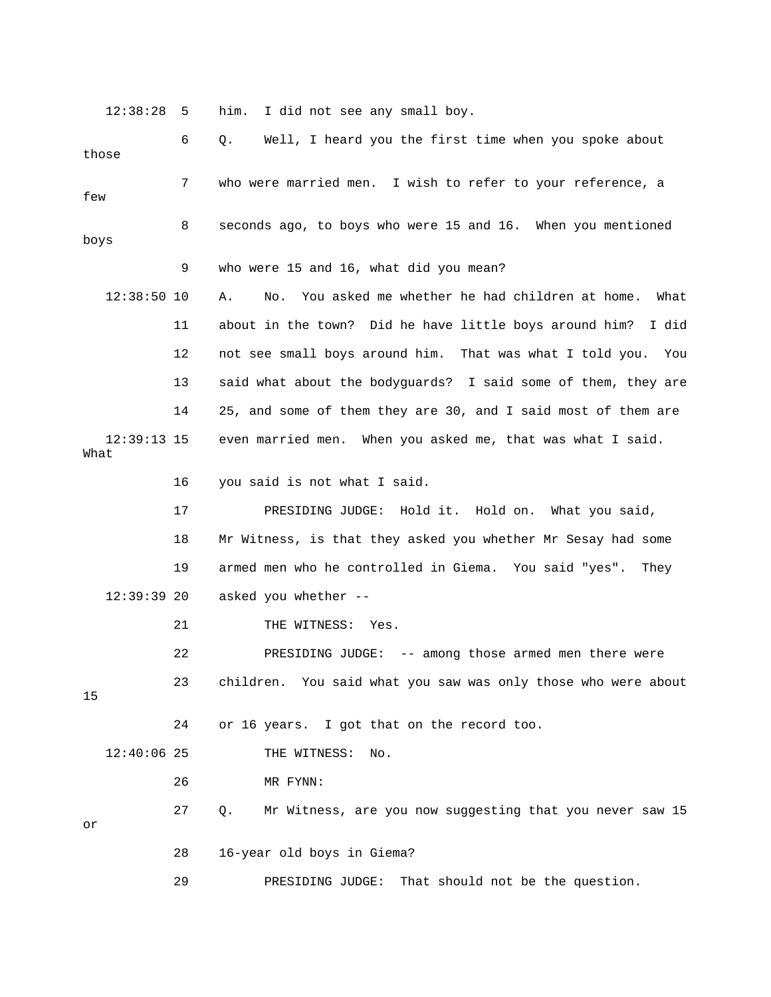12:38:28 5 him. I did not see any small boy.

| those                 | 6  | Well, I heard you the first time when you spoke about<br>Q.        |
|-----------------------|----|--------------------------------------------------------------------|
| few                   | 7  | who were married men. I wish to refer to your reference, a         |
| boys                  | 8  | seconds ago, to boys who were 15 and 16. When you mentioned        |
|                       | 9  | who were 15 and 16, what did you mean?                             |
| $12:38:50$ 10         |    | You asked me whether he had children at home.<br>Α.<br>No.<br>What |
|                       | 11 | about in the town? Did he have little boys around him?<br>I did    |
|                       | 12 | not see small boys around him. That was what I told you.<br>You    |
|                       | 13 | said what about the bodyguards? I said some of them, they are      |
|                       | 14 | 25, and some of them they are 30, and I said most of them are      |
| $12:39:13$ 15<br>What |    | even married men. When you asked me, that was what I said.         |
|                       | 16 | you said is not what I said.                                       |
|                       | 17 | PRESIDING JUDGE: Hold it. Hold on. What you said,                  |
|                       | 18 | Mr Witness, is that they asked you whether Mr Sesay had some       |
|                       | 19 | armed men who he controlled in Giema. You said "yes".<br>They      |
| $12:39:39$ 20         |    | asked you whether --                                               |
|                       | 21 | THE WITNESS:<br>Yes.                                               |
|                       | 22 | PRESIDING JUDGE: -- among those armed men there were               |
| 15                    | 23 | children.<br>You said what you saw was only those who were about   |
|                       | 24 | or 16 years. I got that on the record too.                         |
| $12:40:06$ 25         |    | THE WITNESS:<br>No.                                                |
|                       | 26 | MR FYNN:                                                           |
| or                    | 27 | Mr Witness, are you now suggesting that you never saw 15<br>Q.     |
|                       | 28 | 16-year old boys in Giema?                                         |
|                       | 29 | PRESIDING JUDGE:<br>That should not be the question.               |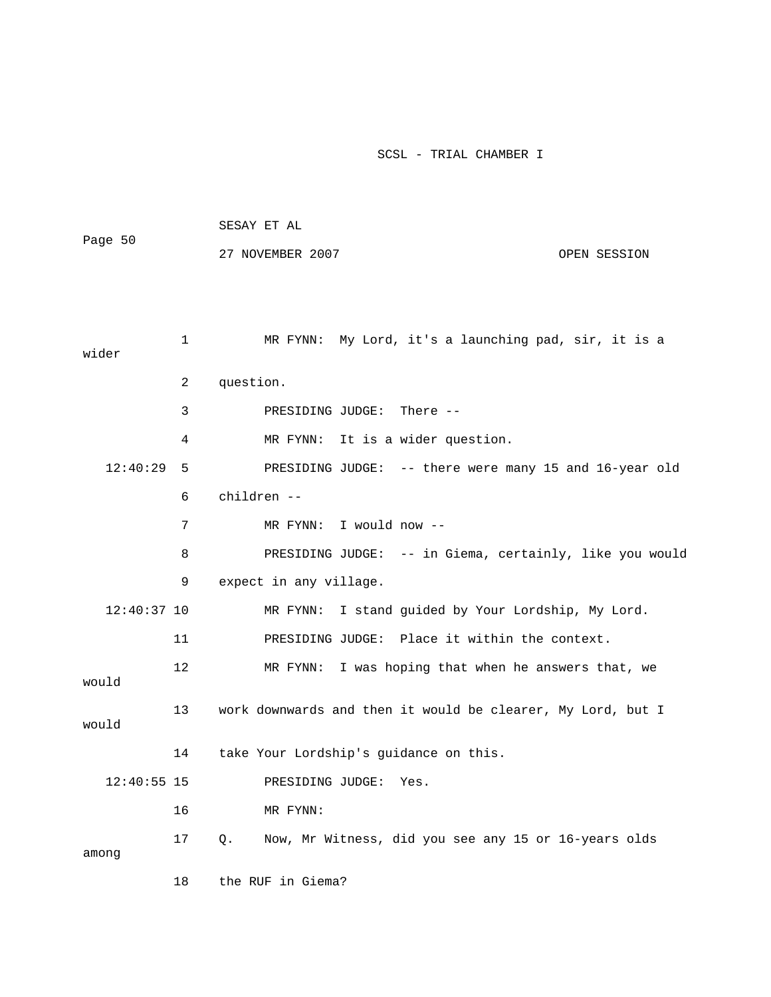| Page 50       |    | SESAY ET AL                                                 |  |
|---------------|----|-------------------------------------------------------------|--|
|               |    | 27 NOVEMBER 2007<br>OPEN SESSION                            |  |
|               |    |                                                             |  |
|               |    |                                                             |  |
| wider         | 1  | MR FYNN: My Lord, it's a launching pad, sir, it is a        |  |
|               | 2  | question.                                                   |  |
|               | 3  | PRESIDING JUDGE:<br>There $--$                              |  |
|               | 4  | It is a wider question.<br>MR FYNN:                         |  |
| 12:40:29      | 5  | PRESIDING JUDGE: -- there were many 15 and 16-year old      |  |
|               | 6  | children --                                                 |  |
|               | 7  | I would now --<br>MR FYNN:                                  |  |
|               | 8  | PRESIDING JUDGE: -- in Giema, certainly, like you would     |  |
|               | 9  | expect in any village.                                      |  |
| $12:40:37$ 10 |    | MR FYNN:<br>I stand guided by Your Lordship, My Lord.       |  |
|               | 11 | PRESIDING JUDGE: Place it within the context.               |  |
| would         | 12 | MR FYNN:<br>I was hoping that when he answers that, we      |  |
| would         | 13 | work downwards and then it would be clearer, My Lord, but I |  |
|               | 14 | take Your Lordship's guidance on this.                      |  |
| $12:40:55$ 15 |    | PRESIDING JUDGE:<br>Yes.                                    |  |
|               | 16 | MR FYNN:                                                    |  |
| among         | 17 | Now, Mr Witness, did you see any 15 or 16-years olds<br>Q.  |  |
|               | 18 | the RUF in Giema?                                           |  |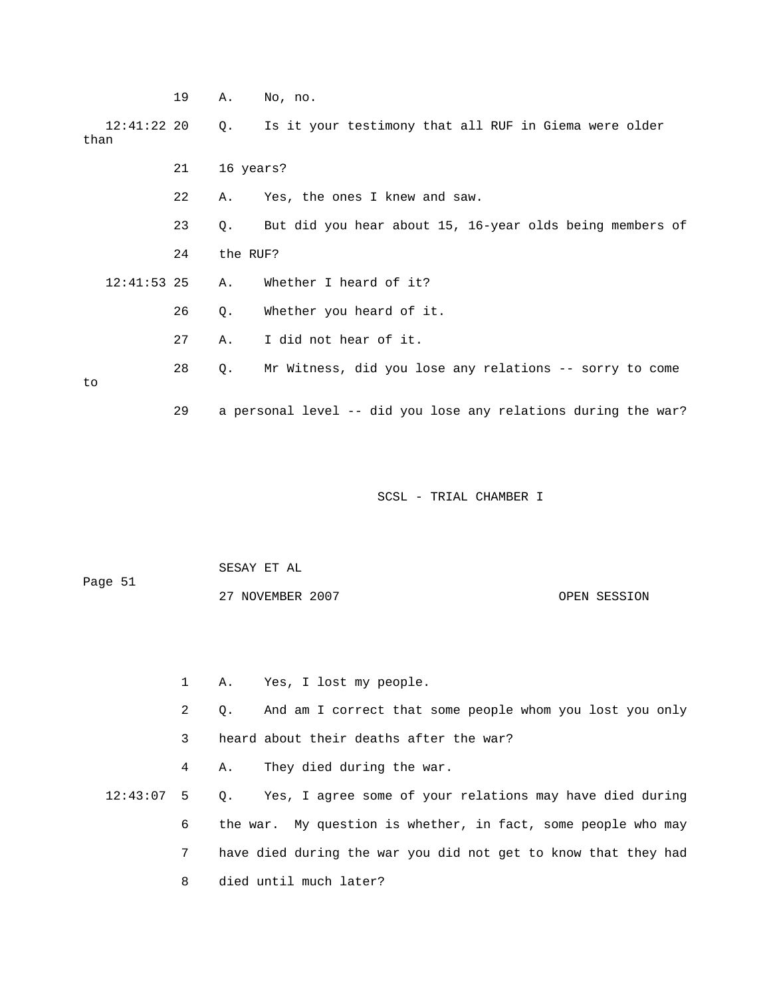|                       | 19 | Α.        | No, no.                                                        |
|-----------------------|----|-----------|----------------------------------------------------------------|
| $12:41:22$ 20<br>than |    | Q.        | Is it your testimony that all RUF in Giema were older          |
|                       | 21 | 16 years? |                                                                |
|                       | 22 | Α.        | Yes, the ones I knew and saw.                                  |
|                       | 23 | Q.        | But did you hear about 15, 16-year olds being members of       |
|                       | 24 | the RUF?  |                                                                |
| $12:41:53$ 25         |    | Α.        | Whether I heard of it?                                         |
|                       | 26 | Q.        | Whether you heard of it.                                       |
|                       | 27 | Α.        | I did not hear of it.                                          |
| to                    | 28 | Q.        | Mr Witness, did you lose any relations -- sorry to come        |
|                       | 29 |           | a personal level -- did you lose any relations during the war? |

 SESAY ET AL Page 51 27 NOVEMBER 2007 OPEN SESSION

 1 A. Yes, I lost my people. 2 Q. And am I correct that some people whom you lost you only 3 heard about their deaths after the war? 4 A. They died during the war. 12:43:07 5 Q. Yes, I agree some of your relations may have died during 6 the war. My question is whether, in fact, some people who may 7 have died during the war you did not get to know that they had 8 died until much later?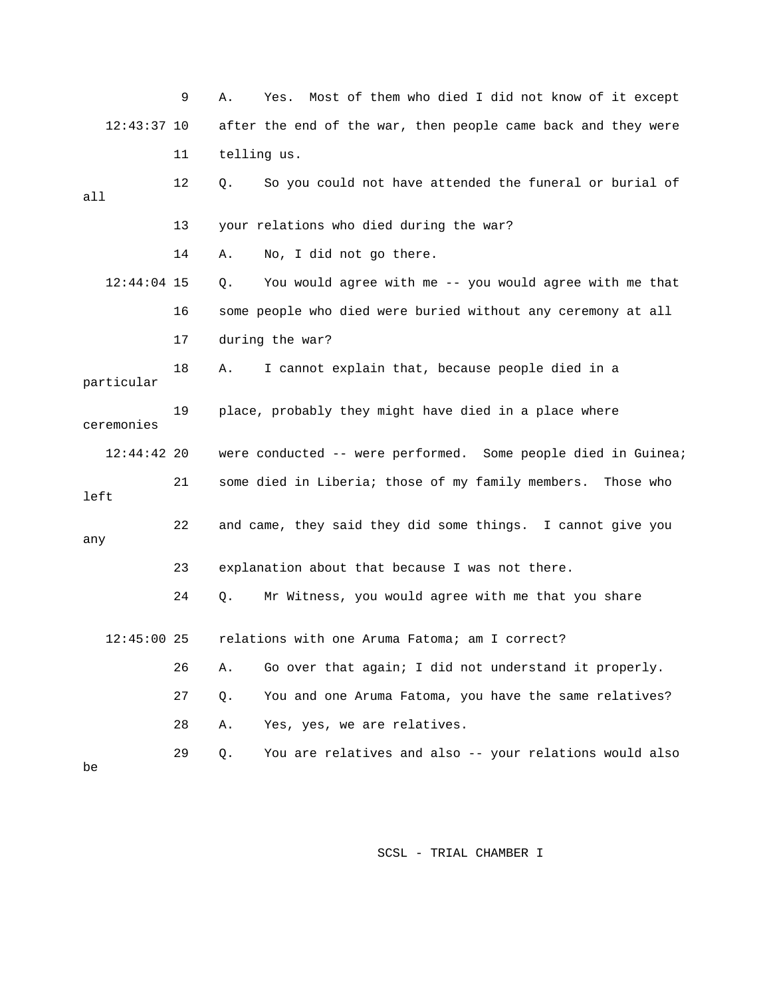|               | 9  | Most of them who died I did not know of it except<br>Α.<br>Yes. |
|---------------|----|-----------------------------------------------------------------|
| $12:43:37$ 10 |    | after the end of the war, then people came back and they were   |
|               | 11 | telling us.                                                     |
| all           | 12 | So you could not have attended the funeral or burial of<br>Q.   |
|               | 13 | your relations who died during the war?                         |
|               | 14 | No, I did not go there.<br>Α.                                   |
| $12:44:04$ 15 |    | You would agree with me -- you would agree with me that<br>Q.   |
|               | 16 | some people who died were buried without any ceremony at all    |
|               | 17 | during the war?                                                 |
| particular    | 18 | I cannot explain that, because people died in a<br>Α.           |
| ceremonies    | 19 | place, probably they might have died in a place where           |
| $12:44:42$ 20 |    | were conducted -- were performed. Some people died in Guinea;   |
| left          | 21 | some died in Liberia; those of my family members. Those who     |
| any           | 22 | and came, they said they did some things. I cannot give you     |
|               | 23 | explanation about that because I was not there.                 |
|               | 24 | Mr Witness, you would agree with me that you share<br>Q.        |
| $12:45:00$ 25 |    |                                                                 |
|               |    | relations with one Aruma Fatoma; am I correct?                  |
|               | 26 | Go over that again; I did not understand it properly.<br>Α.     |
|               | 27 | You and one Aruma Fatoma, you have the same relatives?<br>Q.    |
|               | 28 | Yes, yes, we are relatives.<br>Α.                               |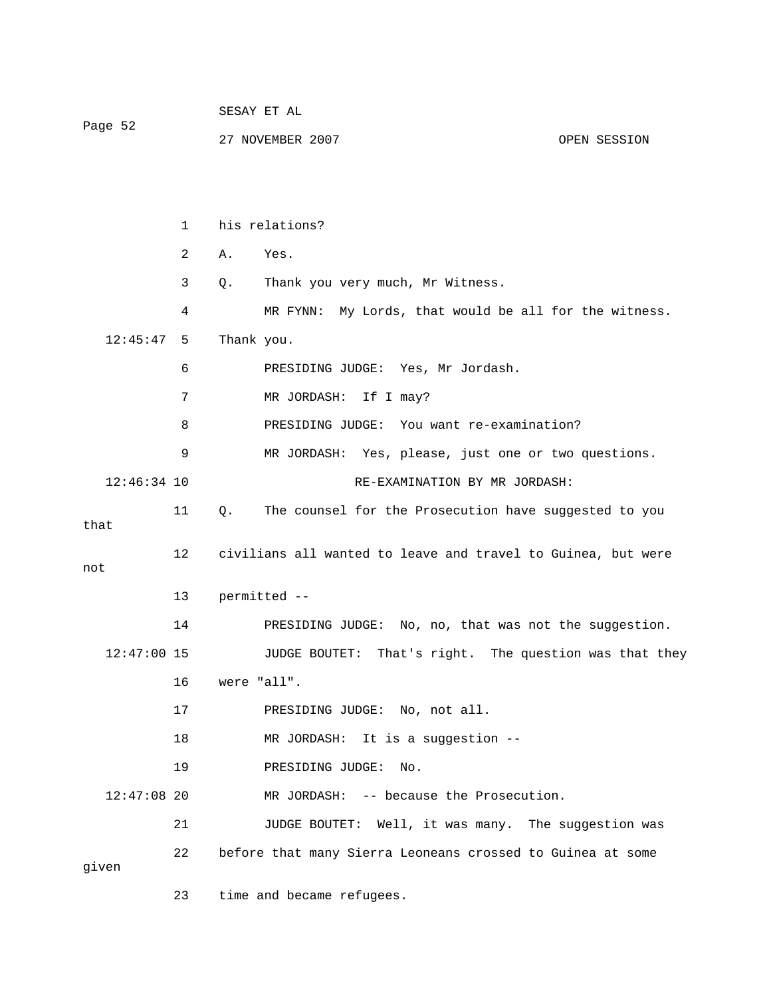|               |              | SESAY ET AL                                                  |
|---------------|--------------|--------------------------------------------------------------|
| Page 52       |              | 27 NOVEMBER 2007<br>OPEN SESSION                             |
|               |              |                                                              |
|               |              |                                                              |
|               | $\mathbf{1}$ | his relations?                                               |
|               | 2            | Α.<br>Yes.                                                   |
|               | 3            | Q.<br>Thank you very much, Mr Witness.                       |
|               | 4            | MR FYNN: My Lords, that would be all for the witness.        |
| 12:45:47      | 5            | Thank you.                                                   |
|               | 6            | PRESIDING JUDGE: Yes, Mr Jordash.                            |
|               | 7            | MR JORDASH: If I may?                                        |
|               | 8            | PRESIDING JUDGE: You want re-examination?                    |
|               | 9            | MR JORDASH: Yes, please, just one or two questions.          |
| $12:46:34$ 10 |              | RE-EXAMINATION BY MR JORDASH:                                |
| that          | 11           | The counsel for the Prosecution have suggested to you<br>Q.  |
| not           | 12           | civilians all wanted to leave and travel to Guinea, but were |
|               | 13           | permitted --                                                 |
|               | 14           | PRESIDING JUDGE: No, no, that was not the suggestion.        |
| $12:47:00$ 15 |              | That's right. The question was that they<br>JUDGE BOUTET:    |
|               | 16           | were "all".                                                  |
|               | 17           | PRESIDING JUDGE: No, not all.                                |
| $12:47:08$ 20 | 18           | MR JORDASH: It is a suggestion --                            |
|               | 19           | PRESIDING JUDGE:<br>No.                                      |
|               |              | MR JORDASH: -- because the Prosecution.                      |
|               | 21           | JUDGE BOUTET: Well, it was many. The suggestion was          |
| given         | 22           | before that many Sierra Leoneans crossed to Guinea at some   |
|               | 23           | time and became refugees.                                    |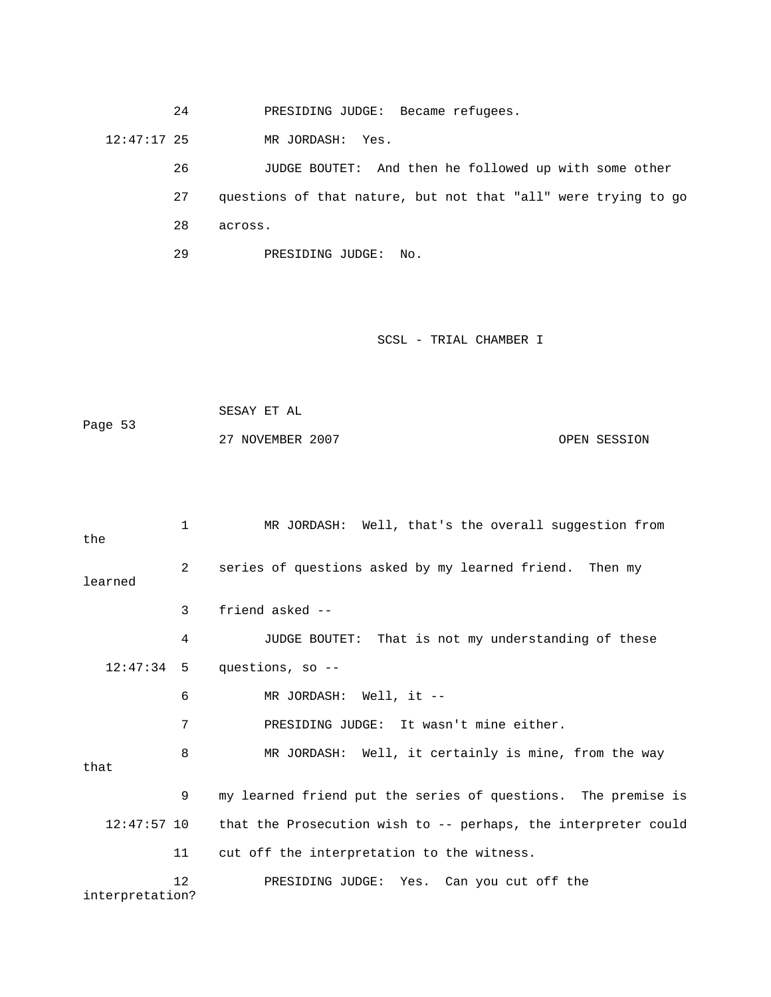24 PRESIDING JUDGE: Became refugees.

12:47:17 25 MR JORDASH: Yes.

 26 JUDGE BOUTET: And then he followed up with some other 27 questions of that nature, but not that "all" were trying to go 28 across.

29 PRESIDING JUDGE: No.

SCSL - TRIAL CHAMBER I

```
 SESAY ET AL 
Page 53 
            27 NOVEMBER 2007 CPEN SESSION
```
 1 MR JORDASH: Well, that's the overall suggestion from the 2 series of questions asked by my learned friend. Then my learned 3 friend asked -- 4 JUDGE BOUTET: That is not my understanding of these 12:47:34 5 questions, so -- 6 MR JORDASH: Well, it -- 7 PRESIDING JUDGE: It wasn't mine either. 8 MR JORDASH: Well, it certainly is mine, from the way that 9 my learned friend put the series of questions. The premise is 12:47:57 10 that the Prosecution wish to -- perhaps, the interpreter could 11 cut off the interpretation to the witness. 12 PRESIDING JUDGE: Yes. Can you cut off the interpretation?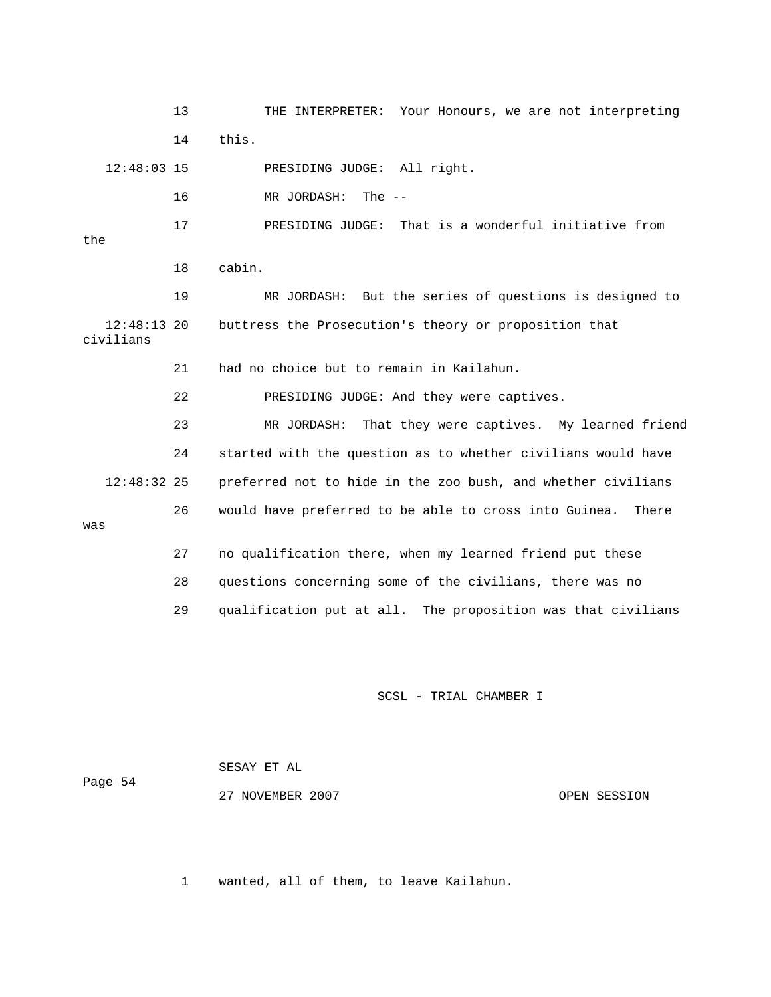13 THE INTERPRETER: Your Honours, we are not interpreting 14 this.

12:48:03 15 PRESIDING JUDGE: All right.

16 MR JORDASH: The --

 17 PRESIDING JUDGE: That is a wonderful initiative from the

18 cabin.

 19 MR JORDASH: But the series of questions is designed to 12:48:13 20 buttress the Prosecution's theory or proposition that civilians

21 had no choice but to remain in Kailahun.

22 PRESIDING JUDGE: And they were captives.

 23 MR JORDASH: That they were captives. My learned friend 24 started with the question as to whether civilians would have 12:48:32 25 preferred not to hide in the zoo bush, and whether civilians 26 would have preferred to be able to cross into Guinea. There was

> 27 no qualification there, when my learned friend put these 28 questions concerning some of the civilians, there was no

29 qualification put at all. The proposition was that civilians

### SCSL - TRIAL CHAMBER I

| Page 54 | SESAY ET AL      |              |
|---------|------------------|--------------|
|         | 27 NOVEMBER 2007 | OPEN SESSION |

1 wanted, all of them, to leave Kailahun.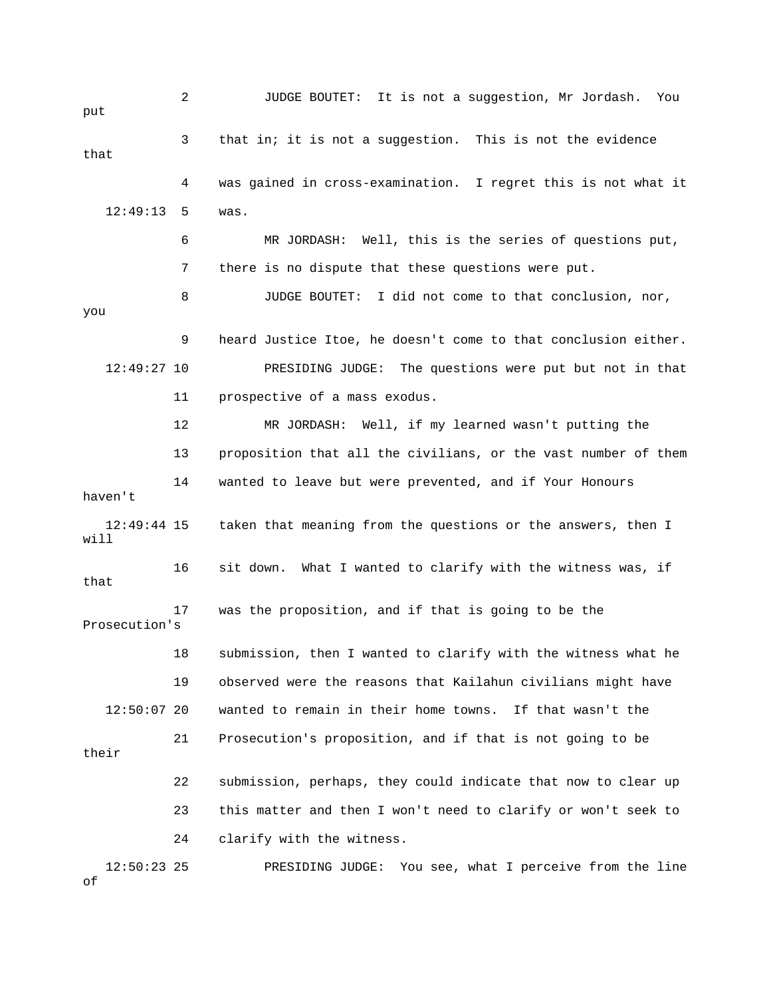2 JUDGE BOUTET: It is not a suggestion, Mr Jordash. You put 3 that in; it is not a suggestion. This is not the evidence that 4 was gained in cross-examination. I regret this is not what it 12:49:13 5 was. 6 MR JORDASH: Well, this is the series of questions put, 7 there is no dispute that these questions were put. 8 JUDGE BOUTET: I did not come to that conclusion, nor, you 9 heard Justice Itoe, he doesn't come to that conclusion either. 12:49:27 10 PRESIDING JUDGE: The questions were put but not in that 11 prospective of a mass exodus. 12 MR JORDASH: Well, if my learned wasn't putting the 13 proposition that all the civilians, or the vast number of them 14 wanted to leave but were prevented, and if Your Honours haven't 12:49:44 15 taken that meaning from the questions or the answers, then I will 16 sit down. What I wanted to clarify with the witness was, if that 17 was the proposition, and if that is going to be the Prosecution's 18 submission, then I wanted to clarify with the witness what he 19 observed were the reasons that Kailahun civilians might have 12:50:07 20 wanted to remain in their home towns. If that wasn't the 21 Prosecution's proposition, and if that is not going to be their 22 submission, perhaps, they could indicate that now to clear up 23 this matter and then I won't need to clarify or won't seek to 24 clarify with the witness. 12:50:23 25 PRESIDING JUDGE: You see, what I perceive from the line of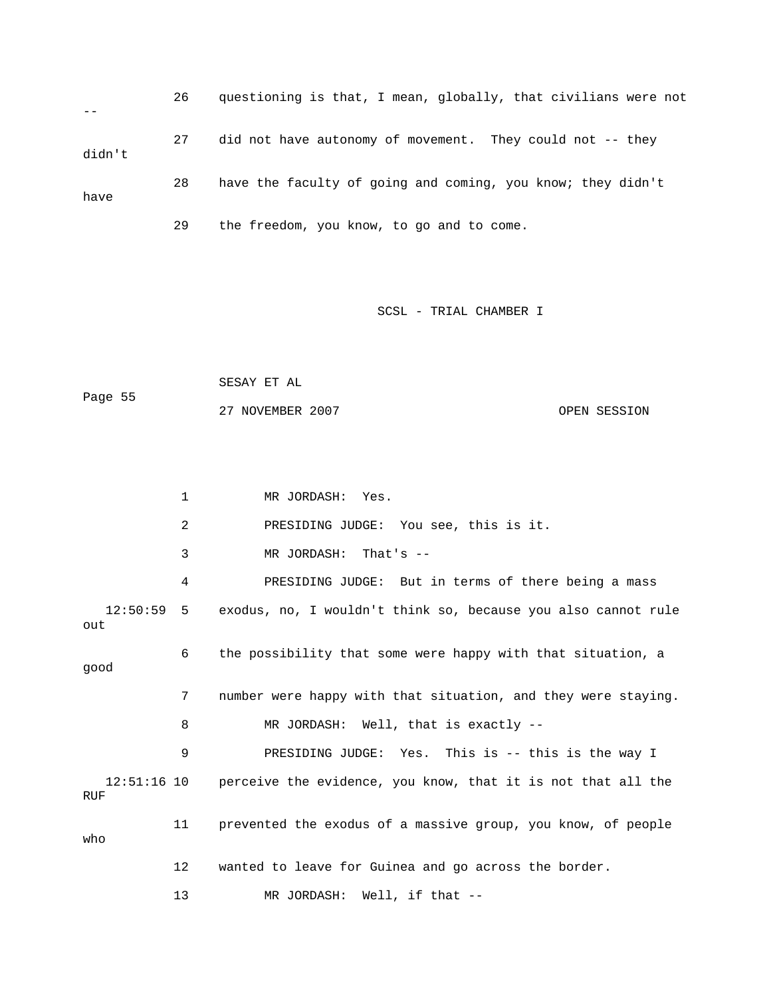26 questioning is that, I mean, globally, that civilians were not -- 27 did not have autonomy of movement. They could not -- they didn't 28 have the faculty of going and coming, you know; they didn't have 29 the freedom, you know, to go and to come.

SCSL - TRIAL CHAMBER I

 SESAY ET AL Page 55 27 NOVEMBER 2007 CPEN SESSION

 1 MR JORDASH: Yes. 2 PRESIDING JUDGE: You see, this is it. 3 MR JORDASH: That's -- 4 PRESIDING JUDGE: But in terms of there being a mass 12:50:59 5 exodus, no, I wouldn't think so, because you also cannot rule out 6 the possibility that some were happy with that situation, a good 7 number were happy with that situation, and they were staying. 8 MR JORDASH: Well, that is exactly -- 9 PRESIDING JUDGE: Yes. This is -- this is the way I 12:51:16 10 perceive the evidence, you know, that it is not that all the RUF 11 prevented the exodus of a massive group, you know, of people who 12 wanted to leave for Guinea and go across the border. 13 MR JORDASH: Well, if that --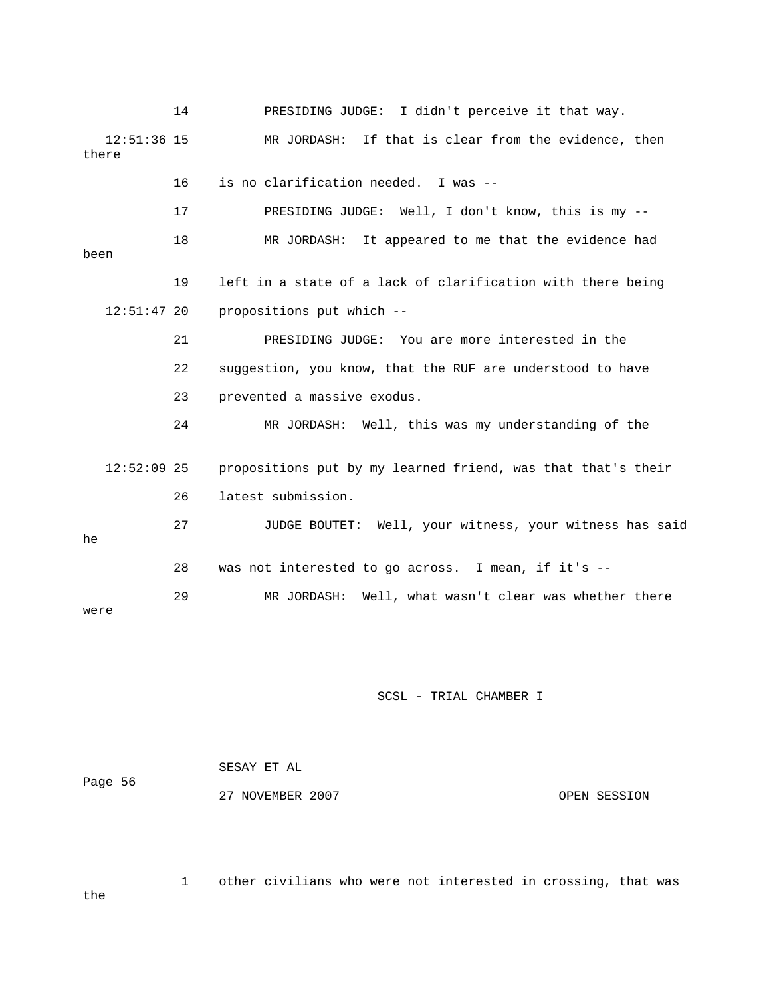14 PRESIDING JUDGE: I didn't perceive it that way. 12:51:36 15 MR JORDASH: If that is clear from the evidence, then there 16 is no clarification needed. I was -- 17 PRESIDING JUDGE: Well, I don't know, this is my -- 18 MR JORDASH: It appeared to me that the evidence had been 19 left in a state of a lack of clarification with there being 12:51:47 20 propositions put which -- 21 PRESIDING JUDGE: You are more interested in the 22 suggestion, you know, that the RUF are understood to have 23 prevented a massive exodus. 24 MR JORDASH: Well, this was my understanding of the 12:52:09 25 propositions put by my learned friend, was that that's their 26 latest submission. 27 JUDGE BOUTET: Well, your witness, your witness has said he 28 was not interested to go across. I mean, if it's -- 29 MR JORDASH: Well, what wasn't clear was whether there were

### SCSL - TRIAL CHAMBER I

| Page 56 | SESAY ET AL      |              |
|---------|------------------|--------------|
|         | 27 NOVEMBER 2007 | OPEN SESSION |

 1 other civilians who were not interested in crossing, that was the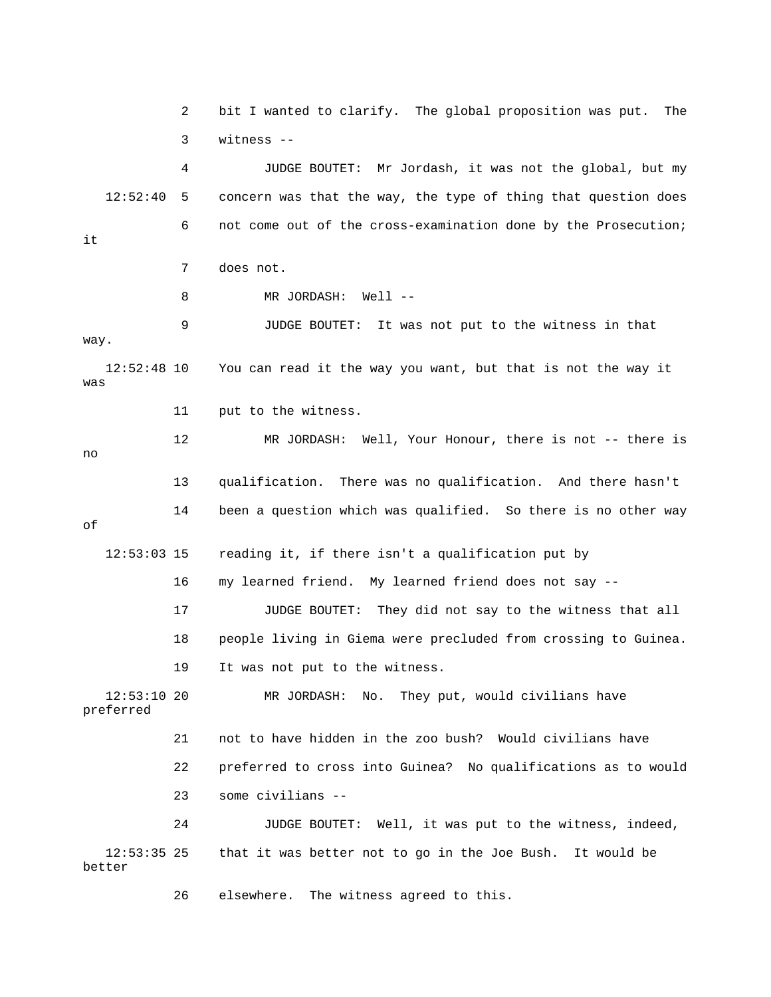2 bit I wanted to clarify. The global proposition was put. The 3 witness -- 4 JUDGE BOUTET: Mr Jordash, it was not the global, but my 12:52:40 5 concern was that the way, the type of thing that question does 6 not come out of the cross-examination done by the Prosecution; it 7 does not. 8 MR JORDASH: Well -- 9 JUDGE BOUTET: It was not put to the witness in that way. 12:52:48 10 You can read it the way you want, but that is not the way it was 11 put to the witness. 12 MR JORDASH: Well, Your Honour, there is not -- there is no 13 qualification. There was no qualification. And there hasn't 14 been a question which was qualified. So there is no other way of 12:53:03 15 reading it, if there isn't a qualification put by 16 my learned friend. My learned friend does not say -- 17 JUDGE BOUTET: They did not say to the witness that all 18 people living in Giema were precluded from crossing to Guinea. 19 It was not put to the witness. 12:53:10 20 MR JORDASH: No. They put, would civilians have preferred 21 not to have hidden in the zoo bush? Would civilians have 22 preferred to cross into Guinea? No qualifications as to would 23 some civilians -- 24 JUDGE BOUTET: Well, it was put to the witness, indeed, 12:53:35 25 that it was better not to go in the Joe Bush. It would be better 26 elsewhere. The witness agreed to this.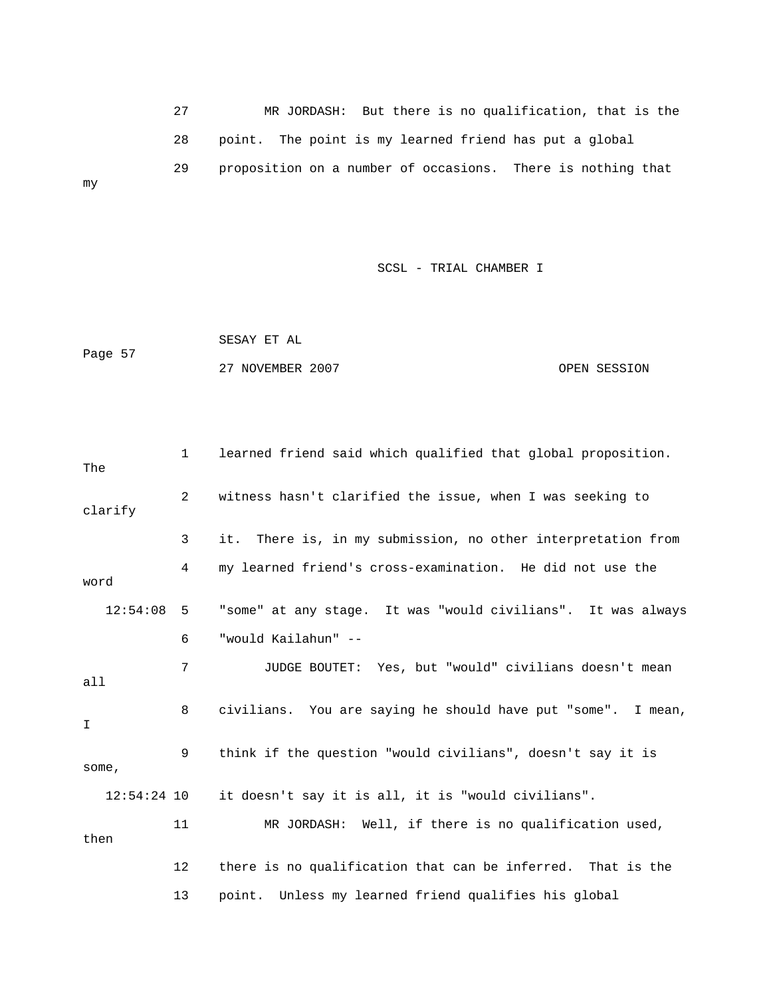27 MR JORDASH: But there is no qualification, that is the 28 point. The point is my learned friend has put a global 29 proposition on a number of occasions. There is nothing that my

SCSL - TRIAL CHAMBER I

 SESAY ET AL Page 57 27 NOVEMBER 2007 CPEN SESSION

 1 learned friend said which qualified that global proposition. The 2 witness hasn't clarified the issue, when I was seeking to clarify 3 it. There is, in my submission, no other interpretation from 4 my learned friend's cross-examination. He did not use the word 12:54:08 5 "some" at any stage. It was "would civilians". It was always 6 "would Kailahun" -- 7 JUDGE BOUTET: Yes, but "would" civilians doesn't mean all 8 civilians. You are saying he should have put "some". I mean, I 9 think if the question "would civilians", doesn't say it is some, 12:54:24 10 it doesn't say it is all, it is "would civilians". 11 MR JORDASH: Well, if there is no qualification used, then 12 there is no qualification that can be inferred. That is the 13 point. Unless my learned friend qualifies his global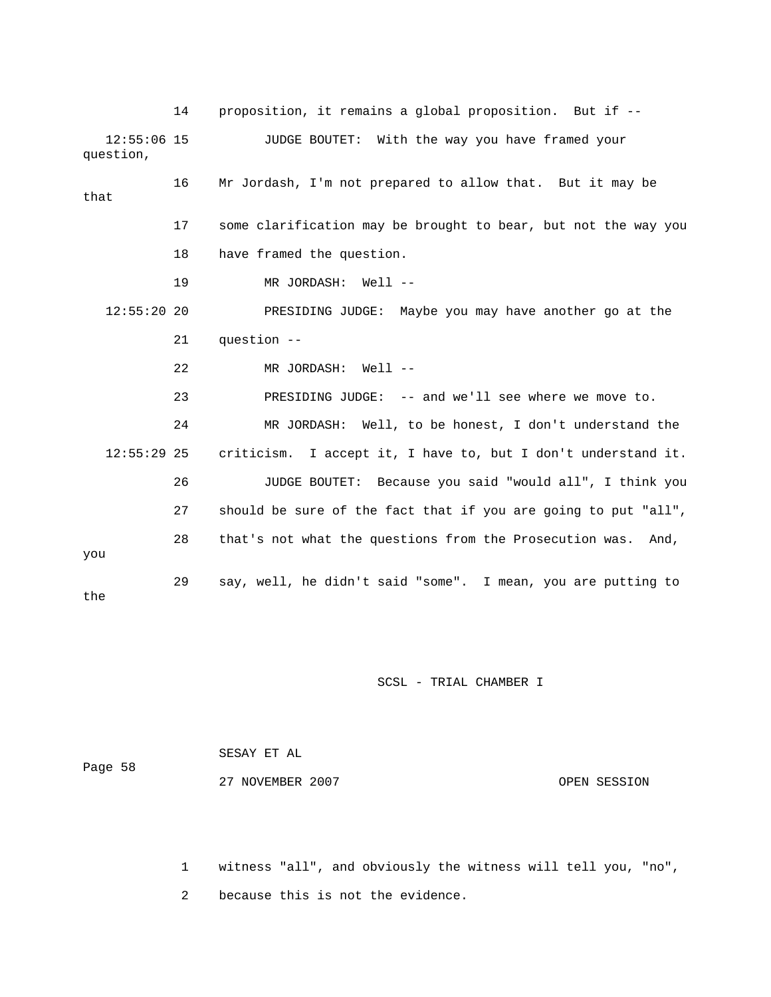14 proposition, it remains a global proposition. But if -- 12:55:06 15 JUDGE BOUTET: With the way you have framed your question, 16 Mr Jordash, I'm not prepared to allow that. But it may be that 17 some clarification may be brought to bear, but not the way you 18 have framed the question. 19 MR JORDASH: Well -- 12:55:20 20 PRESIDING JUDGE: Maybe you may have another go at the 21 question -- 22 MR JORDASH: Well -- 23 PRESIDING JUDGE: -- and we'll see where we move to. 24 MR JORDASH: Well, to be honest, I don't understand the 12:55:29 25 criticism. I accept it, I have to, but I don't understand it. 26 JUDGE BOUTET: Because you said "would all", I think you 27 should be sure of the fact that if you are going to put "all", 28 that's not what the questions from the Prosecution was. And, you 29 say, well, he didn't said "some". I mean, you are putting to the

SCSL - TRIAL CHAMBER I

|         | SESAY ET AL      |              |
|---------|------------------|--------------|
| Page 58 |                  |              |
|         | 27 NOVEMBER 2007 | OPEN SESSION |

 1 witness "all", and obviously the witness will tell you, "no", 2 because this is not the evidence.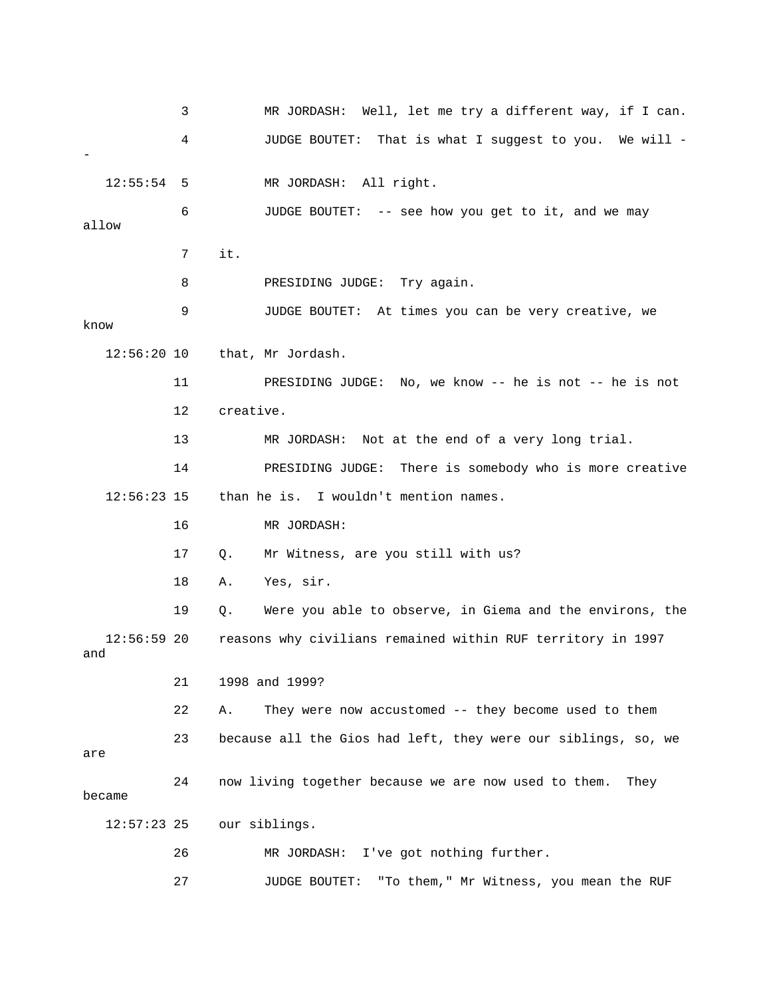3 MR JORDASH: Well, let me try a different way, if I can. 4 JUDGE BOUTET: That is what I suggest to you. We will - - 12:55:54 5 MR JORDASH: All right. 6 JUDGE BOUTET: -- see how you get to it, and we may allow 7 it. 8 PRESIDING JUDGE: Try again. 9 JUDGE BOUTET: At times you can be very creative, we know 12:56:20 10 that, Mr Jordash. 11 PRESIDING JUDGE: No, we know -- he is not -- he is not 12 creative. 13 MR JORDASH: Not at the end of a very long trial. 14 PRESIDING JUDGE: There is somebody who is more creative 12:56:23 15 than he is. I wouldn't mention names. 16 MR JORDASH: 17 Q. Mr Witness, are you still with us? 18 A. Yes, sir. 19 Q. Were you able to observe, in Giema and the environs, the 12:56:59 20 reasons why civilians remained within RUF territory in 1997 and 21 1998 and 1999? 22 A. They were now accustomed -- they become used to them 23 because all the Gios had left, they were our siblings, so, we are 24 now living together because we are now used to them. They became 12:57:23 25 our siblings. 26 MR JORDASH: I've got nothing further. 27 JUDGE BOUTET: "To them," Mr Witness, you mean the RUF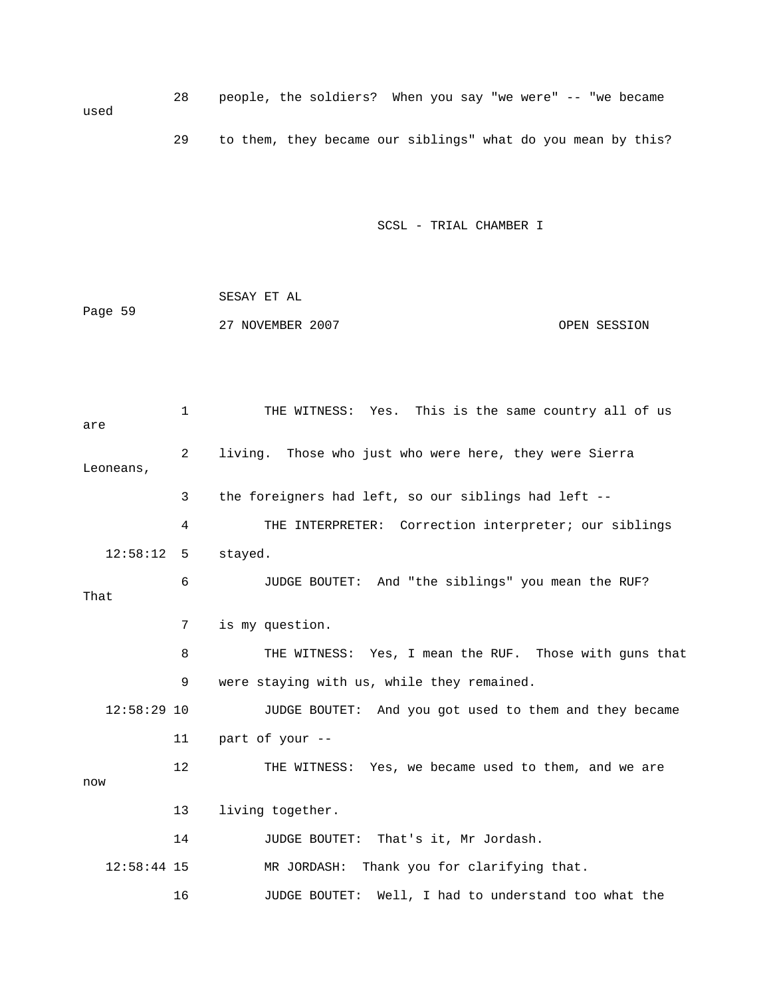28 people, the soldiers? When you say "we were" -- "we became used 29 to them, they became our siblings" what do you mean by this?

SCSL - TRIAL CHAMBER I

 SESAY ET AL Page 59 27 NOVEMBER 2007 OPEN SESSION

 1 THE WITNESS: Yes. This is the same country all of us are 2 living. Those who just who were here, they were Sierra Leoneans, 3 the foreigners had left, so our siblings had left -- 4 THE INTERPRETER: Correction interpreter; our siblings 12:58:12 5 stayed. 6 JUDGE BOUTET: And "the siblings" you mean the RUF? That 7 is my question. 8 THE WITNESS: Yes, I mean the RUF. Those with guns that 9 were staying with us, while they remained. 12:58:29 10 JUDGE BOUTET: And you got used to them and they became 11 part of your -- 12 THE WITNESS: Yes, we became used to them, and we are now 13 living together. 14 JUDGE BOUTET: That's it, Mr Jordash. 12:58:44 15 MR JORDASH: Thank you for clarifying that. 16 JUDGE BOUTET: Well, I had to understand too what the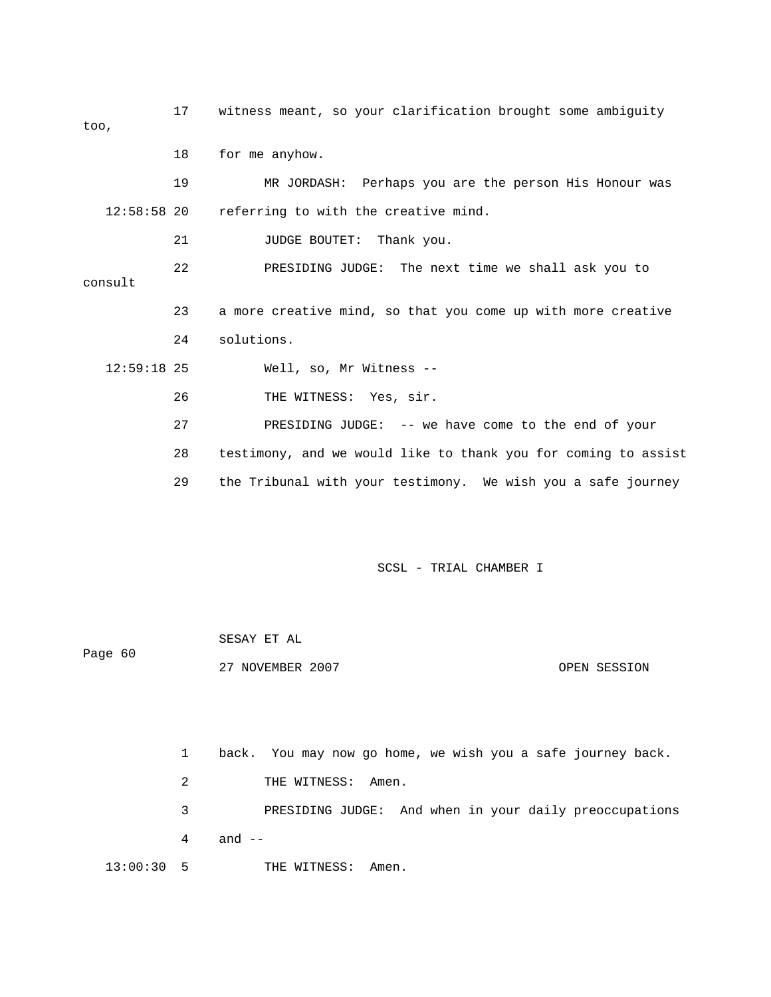17 witness meant, so your clarification brought some ambiguity too, 18 for me anyhow. 19 MR JORDASH: Perhaps you are the person His Honour was 12:58:58 20 referring to with the creative mind. 21 JUDGE BOUTET: Thank you. 22 PRESIDING JUDGE: The next time we shall ask you to consult 23 a more creative mind, so that you come up with more creative 24 solutions. 12:59:18 25 Well, so, Mr Witness -- 26 THE WITNESS: Yes, sir. 27 PRESIDING JUDGE: -- we have come to the end of your 28 testimony, and we would like to thank you for coming to assist 29 the Tribunal with your testimony. We wish you a safe journey SCSL - TRIAL CHAMBER I

| Page 60 | SESAY ET AL      |              |
|---------|------------------|--------------|
|         | 27 NOVEMBER 2007 | OPEN SESSION |

 1 back. You may now go home, we wish you a safe journey back. 2 THE WITNESS: Amen. 3 PRESIDING JUDGE: And when in your daily preoccupations 4 and -- 13:00:30 5 THE WITNESS: Amen.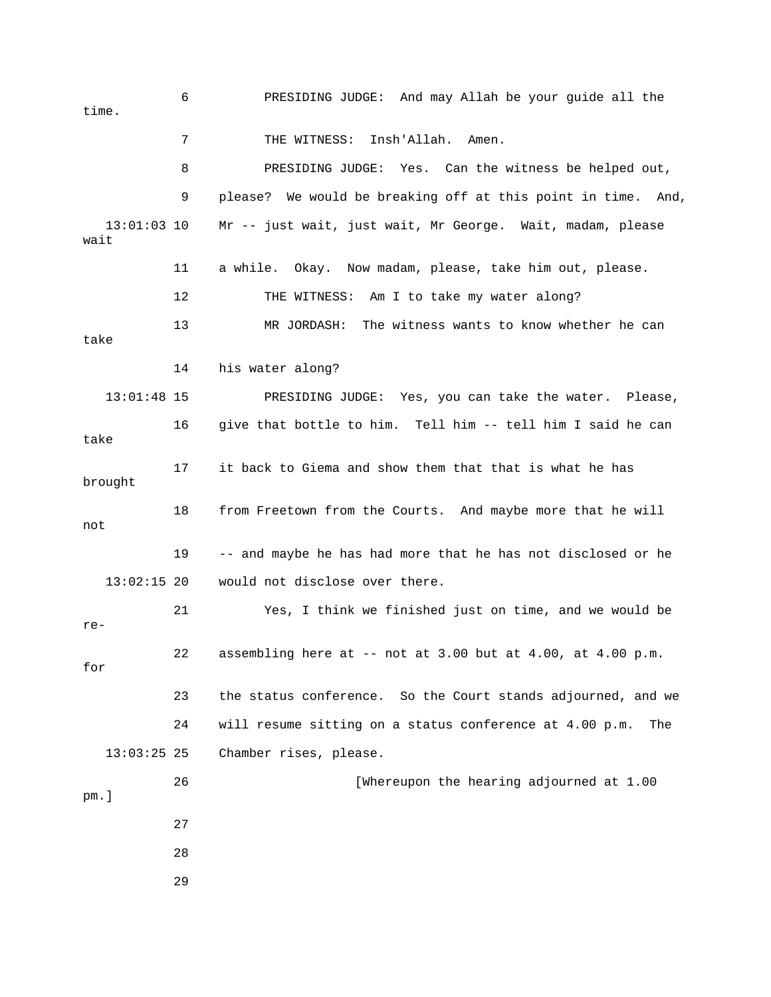6 PRESIDING JUDGE: And may Allah be your guide all the time. 7 THE WITNESS: Insh'Allah. Amen. 8 PRESIDING JUDGE: Yes. Can the witness be helped out, 9 please? We would be breaking off at this point in time. And, 13:01:03 10 Mr -- just wait, just wait, Mr George. Wait, madam, please wait 11 a while. Okay. Now madam, please, take him out, please. 12 THE WITNESS: Am I to take my water along? 13 MR JORDASH: The witness wants to know whether he can take 14 his water along? 13:01:48 15 PRESIDING JUDGE: Yes, you can take the water. Please, 16 give that bottle to him. Tell him -- tell him I said he can take 17 it back to Giema and show them that that is what he has brought 18 from Freetown from the Courts. And maybe more that he will not 19 -- and maybe he has had more that he has not disclosed or he 13:02:15 20 would not disclose over there. 21 Yes, I think we finished just on time, and we would be re- 22 assembling here at  $-$  not at 3.00 but at 4.00, at 4.00 p.m. for 23 the status conference. So the Court stands adjourned, and we 24 will resume sitting on a status conference at 4.00 p.m. The 13:03:25 25 Chamber rises, please. 26 [Whereupon the hearing adjourned at 1.00 pm.] 27 28 29